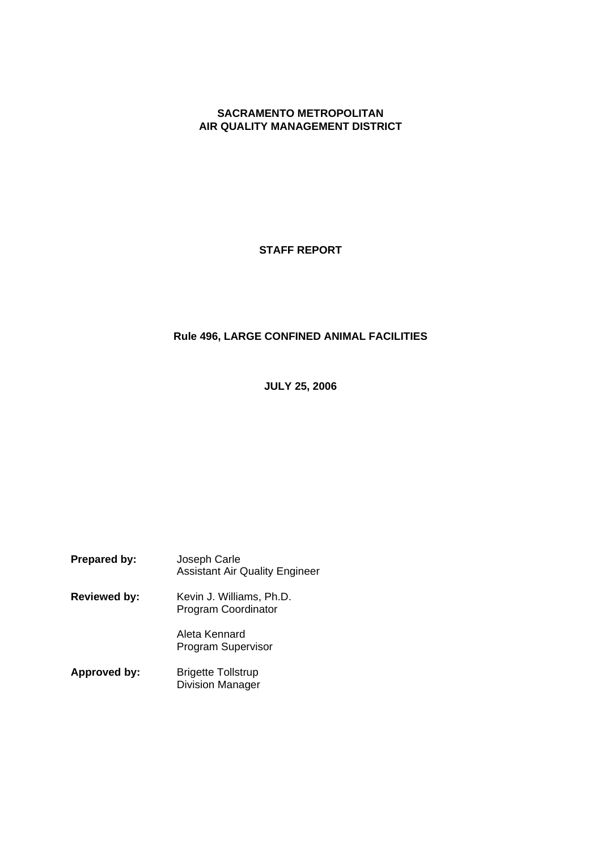#### **SACRAMENTO METROPOLITAN AIR QUALITY MANAGEMENT DISTRICT**

**STAFF REPORT**

#### **Rule 496, LARGE CONFINED ANIMAL FACILITIES**

**JULY 25, 2006**

| Prepared by:        | Joseph Carle<br><b>Assistant Air Quality Engineer</b>  |
|---------------------|--------------------------------------------------------|
| <b>Reviewed by:</b> | Kevin J. Williams, Ph.D.<br><b>Program Coordinator</b> |
|                     | Aleta Kennard<br>Program Supervisor                    |
| Approved by:        | <b>Brigette Tollstrup</b><br><b>Division Manager</b>   |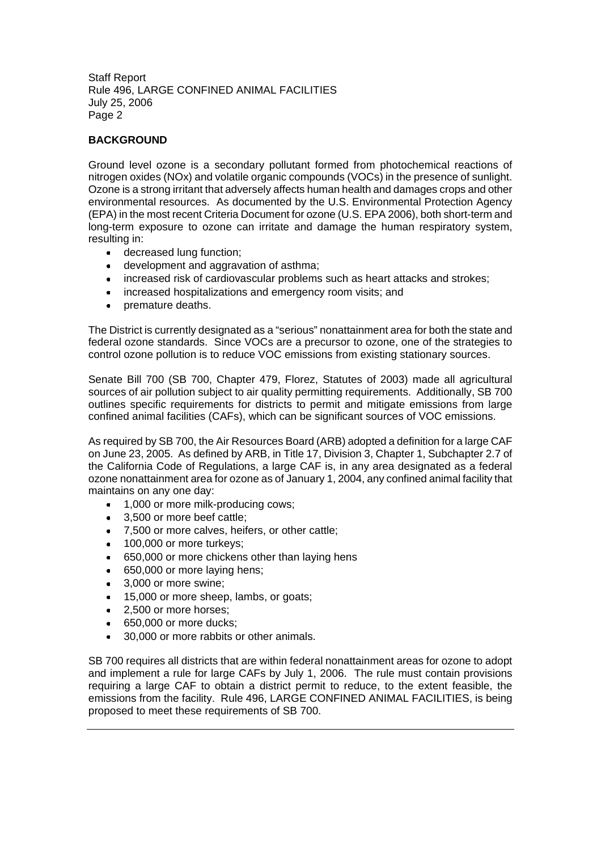#### **BACKGROUND**

Ground level ozone is a secondary pollutant formed from photochemical reactions of nitrogen oxides (NOx) and volatile organic compounds (VOCs) in the presence of sunlight. Ozone is a strong irritant that adversely affects human health and damages crops and other environmental resources. As documented by the U.S. Environmental Protection Agency (EPA) in the most recent Criteria Document for ozone (U.S. EPA 2006), both short-term and long-term exposure to ozone can irritate and damage the human respiratory system, resulting in:

- decreased lung function;
- development and aggravation of asthma:
- increased risk of cardiovascular problems such as heart attacks and strokes;
- increased hospitalizations and emergency room visits; and
- premature deaths.

The District is currently designated as a "serious" nonattainment area for both the state and federal ozone standards. Since VOCs are a precursor to ozone, one of the strategies to control ozone pollution is to reduce VOC emissions from existing stationary sources.

Senate Bill 700 (SB 700, Chapter 479, Florez, Statutes of 2003) made all agricultural sources of air pollution subject to air quality permitting requirements. Additionally, SB 700 outlines specific requirements for districts to permit and mitigate emissions from large confined animal facilities (CAFs), which can be significant sources of VOC emissions.

As required by SB 700, the Air Resources Board (ARB) adopted a definition for a large CAF on June 23, 2005. As defined by ARB, in Title 17, Division 3, Chapter 1, Subchapter 2.7 of the California Code of Regulations, a large CAF is, in any area designated as a federal ozone nonattainment area for ozone as of January 1, 2004, any confined animal facility that maintains on any one day:

- 1,000 or more milk-producing cows:
- $\bullet$ 3,500 or more beef cattle;
- 7,500 or more calves, heifers, or other cattle;  $\bullet$
- 100,000 or more turkeys;
- 650,000 or more chickens other than laying hens  $\bullet$
- 650,000 or more laying hens;
- 3,000 or more swine;  $\bullet$
- 15,000 or more sheep, lambs, or goats;  $\bullet$
- 2,500 or more horses;  $\bullet$
- 650,000 or more ducks;
- 30,000 or more rabbits or other animals.  $\bullet$

SB 700 requires all districts that are within federal nonattainment areas for ozone to adopt and implement a rule for large CAFs by July 1, 2006. The rule must contain provisions requiring a large CAF to obtain a district permit to reduce, to the extent feasible, the emissions from the facility. Rule 496, LARGE CONFINED ANIMAL FACILITIES, is being proposed to meet these requirements of SB 700.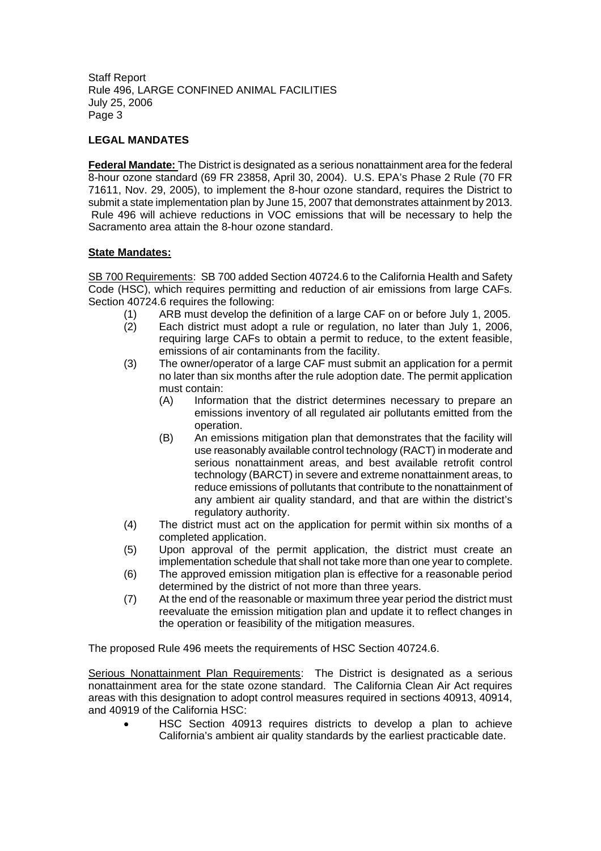#### **LEGAL MANDATES**

**Federal Mandate:** The District is designated as a serious nonattainment area for the federal 8-hour ozone standard (69 FR 23858, April 30, 2004). U.S. EPA's Phase 2 Rule (70 FR 71611, Nov. 29, 2005), to implement the 8-hour ozone standard, requires the District to submit a state implementation plan by June 15, 2007 that demonstrates attainment by 2013. Rule 496 will achieve reductions in VOC emissions that will be necessary to help the Sacramento area attain the 8-hour ozone standard.

#### **State Mandates:**

SB 700 Requirements: SB 700 added Section 40724.6 to the California Health and Safety Code (HSC), which requires permitting and reduction of air emissions from large CAFs. Section 40724.6 requires the following:

- (1) ARB must develop the definition of a large CAF on or before July 1, 2005.
- (2) Each district must adopt a rule or regulation, no later than July 1, 2006, requiring large CAFs to obtain a permit to reduce, to the extent feasible, emissions of air contaminants from the facility.
- (3) The owner/operator of a large CAF must submit an application for a permit no later than six months after the rule adoption date. The permit application must contain:
	- (A) Information that the district determines necessary to prepare an emissions inventory of all regulated air pollutants emitted from the operation.
	- (B) An emissions mitigation plan that demonstrates that the facility will use reasonably available control technology (RACT) in moderate and serious nonattainment areas, and best available retrofit control technology (BARCT) in severe and extreme nonattainment areas, to reduce emissions of pollutants that contribute to the nonattainment of any ambient air quality standard, and that are within the district's regulatory authority.
- (4) The district must act on the application for permit within six months of a completed application.
- (5) Upon approval of the permit application, the district must create an implementation schedule that shall not take more than one year to complete.
- (6) The approved emission mitigation plan is effective for a reasonable period determined by the district of not more than three years.
- (7) At the end of the reasonable or maximum three year period the district must reevaluate the emission mitigation plan and update it to reflect changes in the operation or feasibility of the mitigation measures.

The proposed Rule 496 meets the requirements of HSC Section 40724.6.

Serious Nonattainment Plan Requirements: The District is designated as a serious nonattainment area for the state ozone standard. The California Clean Air Act requires areas with this designation to adopt control measures required in sections 40913, 40914, and 40919 of the California HSC:

HSC Section 40913 requires districts to develop a plan to achieve California's ambient air quality standards by the earliest practicable date.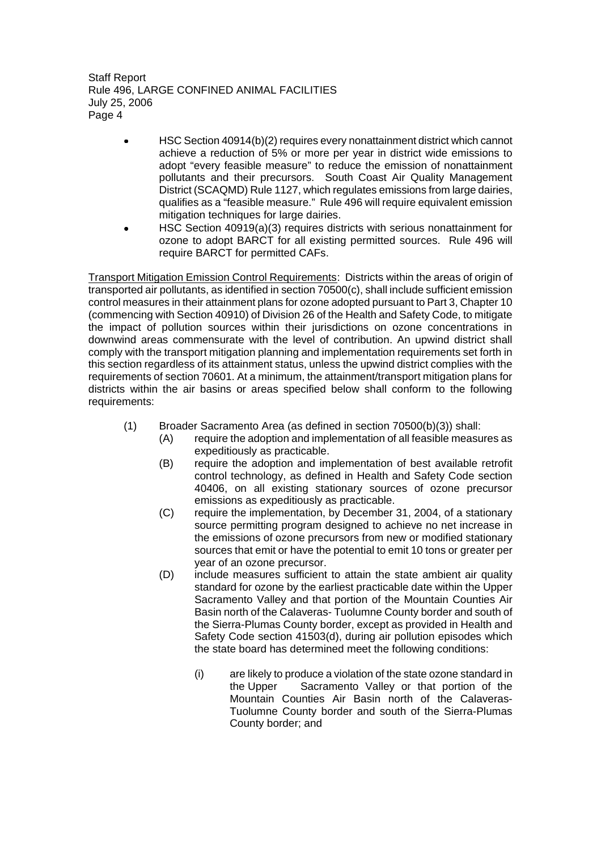- HSC Section 40914(b)(2) requires every nonattainment district which cannot  $\bullet$ achieve a reduction of 5% or more per year in district wide emissions to adopt "every feasible measure" to reduce the emission of nonattainment pollutants and their precursors. South Coast Air Quality Management District (SCAQMD) Rule 1127, which regulates emissions from large dairies, qualifies as a "feasible measure." Rule 496 will require equivalent emission mitigation techniques for large dairies.
- HSC Section 40919(a)(3) requires districts with serious nonattainment for ozone to adopt BARCT for all existing permitted sources. Rule 496 will require BARCT for permitted CAFs.

Transport Mitigation Emission Control Requirements: Districts within the areas of origin of transported air pollutants, as identified in section 70500(c), shall include sufficient emission control measures in their attainment plans for ozone adopted pursuant to Part 3, Chapter 10 (commencing with Section 40910) of Division 26 of the Health and Safety Code, to mitigate the impact of pollution sources within their jurisdictions on ozone concentrations in downwind areas commensurate with the level of contribution. An upwind district shall comply with the transport mitigation planning and implementation requirements set forth in this section regardless of its attainment status, unless the upwind district complies with the requirements of section 70601. At a minimum, the attainment/transport mitigation plans for districts within the air basins or areas specified below shall conform to the following requirements:

- (1) Broader Sacramento Area (as defined in section 70500(b)(3)) shall:
	- (A) require the adoption and implementation of all feasible measures as expeditiously as practicable.
	- (B) require the adoption and implementation of best available retrofit control technology, as defined in Health and Safety Code section 40406, on all existing stationary sources of ozone precursor emissions as expeditiously as practicable.
	- (C) require the implementation, by December 31, 2004, of a stationary source permitting program designed to achieve no net increase in the emissions of ozone precursors from new or modified stationary sources that emit or have the potential to emit 10 tons or greater per year of an ozone precursor.
	- (D) include measures sufficient to attain the state ambient air quality standard for ozone by the earliest practicable date within the Upper Sacramento Valley and that portion of the Mountain Counties Air Basin north of the Calaveras- Tuolumne County border and south of the Sierra-Plumas County border, except as provided in Health and Safety Code section 41503(d), during air pollution episodes which the state board has determined meet the following conditions:
		- (i) are likely to produce a violation of the state ozone standard in the Upper Sacramento Valley or that portion of the Mountain Counties Air Basin north of the Calaveras-Tuolumne County border and south of the Sierra-Plumas County border; and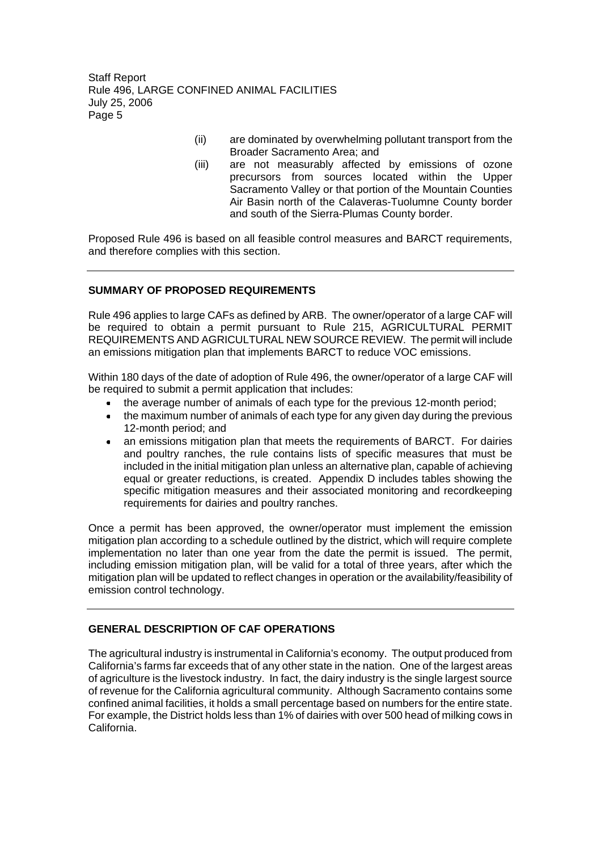- (ii) are dominated by overwhelming pollutant transport from the Broader Sacramento Area; and
- (iii) are not measurably affected by emissions of ozone precursors from sources located within the Upper Sacramento Valley or that portion of the Mountain Counties Air Basin north of the Calaveras-Tuolumne County border and south of the Sierra-Plumas County border.

Proposed Rule 496 is based on all feasible control measures and BARCT requirements, and therefore complies with this section.

#### **SUMMARY OF PROPOSED REQUIREMENTS**

Rule 496 applies to large CAFs as defined by ARB. The owner/operator of a large CAF will be required to obtain a permit pursuant to Rule 215, AGRICULTURAL PERMIT REQUIREMENTS AND AGRICULTURAL NEW SOURCE REVIEW. The permit will include an emissions mitigation plan that implements BARCT to reduce VOC emissions.

Within 180 days of the date of adoption of Rule 496, the owner/operator of a large CAF will be required to submit a permit application that includes:

- the average number of animals of each type for the previous 12-month period;
- the maximum number of animals of each type for any given day during the previous 12-month period; and
- an emissions mitigation plan that meets the requirements of BARCT. For dairies and poultry ranches, the rule contains lists of specific measures that must be included in the initial mitigation plan unless an alternative plan, capable of achieving equal or greater reductions, is created. Appendix D includes tables showing the specific mitigation measures and their associated monitoring and recordkeeping requirements for dairies and poultry ranches.

Once a permit has been approved, the owner/operator must implement the emission mitigation plan according to a schedule outlined by the district, which will require complete implementation no later than one year from the date the permit is issued. The permit, including emission mitigation plan, will be valid for a total of three years, after which the mitigation plan will be updated to reflect changes in operation or the availability/feasibility of emission control technology.

#### **GENERAL DESCRIPTION OF CAF OPERATIONS**

The agricultural industry is instrumental in California's economy. The output produced from California's farms far exceeds that of any other state in the nation. One of the largest areas of agriculture is the livestock industry. In fact, the dairy industry is the single largest source of revenue for the California agricultural community. Although Sacramento contains some confined animal facilities, it holds a small percentage based on numbers for the entire state. For example, the District holds less than 1% of dairies with over 500 head of milking cows in California.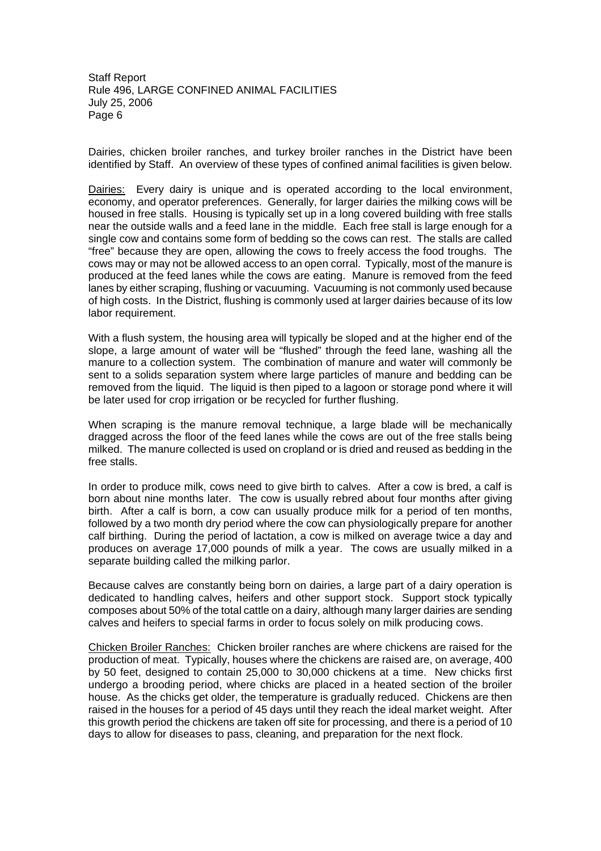Dairies, chicken broiler ranches, and turkey broiler ranches in the District have been identified by Staff. An overview of these types of confined animal facilities is given below.

Dairies: Every dairy is unique and is operated according to the local environment, economy, and operator preferences. Generally, for larger dairies the milking cows will be housed in free stalls. Housing is typically set up in a long covered building with free stalls near the outside walls and a feed lane in the middle. Each free stall is large enough for a single cow and contains some form of bedding so the cows can rest. The stalls are called "free" because they are open, allowing the cows to freely access the food troughs. The cows may or may not be allowed access to an open corral. Typically, most of the manure is produced at the feed lanes while the cows are eating. Manure is removed from the feed lanes by either scraping, flushing or vacuuming. Vacuuming is not commonly used because of high costs. In the District, flushing is commonly used at larger dairies because of its low labor requirement.

With a flush system, the housing area will typically be sloped and at the higher end of the slope, a large amount of water will be "flushed" through the feed lane, washing all the manure to a collection system. The combination of manure and water will commonly be sent to a solids separation system where large particles of manure and bedding can be removed from the liquid. The liquid is then piped to a lagoon or storage pond where it will be later used for crop irrigation or be recycled for further flushing.

When scraping is the manure removal technique, a large blade will be mechanically dragged across the floor of the feed lanes while the cows are out of the free stalls being milked. The manure collected is used on cropland or is dried and reused as bedding in the free stalls.

In order to produce milk, cows need to give birth to calves. After a cow is bred, a calf is born about nine months later. The cow is usually rebred about four months after giving birth. After a calf is born, a cow can usually produce milk for a period of ten months, followed by a two month dry period where the cow can physiologically prepare for another calf birthing. During the period of lactation, a cow is milked on average twice a day and produces on average 17,000 pounds of milk a year. The cows are usually milked in a separate building called the milking parlor.

Because calves are constantly being born on dairies, a large part of a dairy operation is dedicated to handling calves, heifers and other support stock. Support stock typically composes about 50% of the total cattle on a dairy, although many larger dairies are sending calves and heifers to special farms in order to focus solely on milk producing cows.

Chicken Broiler Ranches: Chicken broiler ranches are where chickens are raised for the production of meat. Typically, houses where the chickens are raised are, on average, 400 by 50 feet, designed to contain 25,000 to 30,000 chickens at a time. New chicks first undergo a brooding period, where chicks are placed in a heated section of the broiler house. As the chicks get older, the temperature is gradually reduced. Chickens are then raised in the houses for a period of 45 days until they reach the ideal market weight. After this growth period the chickens are taken off site for processing, and there is a period of 10 days to allow for diseases to pass, cleaning, and preparation for the next flock.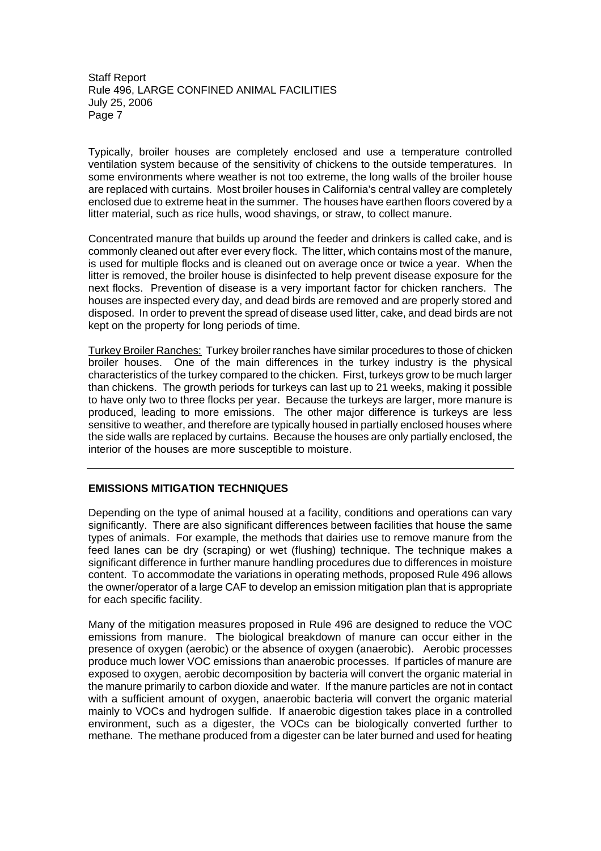Typically, broiler houses are completely enclosed and use a temperature controlled ventilation system because of the sensitivity of chickens to the outside temperatures. In some environments where weather is not too extreme, the long walls of the broiler house are replaced with curtains. Most broiler houses in California's central valley are completely enclosed due to extreme heat in the summer. The houses have earthen floors covered by a litter material, such as rice hulls, wood shavings, or straw, to collect manure.

Concentrated manure that builds up around the feeder and drinkers is called cake, and is commonly cleaned out after ever every flock. The litter, which contains most of the manure, is used for multiple flocks and is cleaned out on average once or twice a year. When the litter is removed, the broiler house is disinfected to help prevent disease exposure for the next flocks. Prevention of disease is a very important factor for chicken ranchers. The houses are inspected every day, and dead birds are removed and are properly stored and disposed. In order to prevent the spread of disease used litter, cake, and dead birds are not kept on the property for long periods of time.

Turkey Broiler Ranches: Turkey broiler ranches have similar procedures to those of chicken broiler houses. One of the main differences in the turkey industry is the physical characteristics of the turkey compared to the chicken. First, turkeys grow to be much larger than chickens. The growth periods for turkeys can last up to 21 weeks, making it possible to have only two to three flocks per year. Because the turkeys are larger, more manure is produced, leading to more emissions. The other major difference is turkeys are less sensitive to weather, and therefore are typically housed in partially enclosed houses where the side walls are replaced by curtains. Because the houses are only partially enclosed, the interior of the houses are more susceptible to moisture.

#### **EMISSIONS MITIGATION TECHNIQUES**

Depending on the type of animal housed at a facility, conditions and operations can vary significantly. There are also significant differences between facilities that house the same types of animals. For example, the methods that dairies use to remove manure from the feed lanes can be dry (scraping) or wet (flushing) technique. The technique makes a significant difference in further manure handling procedures due to differences in moisture content. To accommodate the variations in operating methods, proposed Rule 496 allows the owner/operator of a large CAF to develop an emission mitigation plan that is appropriate for each specific facility.

Many of the mitigation measures proposed in Rule 496 are designed to reduce the VOC emissions from manure. The biological breakdown of manure can occur either in the presence of oxygen (aerobic) or the absence of oxygen (anaerobic). Aerobic processes produce much lower VOC emissions than anaerobic processes. If particles of manure are exposed to oxygen, aerobic decomposition by bacteria will convert the organic material in the manure primarily to carbon dioxide and water. If the manure particles are not in contact with a sufficient amount of oxygen, anaerobic bacteria will convert the organic material mainly to VOCs and hydrogen sulfide. If anaerobic digestion takes place in a controlled environment, such as a digester, the VOCs can be biologically converted further to methane. The methane produced from a digester can be later burned and used for heating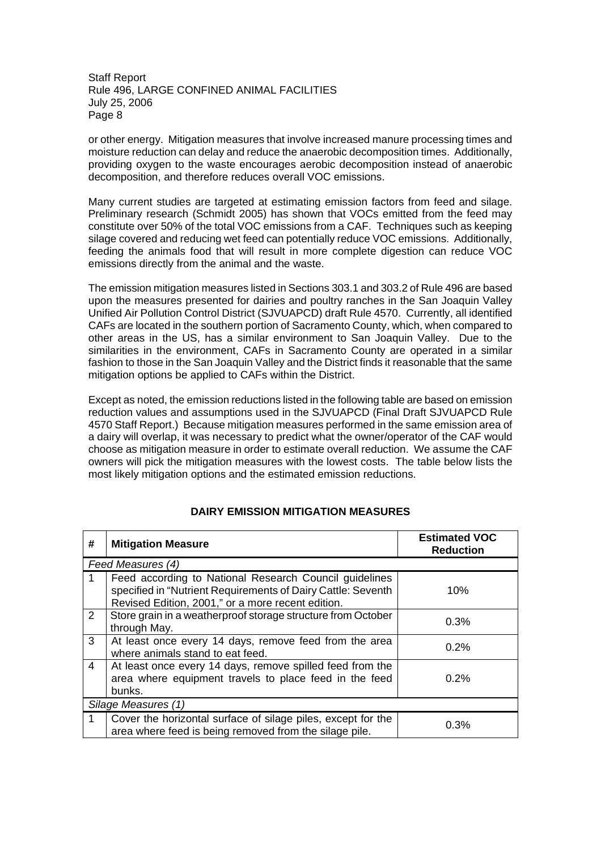or other energy. Mitigation measures that involve increased manure processing times and moisture reduction can delay and reduce the anaerobic decomposition times. Additionally, providing oxygen to the waste encourages aerobic decomposition instead of anaerobic decomposition, and therefore reduces overall VOC emissions.

Many current studies are targeted at estimating emission factors from feed and silage. Preliminary research (Schmidt 2005) has shown that VOCs emitted from the feed may constitute over 50% of the total VOC emissions from a CAF. Techniques such as keeping silage covered and reducing wet feed can potentially reduce VOC emissions. Additionally, feeding the animals food that will result in more complete digestion can reduce VOC emissions directly from the animal and the waste.

The emission mitigation measures listed in Sections 303.1 and 303.2 of Rule 496 are based upon the measures presented for dairies and poultry ranches in the San Joaquin Valley Unified Air Pollution Control District (SJVUAPCD) draft Rule 4570. Currently, all identified CAFs are located in the southern portion of Sacramento County, which, when compared to other areas in the US, has a similar environment to San Joaquin Valley. Due to the similarities in the environment, CAFs in Sacramento County are operated in a similar fashion to those in the San Joaquin Valley and the District finds it reasonable that the same mitigation options be applied to CAFs within the District.

Except as noted, the emission reductions listed in the following table are based on emission reduction values and assumptions used in the SJVUAPCD (Final Draft SJVUAPCD Rule 4570 Staff Report.) Because mitigation measures performed in the same emission area of a dairy will overlap, it was necessary to predict what the owner/operator of the CAF would choose as mitigation measure in order to estimate overall reduction. We assume the CAF owners will pick the mitigation measures with the lowest costs. The table below lists the most likely mitigation options and the estimated emission reductions.

| #              | <b>Mitigation Measure</b>                                                                                                                                                   | <b>Estimated VOC</b><br><b>Reduction</b> |
|----------------|-----------------------------------------------------------------------------------------------------------------------------------------------------------------------------|------------------------------------------|
|                | Feed Measures (4)                                                                                                                                                           |                                          |
|                | Feed according to National Research Council guidelines<br>specified in "Nutrient Requirements of Dairy Cattle: Seventh<br>Revised Edition, 2001," or a more recent edition. | 10%                                      |
| $\overline{2}$ | Store grain in a weatherproof storage structure from October<br>through May.                                                                                                | 0.3%                                     |
| 3              | At least once every 14 days, remove feed from the area<br>where animals stand to eat feed.                                                                                  | 0.2%                                     |
| $\overline{4}$ | At least once every 14 days, remove spilled feed from the<br>area where equipment travels to place feed in the feed<br>bunks.                                               | $0.2\%$                                  |
|                | Silage Measures (1)                                                                                                                                                         |                                          |
| 1              | Cover the horizontal surface of silage piles, except for the<br>area where feed is being removed from the silage pile.                                                      | 0.3%                                     |

#### **DAIRY EMISSION MITIGATION MEASURES**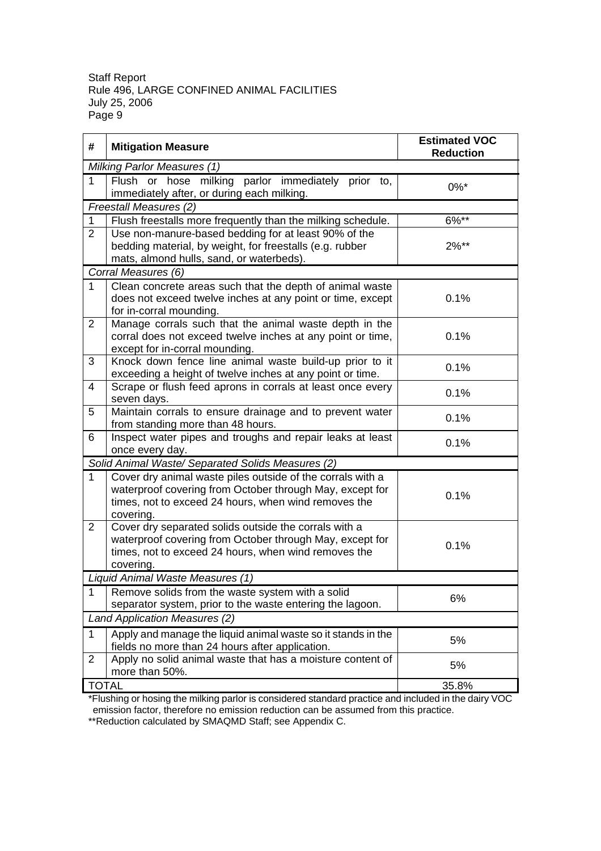| #              | <b>Mitigation Measure</b>                                                                                                                                                                   | <b>Estimated VOC</b><br><b>Reduction</b> |
|----------------|---------------------------------------------------------------------------------------------------------------------------------------------------------------------------------------------|------------------------------------------|
|                | Milking Parlor Measures (1)                                                                                                                                                                 |                                          |
| $\mathbf{1}$   | Flush or hose milking parlor immediately prior to,<br>immediately after, or during each milking.                                                                                            | $0\%$ *                                  |
|                | Freestall Measures (2)                                                                                                                                                                      |                                          |
| 1              | Flush freestalls more frequently than the milking schedule.                                                                                                                                 | 6%**                                     |
| 2              | Use non-manure-based bedding for at least 90% of the<br>bedding material, by weight, for freestalls (e.g. rubber<br>mats, almond hulls, sand, or waterbeds).                                | $2\%**$                                  |
|                | Corral Measures (6)                                                                                                                                                                         |                                          |
| 1              | Clean concrete areas such that the depth of animal waste<br>does not exceed twelve inches at any point or time, except<br>for in-corral mounding.                                           | 0.1%                                     |
| 2              | Manage corrals such that the animal waste depth in the<br>corral does not exceed twelve inches at any point or time,<br>except for in-corral mounding.                                      | 0.1%                                     |
| 3              | Knock down fence line animal waste build-up prior to it<br>exceeding a height of twelve inches at any point or time.                                                                        | 0.1%                                     |
| 4              | Scrape or flush feed aprons in corrals at least once every<br>seven days.                                                                                                                   | 0.1%                                     |
| 5              | Maintain corrals to ensure drainage and to prevent water<br>from standing more than 48 hours.                                                                                               | 0.1%                                     |
| 6              | Inspect water pipes and troughs and repair leaks at least<br>once every day.                                                                                                                | 0.1%                                     |
|                | Solid Animal Waste/ Separated Solids Measures (2)                                                                                                                                           |                                          |
| 1              | Cover dry animal waste piles outside of the corrals with a<br>waterproof covering from October through May, except for<br>times, not to exceed 24 hours, when wind removes the<br>covering. | 0.1%                                     |
| 2              | Cover dry separated solids outside the corrals with a<br>waterproof covering from October through May, except for<br>times, not to exceed 24 hours, when wind removes the<br>covering.      | 0.1%                                     |
|                | Liquid Animal Waste Measures (1)                                                                                                                                                            |                                          |
| 1              | Remove solids from the waste system with a solid<br>separator system, prior to the waste entering the lagoon.                                                                               | 6%                                       |
|                | Land Application Measures (2)                                                                                                                                                               |                                          |
| 1              | Apply and manage the liquid animal waste so it stands in the<br>fields no more than 24 hours after application.                                                                             | 5%                                       |
| $\overline{2}$ | Apply no solid animal waste that has a moisture content of<br>more than 50%.                                                                                                                | 5%                                       |
| <b>TOTAL</b>   |                                                                                                                                                                                             | 35.8%                                    |

\*Flushing or hosing the milking parlor is considered standard practice and included in the dairy VOC emission factor, therefore no emission reduction can be assumed from this practice.

\*\*Reduction calculated by SMAQMD Staff; see Appendix C.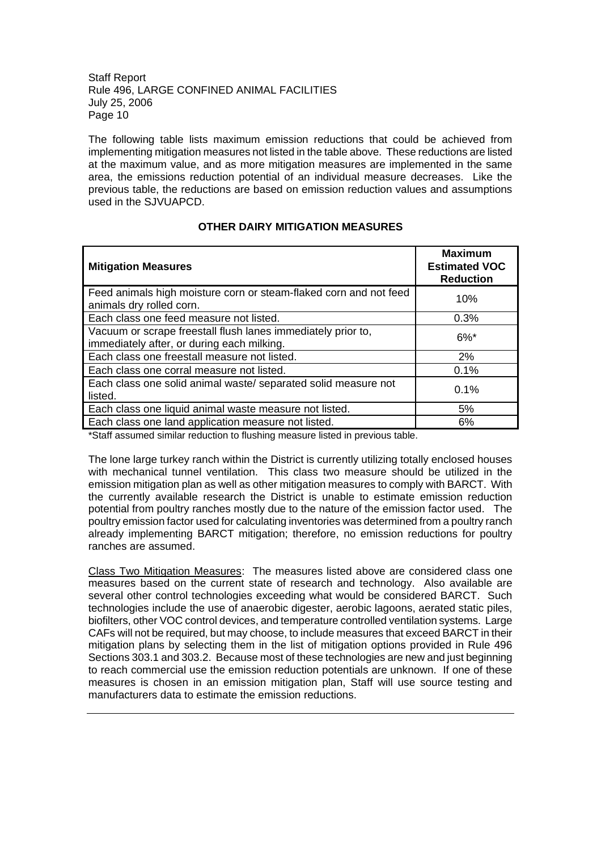The following table lists maximum emission reductions that could be achieved from implementing mitigation measures not listed in the table above. These reductions are listed at the maximum value, and as more mitigation measures are implemented in the same area, the emissions reduction potential of an individual measure decreases. Like the previous table, the reductions are based on emission reduction values and assumptions used in the SJVUAPCD.

#### **OTHER DAIRY MITIGATION MEASURES**

| <b>Mitigation Measures</b>                                                                                 | <b>Maximum</b><br><b>Estimated VOC</b><br><b>Reduction</b> |
|------------------------------------------------------------------------------------------------------------|------------------------------------------------------------|
| Feed animals high moisture corn or steam-flaked corn and not feed<br>animals dry rolled corn.              | 10%                                                        |
| Each class one feed measure not listed.                                                                    | 0.3%                                                       |
| Vacuum or scrape freestall flush lanes immediately prior to,<br>immediately after, or during each milking. | $6\%$ *                                                    |
| Each class one freestall measure not listed.                                                               | 2%                                                         |
| Each class one corral measure not listed.                                                                  | 0.1%                                                       |
| Each class one solid animal waste/ separated solid measure not<br>listed.                                  | 0.1%                                                       |
| Each class one liquid animal waste measure not listed.                                                     | 5%                                                         |
| Each class one land application measure not listed.                                                        | 6%                                                         |

\*Staff assumed similar reduction to flushing measure listed in previous table.

The lone large turkey ranch within the District is currently utilizing totally enclosed houses with mechanical tunnel ventilation. This class two measure should be utilized in the emission mitigation plan as well as other mitigation measures to comply with BARCT. With the currently available research the District is unable to estimate emission reduction potential from poultry ranches mostly due to the nature of the emission factor used. The poultry emission factor used for calculating inventories was determined from a poultry ranch already implementing BARCT mitigation; therefore, no emission reductions for poultry ranches are assumed.

Class Two Mitigation Measures: The measures listed above are considered class one measures based on the current state of research and technology. Also available are several other control technologies exceeding what would be considered BARCT. Such technologies include the use of anaerobic digester, aerobic lagoons, aerated static piles, biofilters, other VOC control devices, and temperature controlled ventilation systems. Large CAFs will not be required, but may choose, to include measures that exceed BARCT in their mitigation plans by selecting them in the list of mitigation options provided in Rule 496 Sections 303.1 and 303.2. Because most of these technologies are new and just beginning to reach commercial use the emission reduction potentials are unknown. If one of these measures is chosen in an emission mitigation plan, Staff will use source testing and manufacturers data to estimate the emission reductions.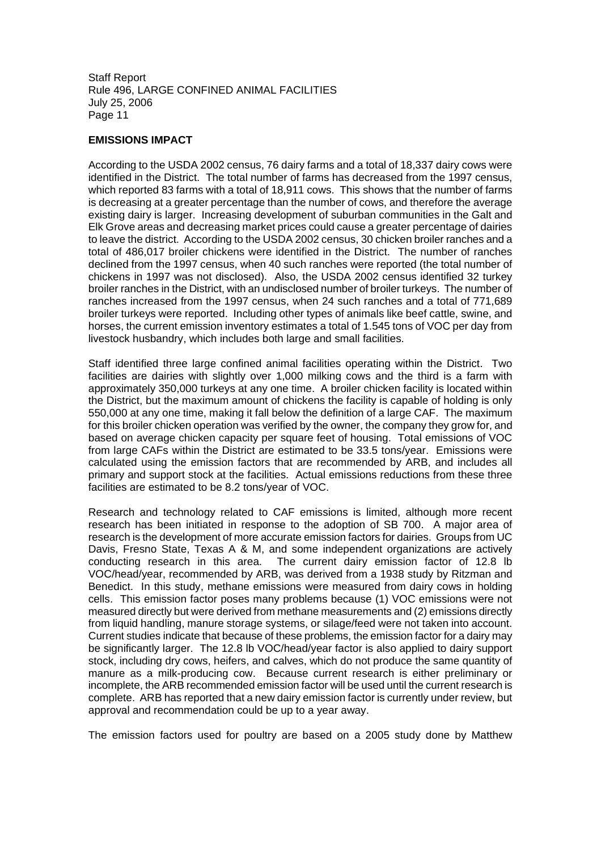#### **EMISSIONS IMPACT**

According to the USDA 2002 census, 76 dairy farms and a total of 18,337 dairy cows were identified in the District. The total number of farms has decreased from the 1997 census, which reported 83 farms with a total of 18,911 cows. This shows that the number of farms is decreasing at a greater percentage than the number of cows, and therefore the average existing dairy is larger. Increasing development of suburban communities in the Galt and Elk Grove areas and decreasing market prices could cause a greater percentage of dairies to leave the district. According to the USDA 2002 census, 30 chicken broiler ranches and a total of 486,017 broiler chickens were identified in the District. The number of ranches declined from the 1997 census, when 40 such ranches were reported (the total number of chickens in 1997 was not disclosed). Also, the USDA 2002 census identified 32 turkey broiler ranches in the District, with an undisclosed number of broiler turkeys. The number of ranches increased from the 1997 census, when 24 such ranches and a total of 771,689 broiler turkeys were reported. Including other types of animals like beef cattle, swine, and horses, the current emission inventory estimates a total of 1.545 tons of VOC per day from livestock husbandry, which includes both large and small facilities.

Staff identified three large confined animal facilities operating within the District. Two facilities are dairies with slightly over 1,000 milking cows and the third is a farm with approximately 350,000 turkeys at any one time. A broiler chicken facility is located within the District, but the maximum amount of chickens the facility is capable of holding is only 550,000 at any one time, making it fall below the definition of a large CAF. The maximum for this broiler chicken operation was verified by the owner, the company they grow for, and based on average chicken capacity per square feet of housing. Total emissions of VOC from large CAFs within the District are estimated to be 33.5 tons/year. Emissions were calculated using the emission factors that are recommended by ARB, and includes all primary and support stock at the facilities. Actual emissions reductions from these three facilities are estimated to be 8.2 tons/year of VOC.

Research and technology related to CAF emissions is limited, although more recent research has been initiated in response to the adoption of SB 700. A major area of research is the development of more accurate emission factors for dairies. Groups from UC Davis, Fresno State, Texas A & M, and some independent organizations are actively conducting research in this area. The current dairy emission factor of 12.8 lb The current dairy emission factor of 12.8 lb VOC/head/year, recommended by ARB, was derived from a 1938 study by Ritzman and Benedict. In this study, methane emissions were measured from dairy cows in holding cells. This emission factor poses many problems because (1) VOC emissions were not measured directly but were derived from methane measurements and (2) emissions directly from liquid handling, manure storage systems, or silage/feed were not taken into account. Current studies indicate that because of these problems, the emission factor for a dairy may be significantly larger. The 12.8 lb VOC/head/year factor is also applied to dairy support stock, including dry cows, heifers, and calves, which do not produce the same quantity of manure as a milk-producing cow. Because current research is either preliminary or incomplete, the ARB recommended emission factor will be used until the current research is complete. ARB has reported that a new dairy emission factor is currently under review, but approval and recommendation could be up to a year away.

The emission factors used for poultry are based on a 2005 study done by Matthew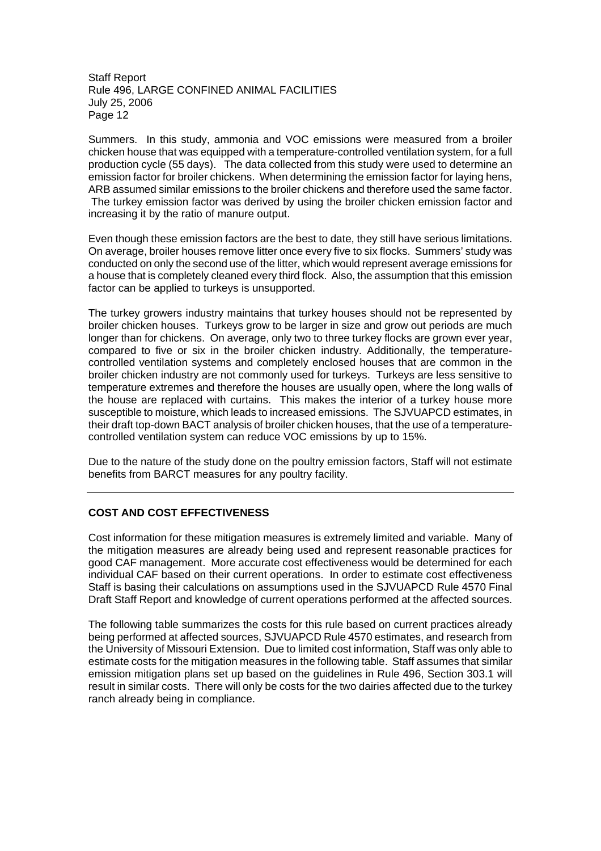Summers. In this study, ammonia and VOC emissions were measured from a broiler chicken house that was equipped with a temperature-controlled ventilation system, for a full production cycle (55 days). The data collected from this study were used to determine an emission factor for broiler chickens. When determining the emission factor for laying hens, ARB assumed similar emissions to the broiler chickens and therefore used the same factor. The turkey emission factor was derived by using the broiler chicken emission factor and increasing it by the ratio of manure output.

Even though these emission factors are the best to date, they still have serious limitations. On average, broiler houses remove litter once every five to six flocks. Summers' study was conducted on only the second use of the litter, which would represent average emissions for a house that is completely cleaned every third flock. Also, the assumption that this emission factor can be applied to turkeys is unsupported.

The turkey growers industry maintains that turkey houses should not be represented by broiler chicken houses. Turkeys grow to be larger in size and grow out periods are much longer than for chickens. On average, only two to three turkey flocks are grown ever year, compared to five or six in the broiler chicken industry. Additionally, the temperaturecontrolled ventilation systems and completely enclosed houses that are common in the broiler chicken industry are not commonly used for turkeys. Turkeys are less sensitive to temperature extremes and therefore the houses are usually open, where the long walls of the house are replaced with curtains. This makes the interior of a turkey house more susceptible to moisture, which leads to increased emissions. The SJVUAPCD estimates, in their draft top-down BACT analysis of broiler chicken houses, that the use of a temperaturecontrolled ventilation system can reduce VOC emissions by up to 15%.

Due to the nature of the study done on the poultry emission factors, Staff will not estimate benefits from BARCT measures for any poultry facility.

#### **COST AND COST EFFECTIVENESS**

Cost information for these mitigation measures is extremely limited and variable. Many of the mitigation measures are already being used and represent reasonable practices for good CAF management. More accurate cost effectiveness would be determined for each individual CAF based on their current operations. In order to estimate cost effectiveness Staff is basing their calculations on assumptions used in the SJVUAPCD Rule 4570 Final Draft Staff Report and knowledge of current operations performed at the affected sources.

The following table summarizes the costs for this rule based on current practices already being performed at affected sources, SJVUAPCD Rule 4570 estimates, and research from the University of Missouri Extension. Due to limited cost information, Staff was only able to estimate costs for the mitigation measures in the following table. Staff assumes that similar emission mitigation plans set up based on the guidelines in Rule 496, Section 303.1 will result in similar costs. There will only be costs for the two dairies affected due to the turkey ranch already being in compliance.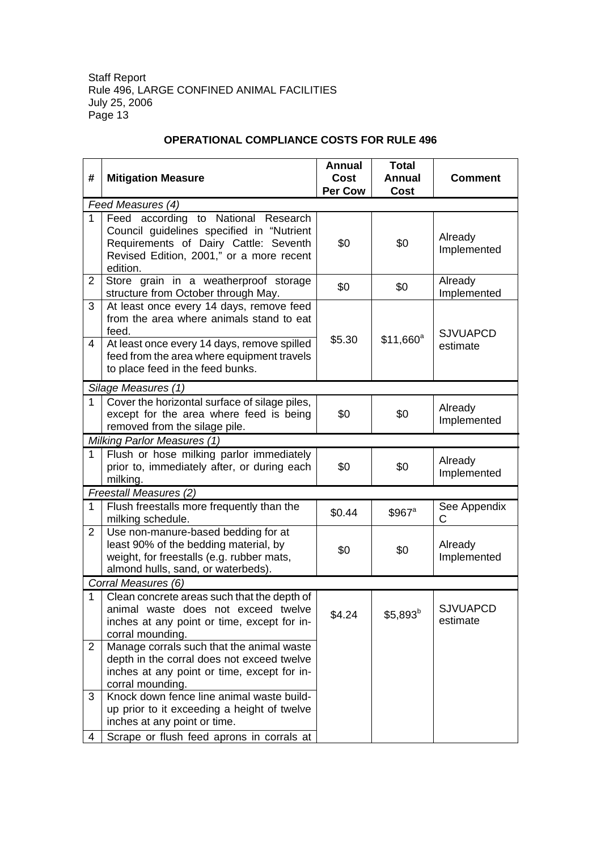| #              | <b>Mitigation Measure</b>                                                            | <b>Annual</b><br><b>Cost</b> | <b>Total</b><br><b>Annual</b> | Comment                     |
|----------------|--------------------------------------------------------------------------------------|------------------------------|-------------------------------|-----------------------------|
|                |                                                                                      | Per Cow                      | <b>Cost</b>                   |                             |
|                | Feed Measures (4)                                                                    |                              |                               |                             |
| $\mathbf{1}$   | Feed according to National Research<br>Council guidelines specified in "Nutrient     |                              |                               |                             |
|                | Requirements of Dairy Cattle: Seventh                                                | \$0                          | \$0                           | Already                     |
|                | Revised Edition, 2001," or a more recent                                             |                              |                               | Implemented                 |
|                | edition.                                                                             |                              |                               |                             |
| $\overline{2}$ | Store grain in a weatherproof storage                                                | \$0                          | \$0                           | Already                     |
|                | structure from October through May.                                                  |                              |                               | Implemented                 |
| 3              | At least once every 14 days, remove feed<br>from the area where animals stand to eat |                              |                               |                             |
|                | feed.                                                                                |                              |                               |                             |
| 4              | At least once every 14 days, remove spilled                                          | \$5.30                       | $$11,660$ <sup>a</sup>        | <b>SJVUAPCD</b><br>estimate |
|                | feed from the area where equipment travels                                           |                              |                               |                             |
|                | to place feed in the feed bunks.                                                     |                              |                               |                             |
|                | Silage Measures (1)                                                                  |                              |                               |                             |
| $\mathbf 1$    | Cover the horizontal surface of silage piles,                                        |                              |                               | Already                     |
|                | except for the area where feed is being                                              | \$0                          | \$0                           | Implemented                 |
|                | removed from the silage pile.                                                        |                              |                               |                             |
| $\mathbf{1}$   | Milking Parlor Measures (1)<br>Flush or hose milking parlor immediately              |                              |                               |                             |
|                | prior to, immediately after, or during each                                          | \$0                          | \$0                           | Already                     |
|                | milking.                                                                             |                              |                               | Implemented                 |
|                | Freestall Measures (2)                                                               |                              |                               |                             |
| 1              | Flush freestalls more frequently than the                                            | \$0.44                       | \$967 <sup>a</sup>            | See Appendix                |
|                | milking schedule.                                                                    |                              |                               | C                           |
| $\overline{2}$ | Use non-manure-based bedding for at                                                  |                              |                               |                             |
|                | least 90% of the bedding material, by                                                | \$0                          | \$0                           | Already                     |
|                | weight, for freestalls (e.g. rubber mats,<br>almond hulls, sand, or waterbeds).      |                              |                               | Implemented                 |
|                | Corral Measures (6)                                                                  |                              |                               |                             |
| $\mathbf 1$    | Clean concrete areas such that the depth of                                          |                              |                               |                             |
|                | animal waste does not exceed twelve                                                  |                              |                               | <b>SJVUAPCD</b>             |
|                | inches at any point or time, except for in-                                          | \$4.24                       | $$5,893^b$                    | estimate                    |
|                | corral mounding.                                                                     |                              |                               |                             |
| $\overline{2}$ | Manage corrals such that the animal waste                                            |                              |                               |                             |
|                | depth in the corral does not exceed twelve                                           |                              |                               |                             |
|                | inches at any point or time, except for in-                                          |                              |                               |                             |
| 3              | corral mounding.<br>Knock down fence line animal waste build-                        |                              |                               |                             |
|                | up prior to it exceeding a height of twelve                                          |                              |                               |                             |
|                | inches at any point or time.                                                         |                              |                               |                             |
| 4              | Scrape or flush feed aprons in corrals at                                            |                              |                               |                             |

#### **OPERATIONAL COMPLIANCE COSTS FOR RULE 496**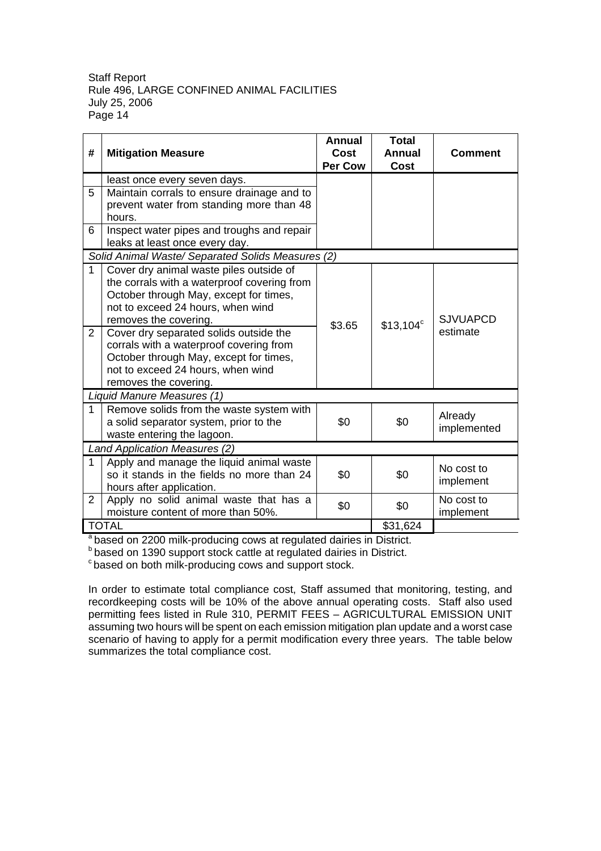| #              | <b>Mitigation Measure</b>                         | Annual<br>Cost<br><b>Per Cow</b> | <b>Total</b><br><b>Annual</b><br>Cost | Comment         |
|----------------|---------------------------------------------------|----------------------------------|---------------------------------------|-----------------|
|                | least once every seven days.                      |                                  |                                       |                 |
| 5              | Maintain corrals to ensure drainage and to        |                                  |                                       |                 |
|                | prevent water from standing more than 48          |                                  |                                       |                 |
|                | hours.                                            |                                  |                                       |                 |
| 6              | Inspect water pipes and troughs and repair        |                                  |                                       |                 |
|                | leaks at least once every day.                    |                                  |                                       |                 |
|                | Solid Animal Waste/ Separated Solids Measures (2) |                                  |                                       |                 |
| 1              | Cover dry animal waste piles outside of           |                                  |                                       |                 |
|                | the corrals with a waterproof covering from       |                                  |                                       |                 |
|                | October through May, except for times,            |                                  |                                       |                 |
|                | not to exceed 24 hours, when wind                 |                                  |                                       |                 |
|                | removes the covering.                             | \$3.65                           | $$13,104^{\circ}$                     | <b>SJVUAPCD</b> |
| 2              | Cover dry separated solids outside the            |                                  |                                       | estimate        |
|                | corrals with a waterproof covering from           |                                  |                                       |                 |
|                | October through May, except for times,            |                                  |                                       |                 |
|                | not to exceed 24 hours, when wind                 |                                  |                                       |                 |
|                | removes the covering.                             |                                  |                                       |                 |
|                | Liquid Manure Measures (1)                        |                                  |                                       |                 |
| $\mathbf 1$    | Remove solids from the waste system with          |                                  |                                       | Already         |
|                | a solid separator system, prior to the            | \$0                              | \$0                                   | implemented     |
|                | waste entering the lagoon.                        |                                  |                                       |                 |
|                | Land Application Measures (2)                     |                                  |                                       |                 |
| $\mathbf{1}$   | Apply and manage the liquid animal waste          |                                  |                                       | No cost to      |
|                | so it stands in the fields no more than 24        | \$0                              | \$0                                   | implement       |
|                | hours after application.                          |                                  |                                       |                 |
| $\overline{2}$ | Apply no solid animal waste that has a            | \$0                              | \$0                                   | No cost to      |
|                | moisture content of more than 50%.                |                                  |                                       | implement       |
|                | <b>TOTAL</b>                                      |                                  | \$31,624                              |                 |

<sup>a</sup> based on 2200 milk-producing cows at regulated dairies in District.

<sup>b</sup> based on 1390 support stock cattle at regulated dairies in District.

<sup>c</sup> based on both milk-producing cows and support stock.

In order to estimate total compliance cost, Staff assumed that monitoring, testing, and recordkeeping costs will be 10% of the above annual operating costs. Staff also used permitting fees listed in Rule 310, PERMIT FEES – AGRICULTURAL EMISSION UNIT assuming two hours will be spent on each emission mitigation plan update and a worst case scenario of having to apply for a permit modification every three years. The table below summarizes the total compliance cost.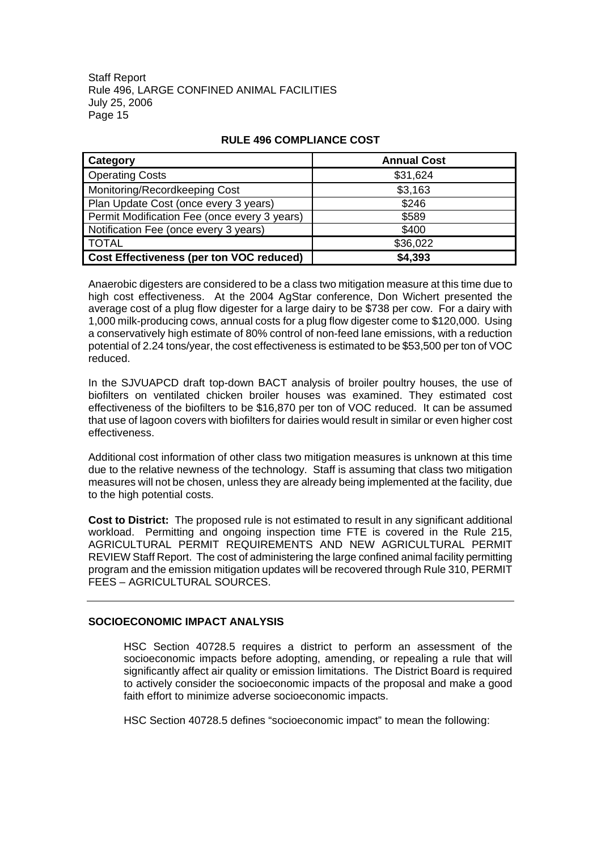| <b>Category</b>                                 | <b>Annual Cost</b> |
|-------------------------------------------------|--------------------|
| <b>Operating Costs</b>                          | \$31,624           |
| Monitoring/Recordkeeping Cost                   | \$3,163            |
| Plan Update Cost (once every 3 years)           | \$246              |
| Permit Modification Fee (once every 3 years)    | \$589              |
| Notification Fee (once every 3 years)           | \$400              |
| <b>TOTAL</b>                                    | \$36,022           |
| <b>Cost Effectiveness (per ton VOC reduced)</b> | \$4,393            |

#### **RULE 496 COMPLIANCE COST**

Anaerobic digesters are considered to be a class two mitigation measure at this time due to high cost effectiveness. At the 2004 AgStar conference, Don Wichert presented the average cost of a plug flow digester for a large dairy to be \$738 per cow. For a dairy with 1,000 milk-producing cows, annual costs for a plug flow digester come to \$120,000. Using a conservatively high estimate of 80% control of non-feed lane emissions, with a reduction potential of 2.24 tons/year, the cost effectiveness is estimated to be \$53,500 per ton of VOC reduced.

In the SJVUAPCD draft top-down BACT analysis of broiler poultry houses, the use of biofilters on ventilated chicken broiler houses was examined. They estimated cost effectiveness of the biofilters to be \$16,870 per ton of VOC reduced. It can be assumed that use of lagoon covers with biofilters for dairies would result in similar or even higher cost effectiveness.

Additional cost information of other class two mitigation measures is unknown at this time due to the relative newness of the technology. Staff is assuming that class two mitigation measures will not be chosen, unless they are already being implemented at the facility, due to the high potential costs.

**Cost to District:** The proposed rule is not estimated to result in any significant additional workload. Permitting and ongoing inspection time FTE is covered in the Rule 215, AGRICULTURAL PERMIT REQUIREMENTS AND NEW AGRICULTURAL PERMIT REVIEW Staff Report. The cost of administering the large confined animal facility permitting program and the emission mitigation updates will be recovered through Rule 310, PERMIT FEES – AGRICULTURAL SOURCES.

#### **SOCIOECONOMIC IMPACT ANALYSIS**

HSC Section 40728.5 requires a district to perform an assessment of the socioeconomic impacts before adopting, amending, or repealing a rule that will significantly affect air quality or emission limitations. The District Board is required to actively consider the socioeconomic impacts of the proposal and make a good faith effort to minimize adverse socioeconomic impacts.

HSC Section 40728.5 defines "socioeconomic impact" to mean the following: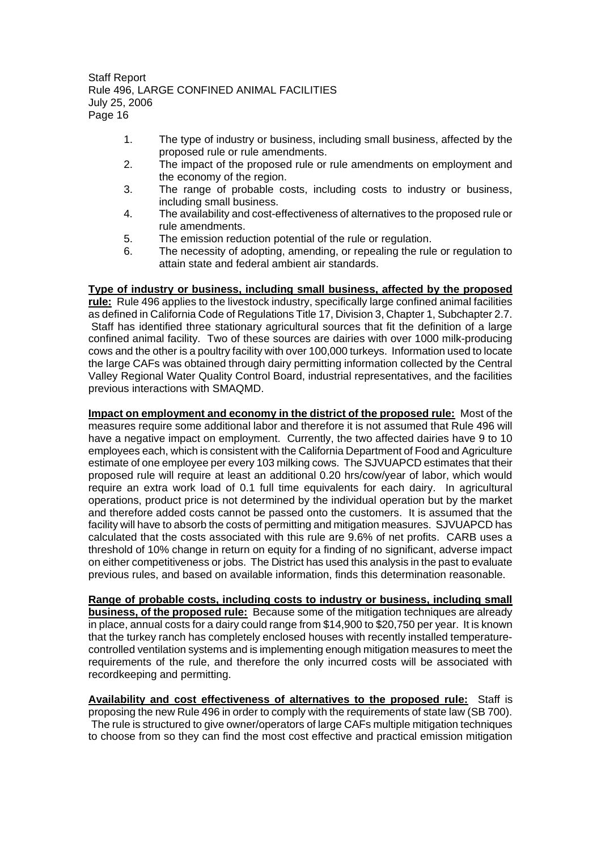- 1. The type of industry or business, including small business, affected by the proposed rule or rule amendments.
- 2. The impact of the proposed rule or rule amendments on employment and the economy of the region.
- 3. The range of probable costs, including costs to industry or business, including small business.
- 4. The availability and cost-effectiveness of alternatives to the proposed rule or rule amendments.
- 5. The emission reduction potential of the rule or regulation.
- 6. The necessity of adopting, amending, or repealing the rule or regulation to attain state and federal ambient air standards.

#### **Type of industry or business, including small business, affected by the proposed**

**rule:** Rule 496 applies to the livestock industry, specifically large confined animal facilities as defined in California Code of Regulations Title 17, Division 3, Chapter 1, Subchapter 2.7. Staff has identified three stationary agricultural sources that fit the definition of a large confined animal facility. Two of these sources are dairies with over 1000 milk-producing cows and the other is a poultry facility with over 100,000 turkeys. Information used to locate the large CAFs was obtained through dairy permitting information collected by the Central Valley Regional Water Quality Control Board, industrial representatives, and the facilities previous interactions with SMAQMD.

**Impact on employment and economy in the district of the proposed rule:** Most of the measures require some additional labor and therefore it is not assumed that Rule 496 will have a negative impact on employment. Currently, the two affected dairies have 9 to 10 employees each, which is consistent with the California Department of Food and Agriculture estimate of one employee per every 103 milking cows. The SJVUAPCD estimates that their proposed rule will require at least an additional 0.20 hrs/cow/year of labor, which would require an extra work load of 0.1 full time equivalents for each dairy. In agricultural operations, product price is not determined by the individual operation but by the market and therefore added costs cannot be passed onto the customers. It is assumed that the facility will have to absorb the costs of permitting and mitigation measures. SJVUAPCD has calculated that the costs associated with this rule are 9.6% of net profits. CARB uses a threshold of 10% change in return on equity for a finding of no significant, adverse impact on either competitiveness or jobs. The District has used this analysis in the past to evaluate previous rules, and based on available information, finds this determination reasonable.

**Range of probable costs, including costs to industry or business, including small business, of the proposed rule:** Because some of the mitigation techniques are already in place, annual costs for a dairy could range from \$14,900 to \$20,750 per year. It is known that the turkey ranch has completely enclosed houses with recently installed temperaturecontrolled ventilation systems and is implementing enough mitigation measures to meet the requirements of the rule, and therefore the only incurred costs will be associated with recordkeeping and permitting.

**Availability and cost effectiveness of alternatives to the proposed rule:** Staff is proposing the new Rule 496 in order to comply with the requirements of state law (SB 700). The rule is structured to give owner/operators of large CAFs multiple mitigation techniques to choose from so they can find the most cost effective and practical emission mitigation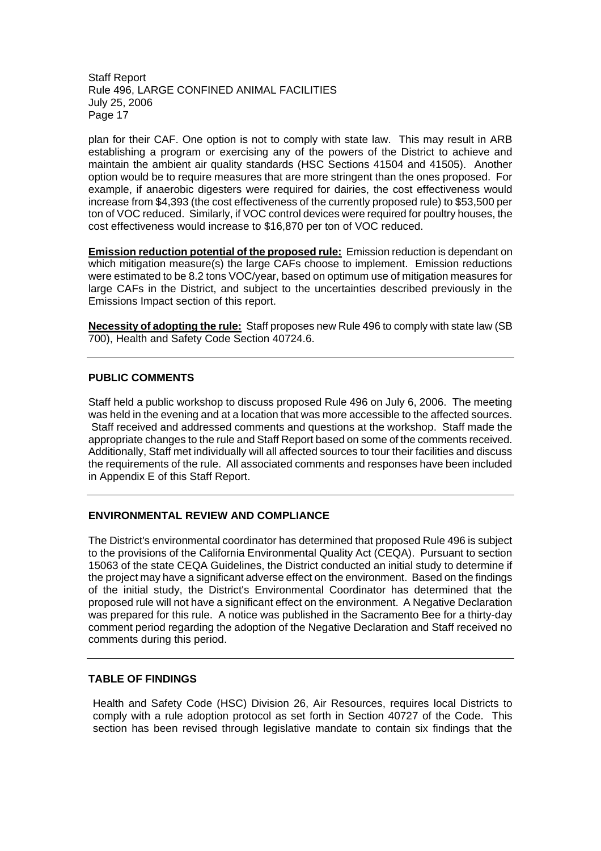plan for their CAF. One option is not to comply with state law. This may result in ARB establishing a program or exercising any of the powers of the District to achieve and maintain the ambient air quality standards (HSC Sections 41504 and 41505). Another option would be to require measures that are more stringent than the ones proposed. For example, if anaerobic digesters were required for dairies, the cost effectiveness would increase from \$4,393 (the cost effectiveness of the currently proposed rule) to \$53,500 per ton of VOC reduced. Similarly, if VOC control devices were required for poultry houses, the cost effectiveness would increase to \$16,870 per ton of VOC reduced.

**Emission reduction potential of the proposed rule:** Emission reduction is dependant on which mitigation measure(s) the large CAFs choose to implement. Emission reductions were estimated to be 8.2 tons VOC/year, based on optimum use of mitigation measures for large CAFs in the District, and subject to the uncertainties described previously in the Emissions Impact section of this report.

**Necessity of adopting the rule:** Staff proposes new Rule 496 to comply with state law (SB 700), Health and Safety Code Section 40724.6.

#### **PUBLIC COMMENTS**

Staff held a public workshop to discuss proposed Rule 496 on July 6, 2006. The meeting was held in the evening and at a location that was more accessible to the affected sources. Staff received and addressed comments and questions at the workshop. Staff made the appropriate changes to the rule and Staff Report based on some of the comments received. Additionally, Staff met individually will all affected sources to tour their facilities and discuss the requirements of the rule. All associated comments and responses have been included in Appendix E of this Staff Report.

#### **ENVIRONMENTAL REVIEW AND COMPLIANCE**

The District's environmental coordinator has determined that proposed Rule 496 is subject to the provisions of the California Environmental Quality Act (CEQA). Pursuant to section 15063 of the state CEQA Guidelines, the District conducted an initial study to determine if the project may have a significant adverse effect on the environment. Based on the findings of the initial study, the District's Environmental Coordinator has determined that the proposed rule will not have a significant effect on the environment. A Negative Declaration was prepared for this rule. A notice was published in the Sacramento Bee for a thirty-day comment period regarding the adoption of the Negative Declaration and Staff received no comments during this period.

#### **TABLE OF FINDINGS**

Health and Safety Code (HSC) Division 26, Air Resources, requires local Districts to comply with a rule adoption protocol as set forth in Section 40727 of the Code. This section has been revised through legislative mandate to contain six findings that the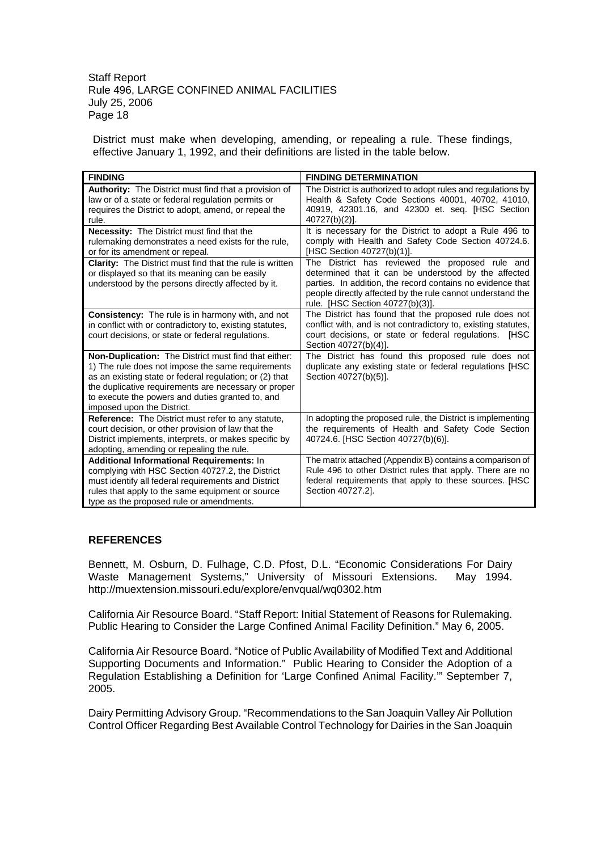District must make when developing, amending, or repealing a rule. These findings, effective January 1, 1992, and their definitions are listed in the table below.

| <b>FINDING</b>                                                                                                                                                                                                                                                                                                 | <b>FINDING DETERMINATION</b>                                                                                                                                                                                                                                            |
|----------------------------------------------------------------------------------------------------------------------------------------------------------------------------------------------------------------------------------------------------------------------------------------------------------------|-------------------------------------------------------------------------------------------------------------------------------------------------------------------------------------------------------------------------------------------------------------------------|
| Authority: The District must find that a provision of<br>law or of a state or federal regulation permits or<br>requires the District to adopt, amend, or repeal the<br>rule.                                                                                                                                   | The District is authorized to adopt rules and regulations by<br>Health & Safety Code Sections 40001, 40702, 41010,<br>40919, 42301.16, and 42300 et. seq. [HSC Section<br>40727(b)(2)].                                                                                 |
| <b>Necessity:</b> The District must find that the<br>rulemaking demonstrates a need exists for the rule,<br>or for its amendment or repeal.                                                                                                                                                                    | It is necessary for the District to adopt a Rule 496 to<br>comply with Health and Safety Code Section 40724.6.<br>[HSC Section 40727(b)(1)].                                                                                                                            |
| <b>Clarity:</b> The District must find that the rule is written<br>or displayed so that its meaning can be easily<br>understood by the persons directly affected by it.                                                                                                                                        | The District has reviewed the proposed rule and<br>determined that it can be understood by the affected<br>parties. In addition, the record contains no evidence that<br>people directly affected by the rule cannot understand the<br>rule. [HSC Section 40727(b)(3)]. |
| <b>Consistency:</b> The rule is in harmony with, and not<br>in conflict with or contradictory to, existing statutes,<br>court decisions, or state or federal regulations.                                                                                                                                      | The District has found that the proposed rule does not<br>conflict with, and is not contradictory to, existing statutes,<br>court decisions, or state or federal regulations. [HSC<br>Section 40727(b)(4)].                                                             |
| Non-Duplication: The District must find that either:<br>1) The rule does not impose the same requirements<br>as an existing state or federal regulation; or (2) that<br>the duplicative requirements are necessary or proper<br>to execute the powers and duties granted to, and<br>imposed upon the District. | The District has found this proposed rule does not<br>duplicate any existing state or federal regulations [HSC<br>Section 40727(b)(5)].                                                                                                                                 |
| <b>Reference:</b> The District must refer to any statute.<br>court decision, or other provision of law that the<br>District implements, interprets, or makes specific by<br>adopting, amending or repealing the rule.                                                                                          | In adopting the proposed rule, the District is implementing<br>the requirements of Health and Safety Code Section<br>40724.6. [HSC Section 40727(b)(6)].                                                                                                                |
| <b>Additional Informational Requirements: In</b><br>complying with HSC Section 40727.2, the District<br>must identify all federal requirements and District<br>rules that apply to the same equipment or source<br>type as the proposed rule or amendments.                                                    | The matrix attached (Appendix B) contains a comparison of<br>Rule 496 to other District rules that apply. There are no<br>federal requirements that apply to these sources. [HSC<br>Section 40727.2].                                                                   |

#### **REFERENCES**

Bennett, M. Osburn, D. Fulhage, C.D. Pfost, D.L. "Economic Considerations For Dairy Waste Management Systems," University of Missouri Extensions. May 1994. http://muextension.missouri.edu/explore/envqual/wq0302.htm

California Air Resource Board. "Staff Report: Initial Statement of Reasons for Rulemaking. Public Hearing to Consider the Large Confined Animal Facility Definition." May 6, 2005.

California Air Resource Board. "Notice of Public Availability of Modified Text and Additional Supporting Documents and Information." Public Hearing to Consider the Adoption of a Regulation Establishing a Definition for 'Large Confined Animal Facility.'" September 7, 2005.

Dairy Permitting Advisory Group. "Recommendations to the San Joaquin Valley Air Pollution Control Officer Regarding Best Available Control Technology for Dairies in the San Joaquin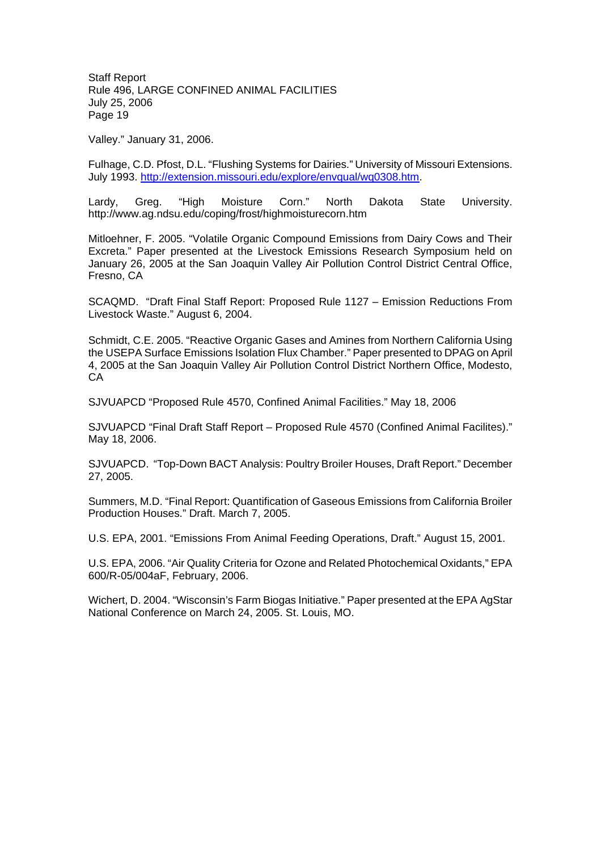Valley." January 31, 2006.

Fulhage, C.D. Pfost, D.L. "Flushing Systems for Dairies." University of Missouri Extensions. July 1993. http://extension.missouri.edu/explore/envqual/wq0308.htm.

Lardy, Greg. "High Moisture Corn." North Dakota State University. http://www.ag.ndsu.edu/coping/frost/highmoisturecorn.htm

Mitloehner, F. 2005. "Volatile Organic Compound Emissions from Dairy Cows and Their Excreta." Paper presented at the Livestock Emissions Research Symposium held on January 26, 2005 at the San Joaquin Valley Air Pollution Control District Central Office, Fresno, CA

SCAQMD. "Draft Final Staff Report: Proposed Rule 1127 – Emission Reductions From Livestock Waste." August 6, 2004.

Schmidt, C.E. 2005. "Reactive Organic Gases and Amines from Northern California Using the USEPA Surface Emissions Isolation Flux Chamber." Paper presented to DPAG on April 4, 2005 at the San Joaquin Valley Air Pollution Control District Northern Office, Modesto, CA

SJVUAPCD "Proposed Rule 4570, Confined Animal Facilities." May 18, 2006

SJVUAPCD "Final Draft Staff Report – Proposed Rule 4570 (Confined Animal Facilites)." May 18, 2006.

SJVUAPCD. "Top-Down BACT Analysis: Poultry Broiler Houses, Draft Report." December 27, 2005.

Summers, M.D. "Final Report: Quantification of Gaseous Emissions from California Broiler Production Houses." Draft. March 7, 2005.

U.S. EPA, 2001. "Emissions From Animal Feeding Operations, Draft." August 15, 2001.

U.S. EPA, 2006. "Air Quality Criteria for Ozone and Related Photochemical Oxidants," EPA 600/R-05/004aF, February, 2006.

Wichert, D. 2004. "Wisconsin's Farm Biogas Initiative." Paper presented at the EPA AgStar National Conference on March 24, 2005. St. Louis, MO.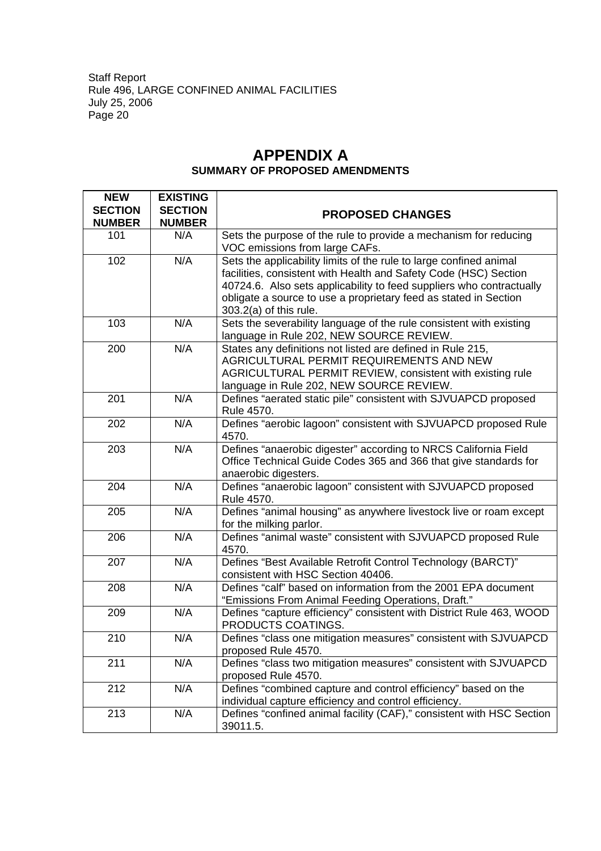## **APPENDIX A SUMMARY OF PROPOSED AMENDMENTS**

| <b>NEW</b>     | <b>EXISTING</b> |                                                                          |
|----------------|-----------------|--------------------------------------------------------------------------|
| <b>SECTION</b> | <b>SECTION</b>  | <b>PROPOSED CHANGES</b>                                                  |
| <b>NUMBER</b>  | <b>NUMBER</b>   |                                                                          |
| 101            | N/A             | Sets the purpose of the rule to provide a mechanism for reducing         |
|                |                 | VOC emissions from large CAFs.                                           |
| 102            | N/A             | Sets the applicability limits of the rule to large confined animal       |
|                |                 | facilities, consistent with Health and Safety Code (HSC) Section         |
|                |                 | 40724.6. Also sets applicability to feed suppliers who contractually     |
|                |                 | obligate a source to use a proprietary feed as stated in Section         |
|                |                 | $303.2(a)$ of this rule.                                                 |
| 103            | N/A             | Sets the severability language of the rule consistent with existing      |
|                |                 | language in Rule 202, NEW SOURCE REVIEW.                                 |
| 200            | N/A             | States any definitions not listed are defined in Rule 215,               |
|                |                 | AGRICULTURAL PERMIT REQUIREMENTS AND NEW                                 |
|                |                 | AGRICULTURAL PERMIT REVIEW, consistent with existing rule                |
|                |                 | language in Rule 202, NEW SOURCE REVIEW.                                 |
| 201            | N/A             | Defines "aerated static pile" consistent with SJVUAPCD proposed          |
| 202            | N/A             | Rule 4570.                                                               |
|                |                 | Defines "aerobic lagoon" consistent with SJVUAPCD proposed Rule<br>4570. |
| 203            | N/A             | Defines "anaerobic digester" according to NRCS California Field          |
|                |                 | Office Technical Guide Codes 365 and 366 that give standards for         |
|                |                 | anaerobic digesters.                                                     |
| 204            | N/A             | Defines "anaerobic lagoon" consistent with SJVUAPCD proposed             |
|                |                 | Rule 4570.                                                               |
| 205            | N/A             | Defines "animal housing" as anywhere livestock live or roam except       |
|                |                 | for the milking parlor.                                                  |
| 206            | N/A             | Defines "animal waste" consistent with SJVUAPCD proposed Rule            |
|                |                 | 4570.                                                                    |
| 207            | N/A             | Defines "Best Available Retrofit Control Technology (BARCT)"             |
|                |                 | consistent with HSC Section 40406.                                       |
| 208            | N/A             | Defines "calf" based on information from the 2001 EPA document           |
|                |                 | "Emissions From Animal Feeding Operations, Draft."                       |
| 209            | N/A             | Defines "capture efficiency" consistent with District Rule 463, WOOD     |
|                |                 | PRODUCTS COATINGS.                                                       |
| 210            | N/A             | Defines "class one mitigation measures" consistent with SJVUAPCD         |
|                |                 | proposed Rule 4570.                                                      |
| 211            | N/A             | Defines "class two mitigation measures" consistent with SJVUAPCD         |
|                |                 | proposed Rule 4570.                                                      |
| 212            | N/A             | Defines "combined capture and control efficiency" based on the           |
|                |                 | individual capture efficiency and control efficiency.                    |
| 213            | N/A             | Defines "confined animal facility (CAF)," consistent with HSC Section    |
|                |                 | 39011.5.                                                                 |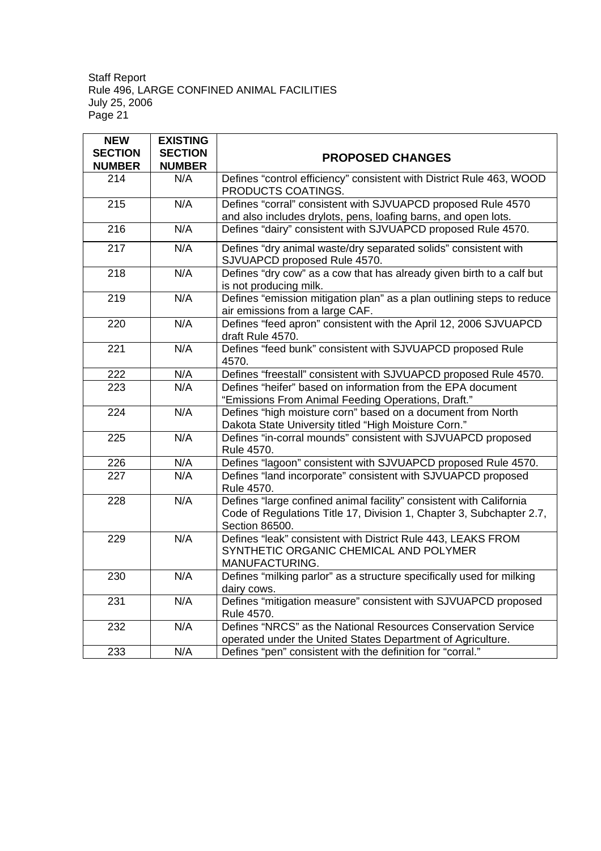| <b>NEW</b><br><b>SECTION</b> | <b>EXISTING</b><br><b>SECTION</b> |                                                                                                                                                               |
|------------------------------|-----------------------------------|---------------------------------------------------------------------------------------------------------------------------------------------------------------|
| <b>NUMBER</b>                | <b>NUMBER</b>                     | <b>PROPOSED CHANGES</b>                                                                                                                                       |
| 214                          | N/A                               | Defines "control efficiency" consistent with District Rule 463, WOOD<br>PRODUCTS COATINGS.                                                                    |
| $\overline{215}$             | N/A                               | Defines "corral" consistent with SJVUAPCD proposed Rule 4570<br>and also includes drylots, pens, loafing barns, and open lots.                                |
| 216                          | N/A                               | Defines "dairy" consistent with SJVUAPCD proposed Rule 4570.                                                                                                  |
| 217                          | N/A                               | Defines "dry animal waste/dry separated solids" consistent with<br>SJVUAPCD proposed Rule 4570.                                                               |
| 218                          | N/A                               | Defines "dry cow" as a cow that has already given birth to a calf but<br>is not producing milk.                                                               |
| 219                          | N/A                               | Defines "emission mitigation plan" as a plan outlining steps to reduce<br>air emissions from a large CAF.                                                     |
| 220                          | N/A                               | Defines "feed apron" consistent with the April 12, 2006 SJVUAPCD<br>draft Rule 4570.                                                                          |
| $\overline{221}$             | N/A                               | Defines "feed bunk" consistent with SJVUAPCD proposed Rule<br>4570.                                                                                           |
| 222                          | N/A                               | Defines "freestall" consistent with SJVUAPCD proposed Rule 4570.                                                                                              |
| $\overline{223}$             | N/A                               | Defines "heifer" based on information from the EPA document<br>"Emissions From Animal Feeding Operations, Draft."                                             |
| 224                          | N/A                               | Defines "high moisture corn" based on a document from North<br>Dakota State University titled "High Moisture Corn."                                           |
| 225                          | N/A                               | Defines "in-corral mounds" consistent with SJVUAPCD proposed<br>Rule 4570.                                                                                    |
| 226                          | N/A                               | Defines "lagoon" consistent with SJVUAPCD proposed Rule 4570.                                                                                                 |
| 227                          | N/A                               | Defines "land incorporate" consistent with SJVUAPCD proposed<br>Rule 4570.                                                                                    |
| 228                          | N/A                               | Defines "large confined animal facility" consistent with California<br>Code of Regulations Title 17, Division 1, Chapter 3, Subchapter 2.7,<br>Section 86500. |
| 229                          | N/A                               | Defines "leak" consistent with District Rule 443, LEAKS FROM<br>SYNTHETIC ORGANIC CHEMICAL AND POLYMER<br>MANUFACTURING.                                      |
| 230                          | N/A                               | Defines "milking parlor" as a structure specifically used for milking<br>dairy cows.                                                                          |
| 231                          | N/A                               | Defines "mitigation measure" consistent with SJVUAPCD proposed<br>Rule 4570.                                                                                  |
| 232                          | N/A                               | Defines "NRCS" as the National Resources Conservation Service<br>operated under the United States Department of Agriculture.                                  |
| 233                          | N/A                               | Defines "pen" consistent with the definition for "corral."                                                                                                    |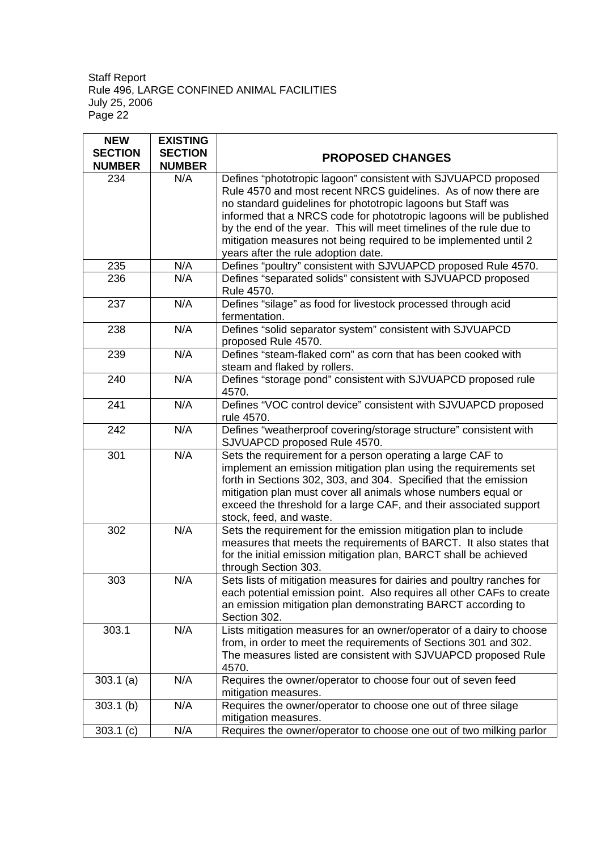| <b>NEW</b>     | <b>EXISTING</b> |                                                                       |  |
|----------------|-----------------|-----------------------------------------------------------------------|--|
| <b>SECTION</b> | <b>SECTION</b>  | <b>PROPOSED CHANGES</b>                                               |  |
| <b>NUMBER</b>  | <b>NUMBER</b>   |                                                                       |  |
| 234            | N/A             | Defines "phototropic lagoon" consistent with SJVUAPCD proposed        |  |
|                |                 | Rule 4570 and most recent NRCS guidelines. As of now there are        |  |
|                |                 | no standard guidelines for phototropic lagoons but Staff was          |  |
|                |                 | informed that a NRCS code for phototropic lagoons will be published   |  |
|                |                 | by the end of the year. This will meet timelines of the rule due to   |  |
|                |                 | mitigation measures not being required to be implemented until 2      |  |
|                |                 | years after the rule adoption date.                                   |  |
| 235            | N/A             | Defines "poultry" consistent with SJVUAPCD proposed Rule 4570.        |  |
| 236            | N/A             | Defines "separated solids" consistent with SJVUAPCD proposed          |  |
|                |                 | Rule 4570.                                                            |  |
| 237            | N/A             | Defines "silage" as food for livestock processed through acid         |  |
|                |                 | fermentation.                                                         |  |
| 238            | N/A             | Defines "solid separator system" consistent with SJVUAPCD             |  |
|                |                 | proposed Rule 4570.                                                   |  |
| 239            | N/A             | Defines "steam-flaked corn" as corn that has been cooked with         |  |
|                |                 | steam and flaked by rollers.                                          |  |
| 240            | N/A             | Defines "storage pond" consistent with SJVUAPCD proposed rule         |  |
|                |                 | 4570.                                                                 |  |
| 241            | N/A             | Defines "VOC control device" consistent with SJVUAPCD proposed        |  |
|                |                 | rule 4570.                                                            |  |
| 242            | N/A             | Defines "weatherproof covering/storage structure" consistent with     |  |
|                |                 | SJVUAPCD proposed Rule 4570.                                          |  |
| 301            | N/A             | Sets the requirement for a person operating a large CAF to            |  |
|                |                 | implement an emission mitigation plan using the requirements set      |  |
|                |                 | forth in Sections 302, 303, and 304. Specified that the emission      |  |
|                |                 | mitigation plan must cover all animals whose numbers equal or         |  |
|                |                 | exceed the threshold for a large CAF, and their associated support    |  |
|                |                 | stock, feed, and waste.                                               |  |
| 302            | N/A             | Sets the requirement for the emission mitigation plan to include      |  |
|                |                 | measures that meets the requirements of BARCT. It also states that    |  |
|                |                 | for the initial emission mitigation plan, BARCT shall be achieved     |  |
|                |                 | through Section 303.                                                  |  |
| 303            | N/A             | Sets lists of mitigation measures for dairies and poultry ranches for |  |
|                |                 | each potential emission point. Also requires all other CAFs to create |  |
|                |                 | an emission mitigation plan demonstrating BARCT according to          |  |
|                |                 | Section 302.                                                          |  |
| 303.1          | N/A             | Lists mitigation measures for an owner/operator of a dairy to choose  |  |
|                |                 | from, in order to meet the requirements of Sections 301 and 302.      |  |
|                |                 | The measures listed are consistent with SJVUAPCD proposed Rule        |  |
|                |                 | 4570.                                                                 |  |
| 303.1(a)       | N/A             | Requires the owner/operator to choose four out of seven feed          |  |
|                |                 | mitigation measures.                                                  |  |
| $303.1$ (b)    | N/A             | Requires the owner/operator to choose one out of three silage         |  |
|                |                 | mitigation measures.                                                  |  |
| $303.1$ (c)    | N/A             | Requires the owner/operator to choose one out of two milking parlor   |  |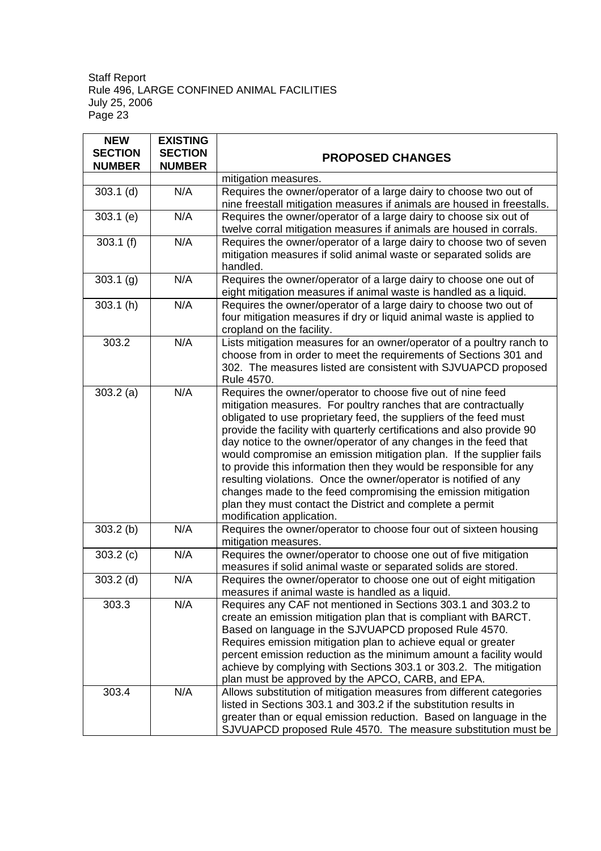| <b>NEW</b>     | <b>EXISTING</b> |                                                                                                                           |
|----------------|-----------------|---------------------------------------------------------------------------------------------------------------------------|
| <b>SECTION</b> | <b>SECTION</b>  | <b>PROPOSED CHANGES</b>                                                                                                   |
| <b>NUMBER</b>  | <b>NUMBER</b>   |                                                                                                                           |
|                |                 | mitigation measures.                                                                                                      |
| $303.1$ (d)    | N/A             | Requires the owner/operator of a large dairy to choose two out of                                                         |
|                |                 | nine freestall mitigation measures if animals are housed in freestalls.                                                   |
| $303.1$ (e)    | N/A             | Requires the owner/operator of a large dairy to choose six out of                                                         |
|                |                 | twelve corral mitigation measures if animals are housed in corrals.                                                       |
| 303.1(f)       | N/A             | Requires the owner/operator of a large dairy to choose two of seven                                                       |
|                |                 | mitigation measures if solid animal waste or separated solids are                                                         |
|                |                 | handled.                                                                                                                  |
| 303.1(g)       | N/A             | Requires the owner/operator of a large dairy to choose one out of                                                         |
|                |                 | eight mitigation measures if animal waste is handled as a liquid.                                                         |
| 303.1(h)       | N/A             | Requires the owner/operator of a large dairy to choose two out of                                                         |
|                |                 | four mitigation measures if dry or liquid animal waste is applied to                                                      |
|                |                 | cropland on the facility.                                                                                                 |
| 303.2          | N/A             | Lists mitigation measures for an owner/operator of a poultry ranch to                                                     |
|                |                 | choose from in order to meet the requirements of Sections 301 and                                                         |
|                |                 | 302. The measures listed are consistent with SJVUAPCD proposed                                                            |
|                |                 | Rule 4570.                                                                                                                |
| 303.2(a)       | N/A             | Requires the owner/operator to choose five out of nine feed                                                               |
|                |                 | mitigation measures. For poultry ranches that are contractually                                                           |
|                |                 | obligated to use proprietary feed, the suppliers of the feed must                                                         |
|                |                 | provide the facility with quarterly certifications and also provide 90                                                    |
|                |                 | day notice to the owner/operator of any changes in the feed that                                                          |
|                |                 | would compromise an emission mitigation plan. If the supplier fails                                                       |
|                |                 | to provide this information then they would be responsible for any                                                        |
|                |                 | resulting violations. Once the owner/operator is notified of any                                                          |
|                |                 | changes made to the feed compromising the emission mitigation                                                             |
|                |                 | plan they must contact the District and complete a permit                                                                 |
|                |                 | modification application.                                                                                                 |
| $303.2$ (b)    | N/A             | Requires the owner/operator to choose four out of sixteen housing                                                         |
|                |                 | mitigation measures.                                                                                                      |
| 303.2(c)       | N/A             | Requires the owner/operator to choose one out of five mitigation                                                          |
|                | N/A             | measures if solid animal waste or separated solids are stored.                                                            |
| $303.2$ (d)    |                 | Requires the owner/operator to choose one out of eight mitigation                                                         |
|                | N/A             | measures if animal waste is handled as a liquid.                                                                          |
| 303.3          |                 | Requires any CAF not mentioned in Sections 303.1 and 303.2 to                                                             |
|                |                 | create an emission mitigation plan that is compliant with BARCT.<br>Based on language in the SJVUAPCD proposed Rule 4570. |
|                |                 | Requires emission mitigation plan to achieve equal or greater                                                             |
|                |                 | percent emission reduction as the minimum amount a facility would                                                         |
|                |                 | achieve by complying with Sections 303.1 or 303.2. The mitigation                                                         |
|                |                 | plan must be approved by the APCO, CARB, and EPA.                                                                         |
| 303.4          | N/A             | Allows substitution of mitigation measures from different categories                                                      |
|                |                 | listed in Sections 303.1 and 303.2 if the substitution results in                                                         |
|                |                 | greater than or equal emission reduction. Based on language in the                                                        |
|                |                 | SJVUAPCD proposed Rule 4570. The measure substitution must be                                                             |
|                |                 |                                                                                                                           |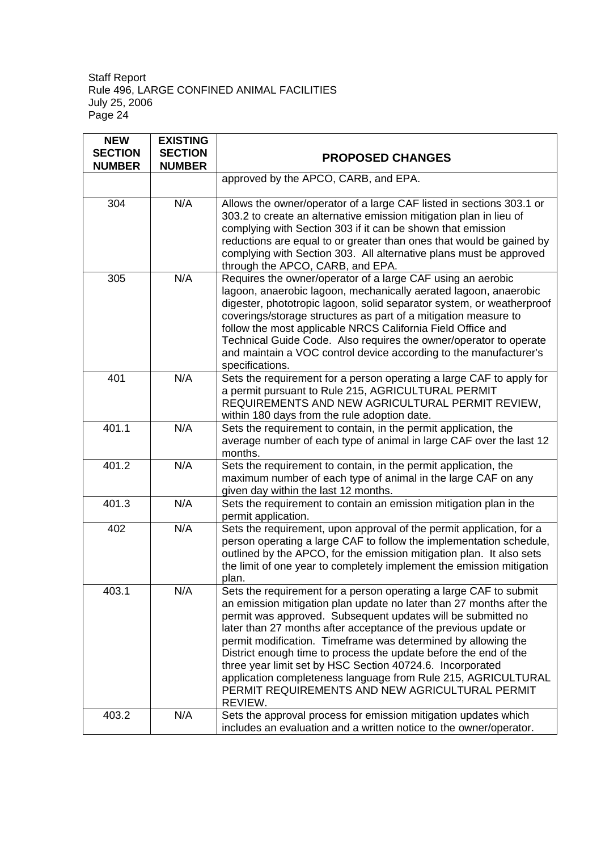| <b>NEW</b><br><b>SECTION</b><br><b>NUMBER</b> | <b>EXISTING</b><br><b>SECTION</b><br><b>NUMBER</b> | <b>PROPOSED CHANGES</b>                                                                                                                                                                                                                                                                                                                                                                                                                                                                                                                                                                                       |  |
|-----------------------------------------------|----------------------------------------------------|---------------------------------------------------------------------------------------------------------------------------------------------------------------------------------------------------------------------------------------------------------------------------------------------------------------------------------------------------------------------------------------------------------------------------------------------------------------------------------------------------------------------------------------------------------------------------------------------------------------|--|
|                                               |                                                    | approved by the APCO, CARB, and EPA.                                                                                                                                                                                                                                                                                                                                                                                                                                                                                                                                                                          |  |
| 304                                           | N/A                                                | Allows the owner/operator of a large CAF listed in sections 303.1 or<br>303.2 to create an alternative emission mitigation plan in lieu of<br>complying with Section 303 if it can be shown that emission<br>reductions are equal to or greater than ones that would be gained by<br>complying with Section 303. All alternative plans must be approved<br>through the APCO, CARB, and EPA.                                                                                                                                                                                                                   |  |
| 305                                           | N/A                                                | Requires the owner/operator of a large CAF using an aerobic<br>lagoon, anaerobic lagoon, mechanically aerated lagoon, anaerobic<br>digester, phototropic lagoon, solid separator system, or weatherproof<br>coverings/storage structures as part of a mitigation measure to<br>follow the most applicable NRCS California Field Office and<br>Technical Guide Code. Also requires the owner/operator to operate<br>and maintain a VOC control device according to the manufacturer's<br>specifications.                                                                                                       |  |
| 401                                           | N/A                                                | Sets the requirement for a person operating a large CAF to apply for<br>a permit pursuant to Rule 215, AGRICULTURAL PERMIT<br>REQUIREMENTS AND NEW AGRICULTURAL PERMIT REVIEW,<br>within 180 days from the rule adoption date.                                                                                                                                                                                                                                                                                                                                                                                |  |
| 401.1                                         | N/A                                                | Sets the requirement to contain, in the permit application, the<br>average number of each type of animal in large CAF over the last 12<br>months.                                                                                                                                                                                                                                                                                                                                                                                                                                                             |  |
| 401.2                                         | N/A                                                | Sets the requirement to contain, in the permit application, the<br>maximum number of each type of animal in the large CAF on any<br>given day within the last 12 months.                                                                                                                                                                                                                                                                                                                                                                                                                                      |  |
| 401.3                                         | N/A                                                | Sets the requirement to contain an emission mitigation plan in the<br>permit application.                                                                                                                                                                                                                                                                                                                                                                                                                                                                                                                     |  |
| 402                                           | N/A                                                | Sets the requirement, upon approval of the permit application, for a<br>person operating a large CAF to follow the implementation schedule,<br>outlined by the APCO, for the emission mitigation plan. It also sets<br>the limit of one year to completely implement the emission mitigation<br>plan.                                                                                                                                                                                                                                                                                                         |  |
| 403.1                                         | N/A                                                | Sets the requirement for a person operating a large CAF to submit<br>an emission mitigation plan update no later than 27 months after the<br>permit was approved. Subsequent updates will be submitted no<br>later than 27 months after acceptance of the previous update or<br>permit modification. Timeframe was determined by allowing the<br>District enough time to process the update before the end of the<br>three year limit set by HSC Section 40724.6. Incorporated<br>application completeness language from Rule 215, AGRICULTURAL<br>PERMIT REQUIREMENTS AND NEW AGRICULTURAL PERMIT<br>REVIEW. |  |
| 403.2                                         | N/A                                                | Sets the approval process for emission mitigation updates which<br>includes an evaluation and a written notice to the owner/operator.                                                                                                                                                                                                                                                                                                                                                                                                                                                                         |  |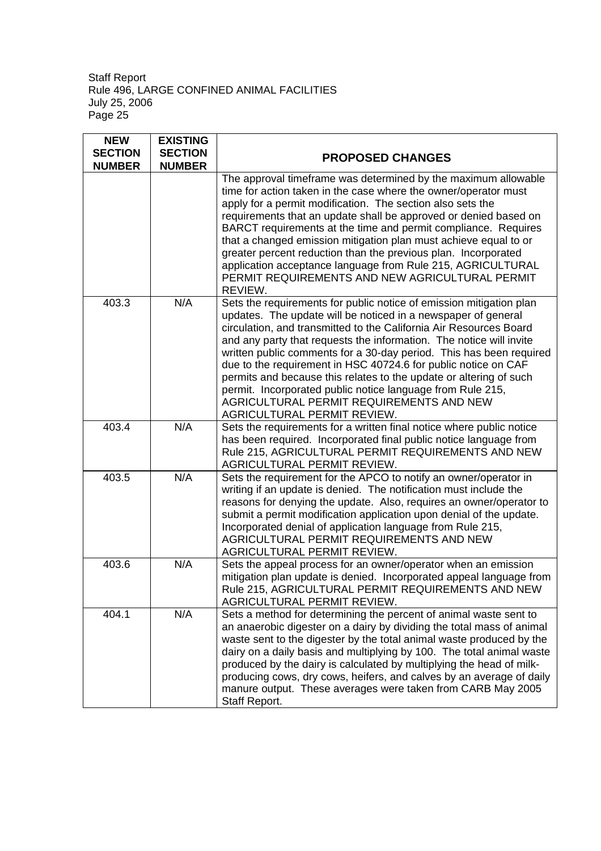| <b>NEW</b><br><b>SECTION</b><br><b>NUMBER</b> | <b>EXISTING</b><br><b>SECTION</b><br><b>NUMBER</b> | <b>PROPOSED CHANGES</b>                                                                                                                                                                                                                                                                                                                                                                                                                                                                                                                                                                                                                   |  |
|-----------------------------------------------|----------------------------------------------------|-------------------------------------------------------------------------------------------------------------------------------------------------------------------------------------------------------------------------------------------------------------------------------------------------------------------------------------------------------------------------------------------------------------------------------------------------------------------------------------------------------------------------------------------------------------------------------------------------------------------------------------------|--|
|                                               |                                                    | The approval timeframe was determined by the maximum allowable<br>time for action taken in the case where the owner/operator must<br>apply for a permit modification. The section also sets the<br>requirements that an update shall be approved or denied based on<br>BARCT requirements at the time and permit compliance. Requires<br>that a changed emission mitigation plan must achieve equal to or<br>greater percent reduction than the previous plan. Incorporated<br>application acceptance language from Rule 215, AGRICULTURAL<br>PERMIT REQUIREMENTS AND NEW AGRICULTURAL PERMIT<br>REVIEW.                                  |  |
| 403.3                                         | N/A                                                | Sets the requirements for public notice of emission mitigation plan<br>updates. The update will be noticed in a newspaper of general<br>circulation, and transmitted to the California Air Resources Board<br>and any party that requests the information. The notice will invite<br>written public comments for a 30-day period. This has been required<br>due to the requirement in HSC 40724.6 for public notice on CAF<br>permits and because this relates to the update or altering of such<br>permit. Incorporated public notice language from Rule 215,<br>AGRICULTURAL PERMIT REQUIREMENTS AND NEW<br>AGRICULTURAL PERMIT REVIEW. |  |
| 403.4                                         | N/A                                                | Sets the requirements for a written final notice where public notice<br>has been required. Incorporated final public notice language from<br>Rule 215, AGRICULTURAL PERMIT REQUIREMENTS AND NEW<br>AGRICULTURAL PERMIT REVIEW.                                                                                                                                                                                                                                                                                                                                                                                                            |  |
| 403.5                                         | N/A                                                | Sets the requirement for the APCO to notify an owner/operator in<br>writing if an update is denied. The notification must include the<br>reasons for denying the update. Also, requires an owner/operator to<br>submit a permit modification application upon denial of the update.<br>Incorporated denial of application language from Rule 215,<br>AGRICULTURAL PERMIT REQUIREMENTS AND NEW<br>AGRICULTURAL PERMIT REVIEW.                                                                                                                                                                                                              |  |
| 403.6                                         | N/A                                                | Sets the appeal process for an owner/operator when an emission<br>mitigation plan update is denied. Incorporated appeal language from<br>Rule 215, AGRICULTURAL PERMIT REQUIREMENTS AND NEW<br>AGRICULTURAL PERMIT REVIEW.                                                                                                                                                                                                                                                                                                                                                                                                                |  |
| 404.1                                         | N/A                                                | Sets a method for determining the percent of animal waste sent to<br>an anaerobic digester on a dairy by dividing the total mass of animal<br>waste sent to the digester by the total animal waste produced by the<br>dairy on a daily basis and multiplying by 100. The total animal waste<br>produced by the dairy is calculated by multiplying the head of milk-<br>producing cows, dry cows, heifers, and calves by an average of daily<br>manure output. These averages were taken from CARB May 2005<br>Staff Report.                                                                                                               |  |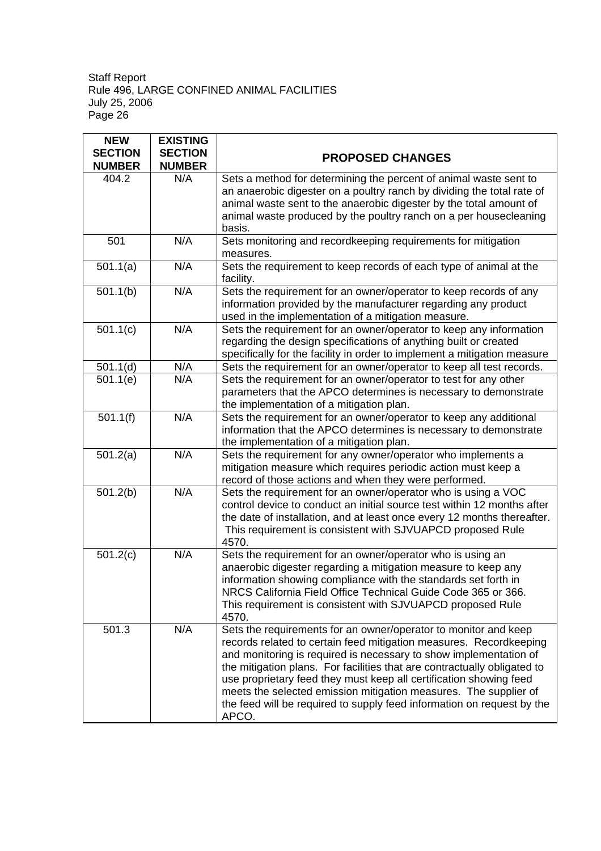| <b>NEW</b>     | <b>EXISTING</b> |                                                                                                                                                                                                                                                                                                                                                                                                                                                                                                                     |
|----------------|-----------------|---------------------------------------------------------------------------------------------------------------------------------------------------------------------------------------------------------------------------------------------------------------------------------------------------------------------------------------------------------------------------------------------------------------------------------------------------------------------------------------------------------------------|
| <b>SECTION</b> | <b>SECTION</b>  | <b>PROPOSED CHANGES</b>                                                                                                                                                                                                                                                                                                                                                                                                                                                                                             |
| <b>NUMBER</b>  | <b>NUMBER</b>   |                                                                                                                                                                                                                                                                                                                                                                                                                                                                                                                     |
| 404.2          | N/A             | Sets a method for determining the percent of animal waste sent to<br>an anaerobic digester on a poultry ranch by dividing the total rate of<br>animal waste sent to the anaerobic digester by the total amount of<br>animal waste produced by the poultry ranch on a per housecleaning<br>basis.                                                                                                                                                                                                                    |
| 501            | N/A             | Sets monitoring and recordkeeping requirements for mitigation<br>measures.                                                                                                                                                                                                                                                                                                                                                                                                                                          |
| 501.1(a)       | N/A             | Sets the requirement to keep records of each type of animal at the<br>facility.                                                                                                                                                                                                                                                                                                                                                                                                                                     |
| 501.1(b)       | N/A             | Sets the requirement for an owner/operator to keep records of any<br>information provided by the manufacturer regarding any product<br>used in the implementation of a mitigation measure.                                                                                                                                                                                                                                                                                                                          |
| 501.1(c)       | N/A             | Sets the requirement for an owner/operator to keep any information<br>regarding the design specifications of anything built or created<br>specifically for the facility in order to implement a mitigation measure                                                                                                                                                                                                                                                                                                  |
| 501.1(d)       | N/A             | Sets the requirement for an owner/operator to keep all test records.                                                                                                                                                                                                                                                                                                                                                                                                                                                |
| 501.1(e)       | N/A             | Sets the requirement for an owner/operator to test for any other<br>parameters that the APCO determines is necessary to demonstrate<br>the implementation of a mitigation plan.                                                                                                                                                                                                                                                                                                                                     |
| 501.1(f)       | N/A             | Sets the requirement for an owner/operator to keep any additional<br>information that the APCO determines is necessary to demonstrate<br>the implementation of a mitigation plan.                                                                                                                                                                                                                                                                                                                                   |
| 501.2(a)       | N/A             | Sets the requirement for any owner/operator who implements a<br>mitigation measure which requires periodic action must keep a<br>record of those actions and when they were performed.                                                                                                                                                                                                                                                                                                                              |
| 501.2(b)       | N/A             | Sets the requirement for an owner/operator who is using a VOC<br>control device to conduct an initial source test within 12 months after<br>the date of installation, and at least once every 12 months thereafter.<br>This requirement is consistent with SJVUAPCD proposed Rule<br>4570.                                                                                                                                                                                                                          |
| 501.2(c)       | N/A             | Sets the requirement for an owner/operator who is using an<br>anaerobic digester regarding a mitigation measure to keep any<br>information showing compliance with the standards set forth in<br>NRCS California Field Office Technical Guide Code 365 or 366.<br>This requirement is consistent with SJVUAPCD proposed Rule<br>4570.                                                                                                                                                                               |
| 501.3          | N/A             | Sets the requirements for an owner/operator to monitor and keep<br>records related to certain feed mitigation measures. Recordkeeping<br>and monitoring is required is necessary to show implementation of<br>the mitigation plans. For facilities that are contractually obligated to<br>use proprietary feed they must keep all certification showing feed<br>meets the selected emission mitigation measures. The supplier of<br>the feed will be required to supply feed information on request by the<br>APCO. |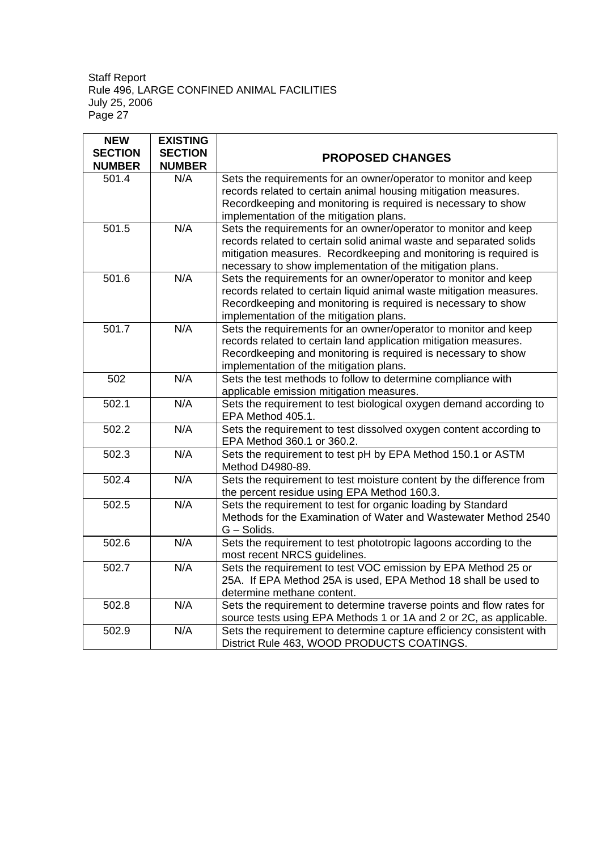| <b>NEW</b>     | <b>EXISTING</b> |                                                                      |
|----------------|-----------------|----------------------------------------------------------------------|
| <b>SECTION</b> | <b>SECTION</b>  | <b>PROPOSED CHANGES</b>                                              |
| <b>NUMBER</b>  | <b>NUMBER</b>   |                                                                      |
| 501.4          | N/A             | Sets the requirements for an owner/operator to monitor and keep      |
|                |                 | records related to certain animal housing mitigation measures.       |
|                |                 | Recordkeeping and monitoring is required is necessary to show        |
|                |                 | implementation of the mitigation plans.                              |
| 501.5          | N/A             | Sets the requirements for an owner/operator to monitor and keep      |
|                |                 | records related to certain solid animal waste and separated solids   |
|                |                 | mitigation measures. Recordkeeping and monitoring is required is     |
|                |                 | necessary to show implementation of the mitigation plans.            |
| 501.6          | N/A             | Sets the requirements for an owner/operator to monitor and keep      |
|                |                 | records related to certain liquid animal waste mitigation measures.  |
|                |                 | Recordkeeping and monitoring is required is necessary to show        |
|                |                 | implementation of the mitigation plans.                              |
| 501.7          | N/A             | Sets the requirements for an owner/operator to monitor and keep      |
|                |                 | records related to certain land application mitigation measures.     |
|                |                 | Recordkeeping and monitoring is required is necessary to show        |
|                |                 | implementation of the mitigation plans.                              |
| 502            | N/A             | Sets the test methods to follow to determine compliance with         |
|                |                 | applicable emission mitigation measures.                             |
| 502.1          | N/A             | Sets the requirement to test biological oxygen demand according to   |
|                |                 | EPA Method 405.1.                                                    |
| 502.2          | N/A             | Sets the requirement to test dissolved oxygen content according to   |
|                |                 | EPA Method 360.1 or 360.2.                                           |
| 502.3          | N/A             | Sets the requirement to test pH by EPA Method 150.1 or ASTM          |
|                |                 | Method D4980-89.                                                     |
| 502.4          | N/A             | Sets the requirement to test moisture content by the difference from |
|                |                 | the percent residue using EPA Method 160.3.                          |
| 502.5          | N/A             | Sets the requirement to test for organic loading by Standard         |
|                |                 | Methods for the Examination of Water and Wastewater Method 2540      |
|                |                 | G - Solids.                                                          |
| 502.6          | N/A             | Sets the requirement to test phototropic lagoons according to the    |
|                |                 | most recent NRCS guidelines.                                         |
| 502.7          | N/A             | Sets the requirement to test VOC emission by EPA Method 25 or        |
|                |                 | 25A. If EPA Method 25A is used, EPA Method 18 shall be used to       |
|                |                 | determine methane content.                                           |
| 502.8          | N/A             | Sets the requirement to determine traverse points and flow rates for |
|                |                 | source tests using EPA Methods 1 or 1A and 2 or 2C, as applicable.   |
| 502.9          | N/A             | Sets the requirement to determine capture efficiency consistent with |
|                |                 | District Rule 463, WOOD PRODUCTS COATINGS.                           |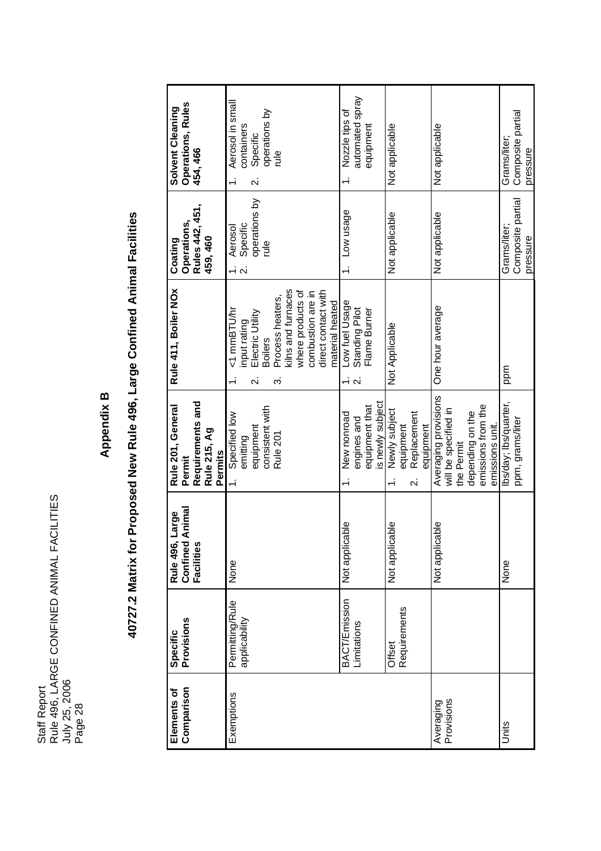# **Appendix B**

# 40727.2 Matrix for Proposed New Rule 496, Large Confined Animal Facilities **40727.2 Matrix for Proposed New Rule 496, Large Confined Animal Facilities**

| <b>Operations, Rules</b><br>Solvent Cleaning<br>454, 466                   | Aerosol in small<br>operations by<br>containers<br>Specific<br>$\frac{1}{2}$<br>Ń                                                                                                                          | automated spray<br>Nozzle tips of<br>equipment<br>Not applicable                                                                 | Not applicable                                                                                                          | Composite partial<br>Grams/liter;<br>pressure |
|----------------------------------------------------------------------------|------------------------------------------------------------------------------------------------------------------------------------------------------------------------------------------------------------|----------------------------------------------------------------------------------------------------------------------------------|-------------------------------------------------------------------------------------------------------------------------|-----------------------------------------------|
| Rules 442, 451,<br>Operations,<br>459, 460<br>Coating                      | operations by<br>Aerosol<br>Specific<br>$\frac{1}{2}$<br>$\frac{1}{2}$ $\alpha$                                                                                                                            | Low usage<br>Not applicable                                                                                                      | Not applicable                                                                                                          | Composite partial<br>Grams/liter;<br>pressure |
| Rule 411, Boiler NOx                                                       | kilns and furnaces<br>where products of<br>direct contact with<br>combustion are in<br>Process heaters,<br>material heated<br><1 mmBTU/hr<br>input rating<br>Electric Utility<br><b>Boilers</b><br>က<br>نہ | Low fuel Usage<br>Standing Pilot<br>Flame Burner<br>Not Applicable<br>$\overline{\mathsf{N}}$                                    | One hour average                                                                                                        | ppm                                           |
| Requirements and<br>Rule 201, General<br>Rule 215, Ag<br>Permits<br>Permit | consistent with<br>Specified low<br>emitting<br>equipment<br>Rule 201                                                                                                                                      | is newly subject<br>equipment that<br>Newly subject<br>Replacement<br>New nonroad<br>engines and<br>equipment<br>equipment<br>Νi | Averaging provisions<br>emissions from the<br>will be specified in<br>depending on the<br>emissions unit.<br>the Permit | lbs/day; lbs/quarter,<br>ppm, grams/liter     |
| Animal<br><b>arge</b><br>Confined<br>Rule 496,<br>Facilities               | None                                                                                                                                                                                                       | Not applicable<br>Not applicable                                                                                                 | Not applicable                                                                                                          | None                                          |
| Specific<br>Provisions                                                     | Permitting/Rule<br>applicability                                                                                                                                                                           | <b>BACT/Emission</b><br>Requirements<br>Limitations<br>Offset                                                                    |                                                                                                                         |                                               |
| Comparison<br>Elements of                                                  | Exemptions                                                                                                                                                                                                 |                                                                                                                                  | Averaging<br>Provisions                                                                                                 | Units                                         |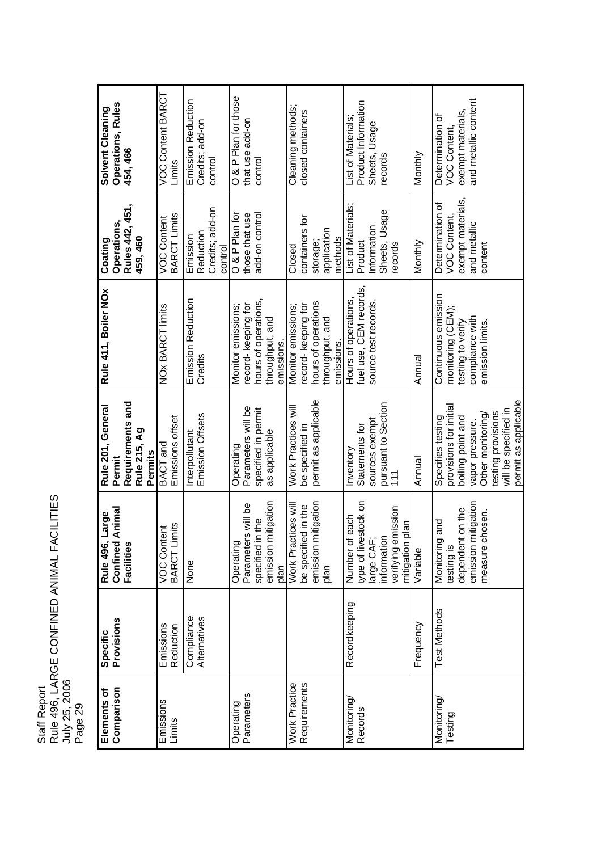| Rule 496, LARGE CONFINED ANIMAL FACILITIES<br><b>Staff Report</b> |
|-------------------------------------------------------------------|
| July 25, 2006                                                     |
| Page 29                                                           |

| Operations, Rules<br>Solvent Cleaning<br>454, 466                          | VOC Content BARCT<br>Limits               | <b>Emission Reduction</b><br>Credits; add-on<br>control | O & P Plan for those<br>that use add-on<br>control                                                | Cleaning methods;<br>closed containers                                                           | Product Information<br>List of Materials;<br>Sheets, Usage<br>Monthly<br>records                                              | and metallic content<br>exempt materials,<br>Determination of<br>VOC Content,                                                                                                  |
|----------------------------------------------------------------------------|-------------------------------------------|---------------------------------------------------------|---------------------------------------------------------------------------------------------------|--------------------------------------------------------------------------------------------------|-------------------------------------------------------------------------------------------------------------------------------|--------------------------------------------------------------------------------------------------------------------------------------------------------------------------------|
| Rules 442, 451,<br>Operations,<br>459, 460<br>Coating                      | <b>BARCT Limits</b><br><b>VOC Content</b> | Credits; add-on<br>Reduction<br>Emission<br>control     | O & P Plan for<br>add-on control<br>those that use                                                | containers for<br>application<br>methods<br>storage;<br>Closed                                   | List of Materials;<br>Sheets, Usage<br>Information<br>Product<br>Monthly<br>records                                           | exempt materials,<br>Determination of<br>VOC Content,<br>and metallic<br>content                                                                                               |
| Rule 411, Boiler NOx                                                       | <b>NOx BARCT limits</b>                   | Emission Reduction<br>Credits                           | hours of operations,<br>record-keeping for<br>Monitor emissions;<br>throughput, and<br>emissions. | hours of operations<br>record-keeping for<br>Monitor emissions;<br>throughput, and<br>emissions. | fuel use, CEM records,<br>Hours of operations,<br>source test records.<br>Annual                                              | Continuous emission<br>monitoring (CEM);<br>compliance with<br>testing to verify<br>emission limits.                                                                           |
| Requirements and<br>Rule 201, General<br>Rule 215, Ag<br>Permits<br>Permit | Emissions offset<br>BACT and              | Emission Offsets<br>Interpollutant                      | Parameters will be<br>specified in permit<br>as applicable<br>Operating                           | permit as applicable<br>Work Practices will<br>be specified in                                   | pursuant to Section<br>111<br>sources exempt<br>Statements for<br>Inventory<br>Annual                                         | permit as applicable<br>provisions for initial<br>will be specified in<br>testing provisions<br>Other monitoring/<br>Specifies testing<br>boiling point and<br>vapor pressure. |
| Animal<br>Large<br><b>Facilities</b><br><b>Rule 496,</b><br>Confined       | imits<br>tent<br>VOC Cont<br>BARCT LI     | None                                                    | mitigation<br>Parameters will be<br>specified in the<br>Operating<br>emission r<br>plan           | emission mitigation<br>Work Practices will<br>be specified in the<br>plan                        | type of livestock on<br>verifying emission<br>each<br>plan<br>Number of<br>large CAF<br>information<br>mitigation<br>Variable | emission mitigation<br>dependent on the<br>chosen.<br>and<br>Monitoring<br>measure<br>testing is                                                                               |
| Specific<br>Provisions                                                     | Emissions<br>Reduction                    | Compliance<br>Alternatives                              |                                                                                                   |                                                                                                  | Recordkeeping<br>Frequency                                                                                                    | <b>Test Methods</b>                                                                                                                                                            |
| Comparison<br>Elements of                                                  | Emissions<br>Limits                       |                                                         | Parameters<br>Operating                                                                           | <b>Work Practice</b><br>Requirements                                                             | Monitoring<br>Records                                                                                                         | Monitoring<br>Testing                                                                                                                                                          |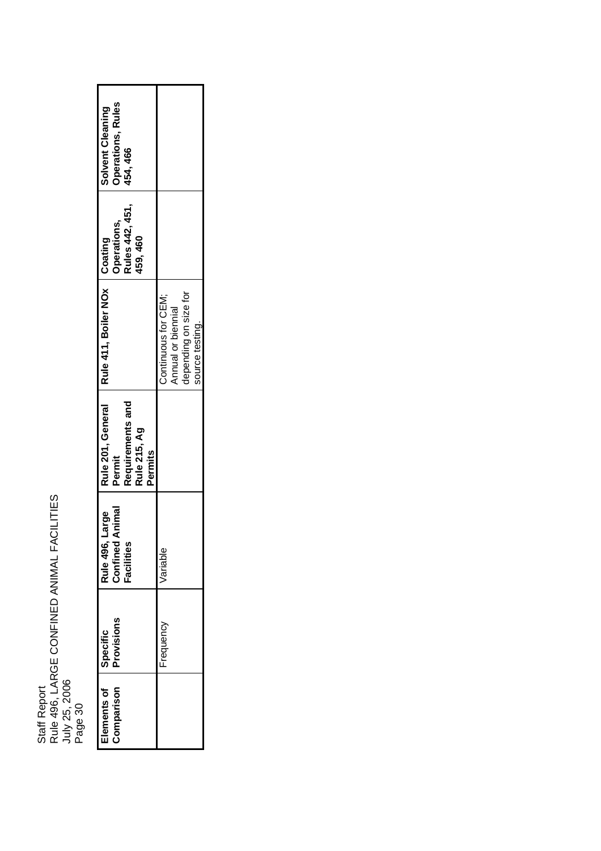| <b>Operations, Rules</b><br>Solvent Cleaning<br>454, 466                   |                                                                                       |
|----------------------------------------------------------------------------|---------------------------------------------------------------------------------------|
| Rules 442, 451,<br>Operations,<br>159, 460<br>Coating                      |                                                                                       |
| Rule 411, Boiler NOx                                                       | depending on size for<br>Continuous for CEM;<br>Annual or biennial<br>source testing. |
| Rule 201, General<br>Requirements and<br>Rule 215, Ag<br>Permits<br>Permit |                                                                                       |
| Animal<br>Large<br>Rule 496,<br>Confined<br>acilities                      | /ariable                                                                              |
| <b>Provisions</b><br>Specific                                              | requency                                                                              |
| Comparison<br>Elements of                                                  |                                                                                       |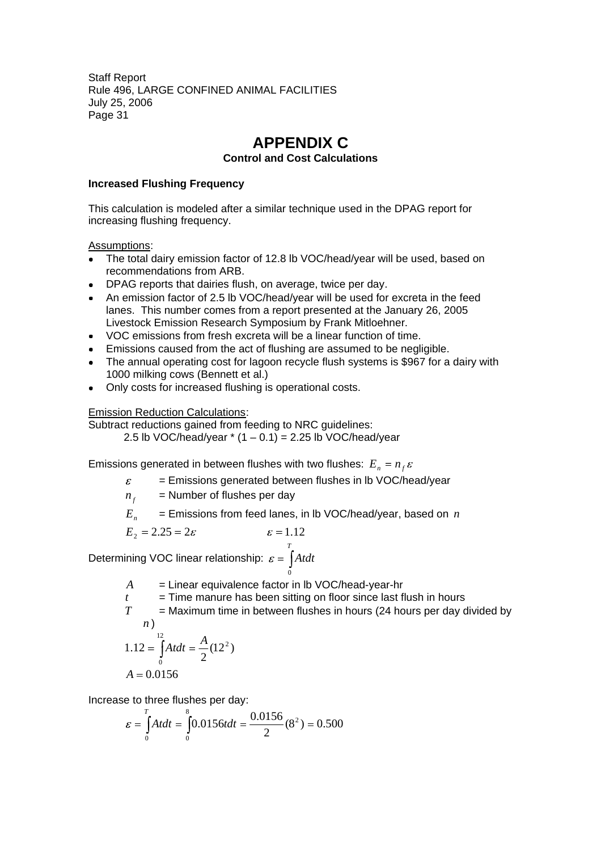# **APPENDIX C**

#### **Control and Cost Calculations**

#### **Increased Flushing Frequency**

This calculation is modeled after a similar technique used in the DPAG report for increasing flushing frequency.

#### Assumptions:

- The total dairy emission factor of 12.8 lb VOC/head/year will be used, based on recommendations from ARB.
- DPAG reports that dairies flush, on average, twice per day.
- An emission factor of 2.5 lb VOC/head/year will be used for excreta in the feed lanes. This number comes from a report presented at the January 26, 2005 Livestock Emission Research Symposium by Frank Mitloehner.
- VOC emissions from fresh excreta will be a linear function of time.
- Emissions caused from the act of flushing are assumed to be negligible.
- The annual operating cost for lagoon recycle flush systems is \$967 for a dairy with 1000 milking cows (Bennett et al.)
- Only costs for increased flushing is operational costs.

#### Emission Reduction Calculations:

Subtract reductions gained from feeding to NRC guidelines: 2.5 lb VOC/head/year  $*(1 - 0.1) = 2.25$  lb VOC/head/year

Emissions generated in between flushes with two flushes:  $E_n = n_f \varepsilon$ 

- $\varepsilon$ = Emissions generated between flushes in lb VOC/head/year
- $n_f$  = Number of flushes per day
- $E_n$  = Emissions from feed lanes, in lb VOC/head/year, based on *n*

$$
E_2 = 2.25 = 2\varepsilon \qquad \qquad \varepsilon = 1.12
$$

Determining VOC linear relationship:  $\varepsilon = |A t dt|$ *T* 0

- *A* = Linear equivalence factor in lb VOC/head-year-hr
- $t =$  Time manure has been sitting on floor since last flush in hours
- $T =$  Maximum time in between flushes in hours (24 hours per day divided by *n* )

$$
1.12 = \int_{0}^{12} A t dt = \frac{A}{2} (12^{2})
$$
  
A = 0.0156

Increase to three flushes per day:

$$
\varepsilon = \int_{0}^{T} A t dt = \int_{0}^{8} 0.0156 t dt = \frac{0.0156}{2} (8^{2}) = 0.500
$$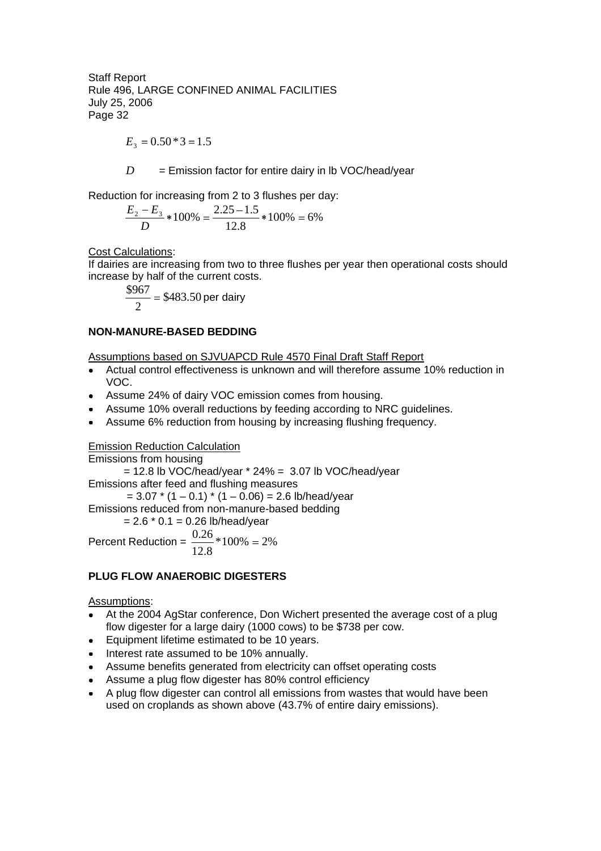$$
E_3 = 0.50 \times 3 = 1.5
$$

 $D =$  Emission factor for entire dairy in Ib VOC/head/year

Reduction for increasing from 2 to 3 flushes per day:

$$
\frac{E_2 - E_3}{D} * 100\% = \frac{2.25 - 1.5}{12.8} * 100\% = 6\%
$$

Cost Calculations:

If dairies are increasing from two to three flushes per year then operational costs should increase by half of the current costs.

$$
\frac{$967}{2} = $483.50 \text{ per dairy}
$$

#### **NON-MANURE-BASED BEDDING**

Assumptions based on SJVUAPCD Rule 4570 Final Draft Staff Report

- Actual control effectiveness is unknown and will therefore assume 10% reduction in VOC.
- Assume 24% of dairy VOC emission comes from housing.
- Assume 10% overall reductions by feeding according to NRC guidelines.
- Assume 6% reduction from housing by increasing flushing frequency.

#### Emission Reduction Calculation

Emissions from housing  $= 12.8$  lb VOC/head/year  $*$  24%  $= 3.07$  lb VOC/head/year Emissions after feed and flushing measures  $= 3.07 * (1 - 0.1) * (1 - 0.06) = 2.6$  lb/head/year Emissions reduced from non-manure-based bedding  $= 2.6 * 0.1 = 0.26$  lb/head/year

Percent Reduction =  $\frac{0.28}{1.28}$  \* 100% = 2% 12.8 0.26

#### **PLUG FLOW ANAEROBIC DIGESTERS**

#### Assumptions:

- At the 2004 AgStar conference, Don Wichert presented the average cost of a plug flow digester for a large dairy (1000 cows) to be \$738 per cow.
- Equipment lifetime estimated to be 10 years.
- Interest rate assumed to be 10% annually.
- Assume benefits generated from electricity can offset operating costs
- Assume a plug flow digester has 80% control efficiency
- A plug flow digester can control all emissions from wastes that would have been used on croplands as shown above (43.7% of entire dairy emissions).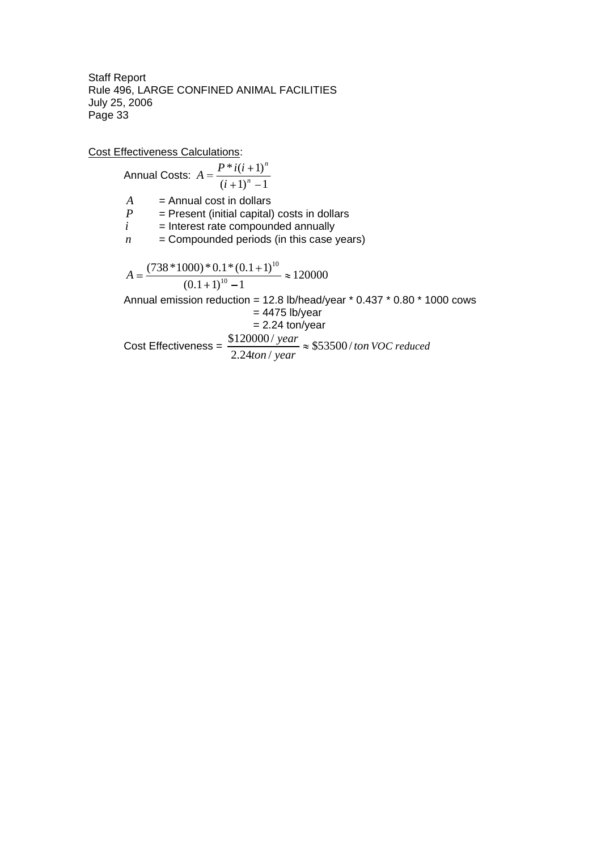Cost Effectiveness Calculations:

Annual Costs:  $(i+1)^n - 1$ \* $i(i+1)$ *n n i*  $A = \frac{P * i(i)}{I}$  $A =$ Annual cost in dollars  $P =$ Present (initial capital) costs in dollars  $i =$ Interest rate compounded annually *i* = Interest rate compounded annually  $n =$  Compounded periods (in this case years) 120000  $(0.1+1)^{10} - 1$  $(738 * 1000) * 0.1 * (0.1 + 1)$ 10 10 *A* Annual emission reduction = 12.8 lb/head/year \* 0.437 \* 0.80 \* 1000 cows  $= 4475$  lb/year  $= 2.24$  ton/year Cost Effectiveness =  $\frac{$120000}{20000} \approx $53500/ton$ *ton* / year  $\frac{year}{2} \approx $53500/$ 2.24ton/  $\frac{$120000}{year} \approx $53500/ton$  *VOC reduced*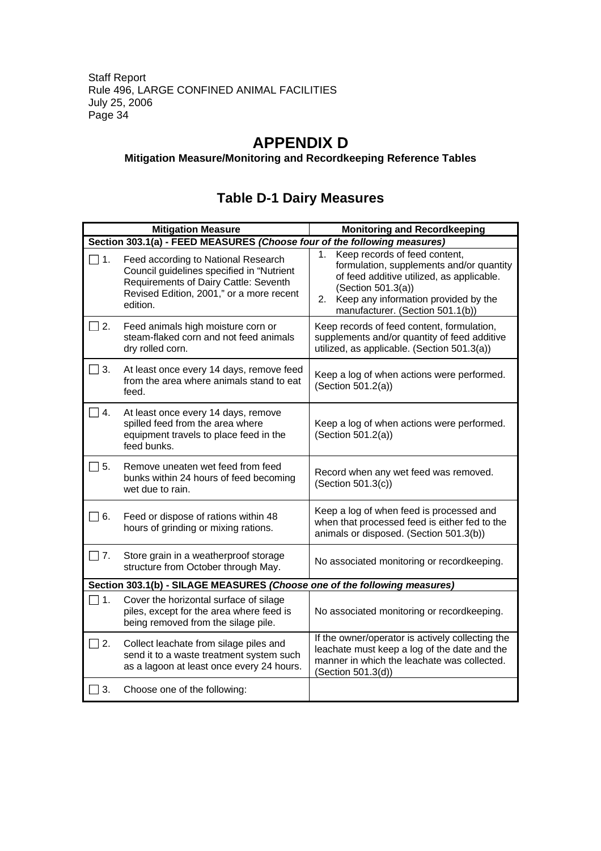# **APPENDIX D**

#### **Mitigation Measure/Monitoring and Recordkeeping Reference Tables**

|                                                                           | <b>Mitigation Measure</b>                                                                                                                                                         | <b>Monitoring and Recordkeeping</b>                                                                                                                                                                                               |  |  |
|---------------------------------------------------------------------------|-----------------------------------------------------------------------------------------------------------------------------------------------------------------------------------|-----------------------------------------------------------------------------------------------------------------------------------------------------------------------------------------------------------------------------------|--|--|
|                                                                           | Section 303.1(a) - FEED MEASURES (Choose four of the following measures)                                                                                                          |                                                                                                                                                                                                                                   |  |  |
| $\Box$ 1.                                                                 | Feed according to National Research<br>Council guidelines specified in "Nutrient<br>Requirements of Dairy Cattle: Seventh<br>Revised Edition, 2001," or a more recent<br>edition. | Keep records of feed content,<br>1.<br>formulation, supplements and/or quantity<br>of feed additive utilized, as applicable.<br>(Section 501.3(a))<br>2. Keep any information provided by the<br>manufacturer. (Section 501.1(b)) |  |  |
| ヿ2.                                                                       | Feed animals high moisture corn or<br>steam-flaked corn and not feed animals<br>dry rolled corn.                                                                                  | Keep records of feed content, formulation,<br>supplements and/or quantity of feed additive<br>utilized, as applicable. (Section 501.3(a))                                                                                         |  |  |
| $\Box$ 3.                                                                 | At least once every 14 days, remove feed<br>from the area where animals stand to eat<br>feed.                                                                                     | Keep a log of when actions were performed.<br>(Section 501.2(a))                                                                                                                                                                  |  |  |
| $\Box$ 4.                                                                 | At least once every 14 days, remove<br>spilled feed from the area where<br>equipment travels to place feed in the<br>feed bunks.                                                  | Keep a log of when actions were performed.<br>(Section 501.2(a))                                                                                                                                                                  |  |  |
| $\overline{\phantom{a}}$ 5.                                               | Remove uneaten wet feed from feed<br>bunks within 24 hours of feed becoming<br>wet due to rain.                                                                                   | Record when any wet feed was removed.<br>(Section 501.3(c))                                                                                                                                                                       |  |  |
| ヿ 6.                                                                      | Feed or dispose of rations within 48<br>hours of grinding or mixing rations.                                                                                                      | Keep a log of when feed is processed and<br>when that processed feed is either fed to the<br>animals or disposed. (Section 501.3(b))                                                                                              |  |  |
| $\Box$ 7.                                                                 | Store grain in a weatherproof storage<br>structure from October through May.                                                                                                      | No associated monitoring or recordkeeping.                                                                                                                                                                                        |  |  |
| Section 303.1(b) - SILAGE MEASURES (Choose one of the following measures) |                                                                                                                                                                                   |                                                                                                                                                                                                                                   |  |  |
| ヿ1.                                                                       | Cover the horizontal surface of silage<br>piles, except for the area where feed is<br>being removed from the silage pile.                                                         | No associated monitoring or recordkeeping.                                                                                                                                                                                        |  |  |
| $\Box$ 2.                                                                 | Collect leachate from silage piles and<br>send it to a waste treatment system such<br>as a lagoon at least once every 24 hours.                                                   | If the owner/operator is actively collecting the<br>leachate must keep a log of the date and the<br>manner in which the leachate was collected.<br>(Section 501.3(d))                                                             |  |  |
| 3.                                                                        | Choose one of the following:                                                                                                                                                      |                                                                                                                                                                                                                                   |  |  |

# **Table D-1 Dairy Measures**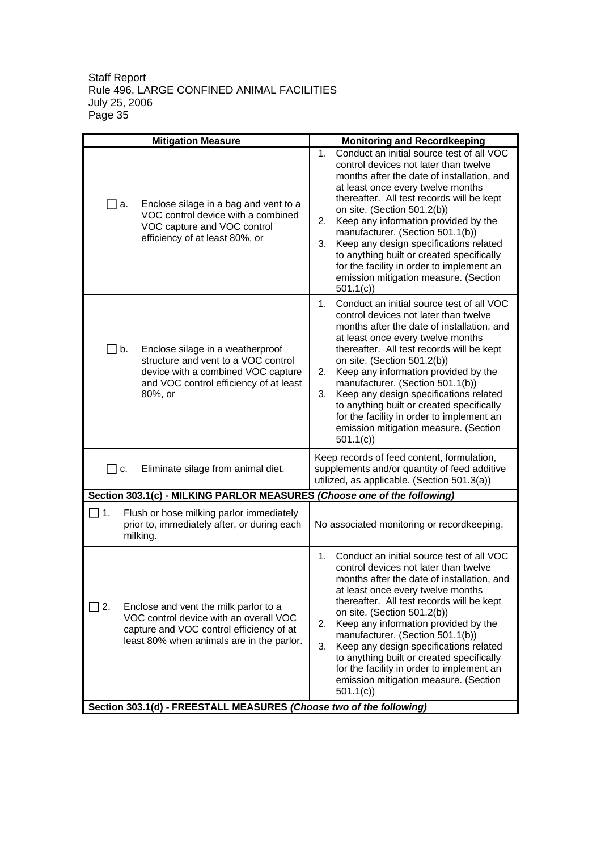|                                                                     | <b>Mitigation Measure</b>                                                                                                                                                | <b>Monitoring and Recordkeeping</b>                                                                                                                                                                                                                                                                                                                                                                                                                                                                                                           |  |  |
|---------------------------------------------------------------------|--------------------------------------------------------------------------------------------------------------------------------------------------------------------------|-----------------------------------------------------------------------------------------------------------------------------------------------------------------------------------------------------------------------------------------------------------------------------------------------------------------------------------------------------------------------------------------------------------------------------------------------------------------------------------------------------------------------------------------------|--|--|
| a.                                                                  | Enclose silage in a bag and vent to a<br>VOC control device with a combined<br>VOC capture and VOC control<br>efficiency of at least 80%, or                             | Conduct an initial source test of all VOC<br>1.<br>control devices not later than twelve<br>months after the date of installation, and<br>at least once every twelve months<br>thereafter. All test records will be kept<br>on site. (Section 501.2(b))<br>Keep any information provided by the<br>2.<br>manufacturer. (Section 501.1(b))<br>Keep any design specifications related<br>3.<br>to anything built or created specifically<br>for the facility in order to implement an<br>emission mitigation measure. (Section<br>501.1(c)      |  |  |
| $\Box$ b.                                                           | Enclose silage in a weatherproof<br>structure and vent to a VOC control<br>device with a combined VOC capture<br>and VOC control efficiency of at least<br>80%, or       | Conduct an initial source test of all VOC<br>$1_{-}$<br>control devices not later than twelve<br>months after the date of installation, and<br>at least once every twelve months<br>thereafter. All test records will be kept<br>on site. (Section 501.2(b))<br>Keep any information provided by the<br>2.<br>manufacturer. (Section 501.1(b))<br>Keep any design specifications related<br>3.<br>to anything built or created specifically<br>for the facility in order to implement an<br>emission mitigation measure. (Section<br>501.1(c) |  |  |
| Eliminate silage from animal diet.<br>$\overline{\phantom{a}}$ C.   |                                                                                                                                                                          | Keep records of feed content, formulation,<br>supplements and/or quantity of feed additive<br>utilized, as applicable. (Section 501.3(a))                                                                                                                                                                                                                                                                                                                                                                                                     |  |  |
|                                                                     | Section 303.1(c) - MILKING PARLOR MEASURES (Choose one of the following)                                                                                                 |                                                                                                                                                                                                                                                                                                                                                                                                                                                                                                                                               |  |  |
| ヿ1.                                                                 | Flush or hose milking parlor immediately<br>prior to, immediately after, or during each<br>milking.                                                                      | No associated monitoring or recordkeeping.                                                                                                                                                                                                                                                                                                                                                                                                                                                                                                    |  |  |
| $\vert$ 2.                                                          | Enclose and vent the milk parlor to a<br>VOC control device with an overall VOC<br>capture and VOC control efficiency of at<br>least 80% when animals are in the parlor. | $1_{-}$<br>Conduct an initial source test of all VOC<br>control devices not later than twelve<br>months after the date of installation, and<br>at least once every twelve months<br>thereafter. All test records will be kept<br>on site. (Section 501.2(b))<br>Keep any information provided by the<br>2.<br>manufacturer. (Section 501.1(b))<br>Keep any design specifications related<br>3.<br>to anything built or created specifically<br>for the facility in order to implement an<br>emission mitigation measure. (Section<br>501.1(c) |  |  |
| Section 303.1(d) - FREESTALL MEASURES (Choose two of the following) |                                                                                                                                                                          |                                                                                                                                                                                                                                                                                                                                                                                                                                                                                                                                               |  |  |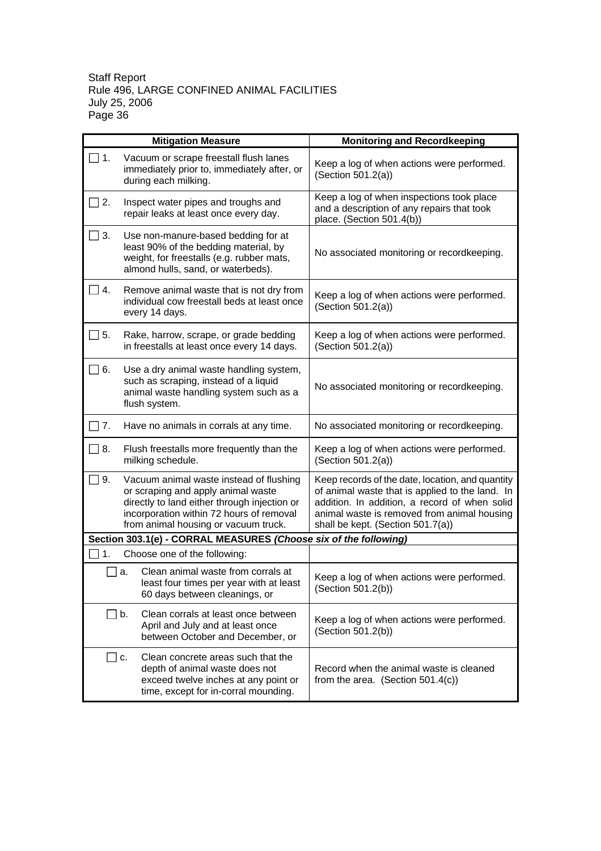|                             | <b>Mitigation Measure</b>                                                                                                                                                                                         | <b>Monitoring and Recordkeeping</b>                                                                                                                                                                                                      |
|-----------------------------|-------------------------------------------------------------------------------------------------------------------------------------------------------------------------------------------------------------------|------------------------------------------------------------------------------------------------------------------------------------------------------------------------------------------------------------------------------------------|
| $\Box$ 1.                   | Vacuum or scrape freestall flush lanes<br>immediately prior to, immediately after, or<br>during each milking.                                                                                                     | Keep a log of when actions were performed.<br>(Section 501.2(a))                                                                                                                                                                         |
| 2.                          | Inspect water pipes and troughs and<br>repair leaks at least once every day.                                                                                                                                      | Keep a log of when inspections took place<br>and a description of any repairs that took<br>place. (Section 501.4(b))                                                                                                                     |
| $\Box$ 3.                   | Use non-manure-based bedding for at<br>least 90% of the bedding material, by<br>weight, for freestalls (e.g. rubber mats,<br>almond hulls, sand, or waterbeds).                                                   | No associated monitoring or recordkeeping.                                                                                                                                                                                               |
| $\Box$ 4.                   | Remove animal waste that is not dry from<br>individual cow freestall beds at least once<br>every 14 days.                                                                                                         | Keep a log of when actions were performed.<br>(Section 501.2(a))                                                                                                                                                                         |
| $\overline{\phantom{a}}$ 5. | Rake, harrow, scrape, or grade bedding<br>in freestalls at least once every 14 days.                                                                                                                              | Keep a log of when actions were performed.<br>(Section 501.2(a))                                                                                                                                                                         |
| $\Box$ 6.                   | Use a dry animal waste handling system,<br>such as scraping, instead of a liquid<br>animal waste handling system such as a<br>flush system.                                                                       | No associated monitoring or recordkeeping.                                                                                                                                                                                               |
| 7.                          | Have no animals in corrals at any time.                                                                                                                                                                           | No associated monitoring or recordkeeping.                                                                                                                                                                                               |
| $\Box$ 8.                   | Flush freestalls more frequently than the<br>milking schedule.                                                                                                                                                    | Keep a log of when actions were performed.<br>(Section 501.2(a))                                                                                                                                                                         |
| $\vert$ 9.                  | Vacuum animal waste instead of flushing<br>or scraping and apply animal waste<br>directly to land either through injection or<br>incorporation within 72 hours of removal<br>from animal housing or vacuum truck. | Keep records of the date, location, and quantity<br>of animal waste that is applied to the land. In<br>addition. In addition, a record of when solid<br>animal waste is removed from animal housing<br>shall be kept. (Section 501.7(a)) |
|                             | Section 303.1(e) - CORRAL MEASURES (Choose six of the following)                                                                                                                                                  |                                                                                                                                                                                                                                          |
| 1.                          | Choose one of the following:                                                                                                                                                                                      |                                                                                                                                                                                                                                          |
|                             | Clean animal waste from corrals at<br>a.<br>least four times per year with at least<br>60 days between cleanings, or                                                                                              | Keep a log of when actions were performed.<br>(Section 501.2(b))                                                                                                                                                                         |
|                             | $\Box$ b.<br>Clean corrals at least once between<br>April and July and at least once<br>between October and December, or                                                                                          | Keep a log of when actions were performed.<br>(Section 501.2(b))                                                                                                                                                                         |
|                             | Clean concrete areas such that the<br> C.<br>depth of animal waste does not<br>exceed twelve inches at any point or<br>time, except for in-corral mounding.                                                       | Record when the animal waste is cleaned<br>from the area. (Section 501.4(c))                                                                                                                                                             |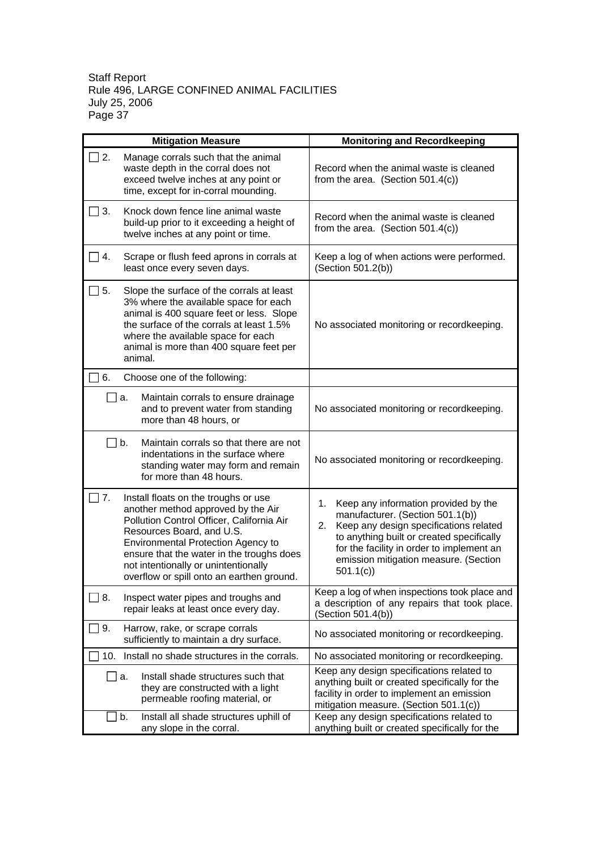| <b>Mitigation Measure</b>                                                                                                                                                                                                                                                                                                                 | <b>Monitoring and Recordkeeping</b>                                                                                                                                                                                                                                           |
|-------------------------------------------------------------------------------------------------------------------------------------------------------------------------------------------------------------------------------------------------------------------------------------------------------------------------------------------|-------------------------------------------------------------------------------------------------------------------------------------------------------------------------------------------------------------------------------------------------------------------------------|
| $\Box$ 2.<br>Manage corrals such that the animal<br>waste depth in the corral does not<br>exceed twelve inches at any point or<br>time, except for in-corral mounding.                                                                                                                                                                    | Record when the animal waste is cleaned<br>from the area. (Section $501.4(c)$ )                                                                                                                                                                                               |
| Knock down fence line animal waste<br>    3.<br>build-up prior to it exceeding a height of<br>twelve inches at any point or time.                                                                                                                                                                                                         | Record when the animal waste is cleaned<br>from the area. (Section $501.4(c)$ )                                                                                                                                                                                               |
| $\vert$ 4.<br>Scrape or flush feed aprons in corrals at<br>least once every seven days.                                                                                                                                                                                                                                                   | Keep a log of when actions were performed.<br>(Section 501.2(b))                                                                                                                                                                                                              |
| $\Box$ 5.<br>Slope the surface of the corrals at least<br>3% where the available space for each<br>animal is 400 square feet or less. Slope<br>the surface of the corrals at least 1.5%<br>where the available space for each<br>animal is more than 400 square feet per<br>animal.                                                       | No associated monitoring or recordkeeping.                                                                                                                                                                                                                                    |
| 6.<br>Choose one of the following:                                                                                                                                                                                                                                                                                                        |                                                                                                                                                                                                                                                                               |
| <b>∐</b> a.<br>Maintain corrals to ensure drainage<br>and to prevent water from standing<br>more than 48 hours, or                                                                                                                                                                                                                        | No associated monitoring or recordkeeping.                                                                                                                                                                                                                                    |
| Maintain corrals so that there are not<br>$\Box$ b.<br>indentations in the surface where<br>standing water may form and remain<br>for more than 48 hours.                                                                                                                                                                                 | No associated monitoring or recordkeeping.                                                                                                                                                                                                                                    |
| $\Box$ 7.<br>Install floats on the troughs or use<br>another method approved by the Air<br>Pollution Control Officer, California Air<br>Resources Board, and U.S.<br>Environmental Protection Agency to<br>ensure that the water in the troughs does<br>not intentionally or unintentionally<br>overflow or spill onto an earthen ground. | Keep any information provided by the<br>1.<br>manufacturer. (Section 501.1(b))<br>Keep any design specifications related<br>2.<br>to anything built or created specifically<br>for the facility in order to implement an<br>emission mitigation measure. (Section<br>501.1(c) |
| 8.<br>Inspect water pipes and troughs and<br>repair leaks at least once every day.                                                                                                                                                                                                                                                        | Keep a log of when inspections took place and<br>a description of any repairs that took place.<br>(Section 501.4(b))                                                                                                                                                          |
| 9.<br>Harrow, rake, or scrape corrals<br>sufficiently to maintain a dry surface.                                                                                                                                                                                                                                                          | No associated monitoring or recordkeeping.                                                                                                                                                                                                                                    |
| Install no shade structures in the corrals.<br>10.                                                                                                                                                                                                                                                                                        | No associated monitoring or recordkeeping.                                                                                                                                                                                                                                    |
| Install shade structures such that<br><u>⊟</u> a.<br>they are constructed with a light<br>permeable roofing material, or                                                                                                                                                                                                                  | Keep any design specifications related to<br>anything built or created specifically for the<br>facility in order to implement an emission<br>mitigation measure. (Section 501.1(c))                                                                                           |
| Install all shade structures uphill of<br>b.<br>any slope in the corral.                                                                                                                                                                                                                                                                  | Keep any design specifications related to<br>anything built or created specifically for the                                                                                                                                                                                   |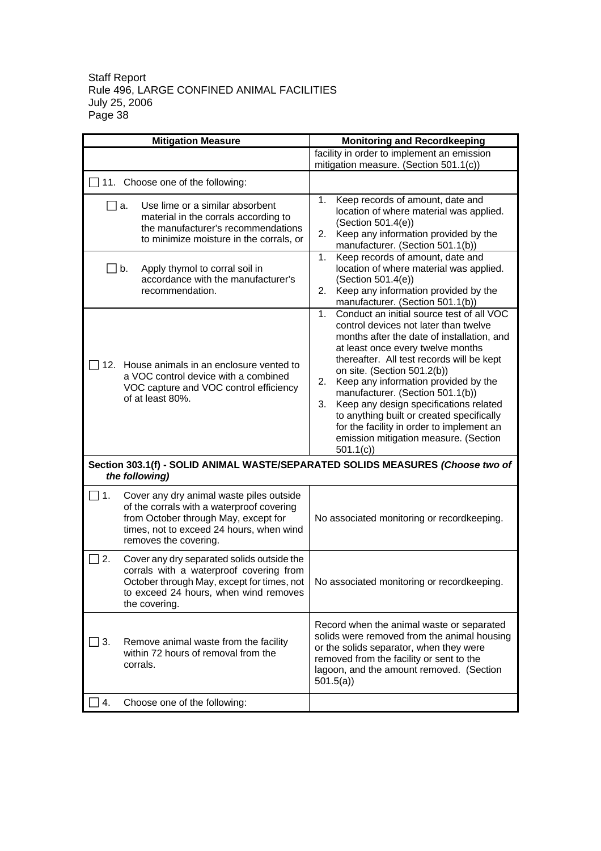|                  | <b>Mitigation Measure</b>                                                                                                                                                                          | <b>Monitoring and Recordkeeping</b>                                                                                                                                                                                                                                                                                                                                                                                                                                                                                                           |
|------------------|----------------------------------------------------------------------------------------------------------------------------------------------------------------------------------------------------|-----------------------------------------------------------------------------------------------------------------------------------------------------------------------------------------------------------------------------------------------------------------------------------------------------------------------------------------------------------------------------------------------------------------------------------------------------------------------------------------------------------------------------------------------|
|                  |                                                                                                                                                                                                    | facility in order to implement an emission                                                                                                                                                                                                                                                                                                                                                                                                                                                                                                    |
|                  |                                                                                                                                                                                                    | mitigation measure. (Section 501.1(c))                                                                                                                                                                                                                                                                                                                                                                                                                                                                                                        |
|                  | $\Box$ 11. Choose one of the following:                                                                                                                                                            |                                                                                                                                                                                                                                                                                                                                                                                                                                                                                                                                               |
|                  | Use lime or a similar absorbent<br>a.<br>material in the corrals according to<br>the manufacturer's recommendations<br>to minimize moisture in the corrals, or                                     | Keep records of amount, date and<br>1.<br>location of where material was applied.<br>(Section 501.4(e))<br>2. Keep any information provided by the<br>manufacturer. (Section 501.1(b))                                                                                                                                                                                                                                                                                                                                                        |
| $\blacksquare$   | Apply thymol to corral soil in<br>b.<br>accordance with the manufacturer's<br>recommendation.                                                                                                      | Keep records of amount, date and<br>1.<br>location of where material was applied.<br>(Section 501.4(e))<br>2. Keep any information provided by the<br>manufacturer. (Section 501.1(b))                                                                                                                                                                                                                                                                                                                                                        |
|                  | 12. House animals in an enclosure vented to<br>a VOC control device with a combined<br>VOC capture and VOC control efficiency<br>of at least 80%.                                                  | Conduct an initial source test of all VOC<br>$1_{-}$<br>control devices not later than twelve<br>months after the date of installation, and<br>at least once every twelve months<br>thereafter. All test records will be kept<br>on site. (Section 501.2(b))<br>Keep any information provided by the<br>2.<br>manufacturer. (Section 501.1(b))<br>Keep any design specifications related<br>3.<br>to anything built or created specifically<br>for the facility in order to implement an<br>emission mitigation measure. (Section<br>501.1(c) |
|                  | Section 303.1(f) - SOLID ANIMAL WASTE/SEPARATED SOLIDS MEASURES (Choose two of<br>the following)                                                                                                   |                                                                                                                                                                                                                                                                                                                                                                                                                                                                                                                                               |
| $\Box$ 1.        | Cover any dry animal waste piles outside<br>of the corrals with a waterproof covering<br>from October through May, except for<br>times, not to exceed 24 hours, when wind<br>removes the covering. | No associated monitoring or recordkeeping.                                                                                                                                                                                                                                                                                                                                                                                                                                                                                                    |
| $\overline{2}$ . | Cover any dry separated solids outside the<br>corrals with a waterproof covering from<br>October through May, except for times, not<br>to exceed 24 hours, when wind removes<br>the covering.      | No associated monitoring or recordkeeping.                                                                                                                                                                                                                                                                                                                                                                                                                                                                                                    |
| 3.               | Remove animal waste from the facility<br>within 72 hours of removal from the<br>corrals.                                                                                                           | Record when the animal waste or separated<br>solids were removed from the animal housing<br>or the solids separator, when they were<br>removed from the facility or sent to the<br>lagoon, and the amount removed. (Section<br>501.5(a)                                                                                                                                                                                                                                                                                                       |
| 4.               | Choose one of the following:                                                                                                                                                                       |                                                                                                                                                                                                                                                                                                                                                                                                                                                                                                                                               |
|                  |                                                                                                                                                                                                    |                                                                                                                                                                                                                                                                                                                                                                                                                                                                                                                                               |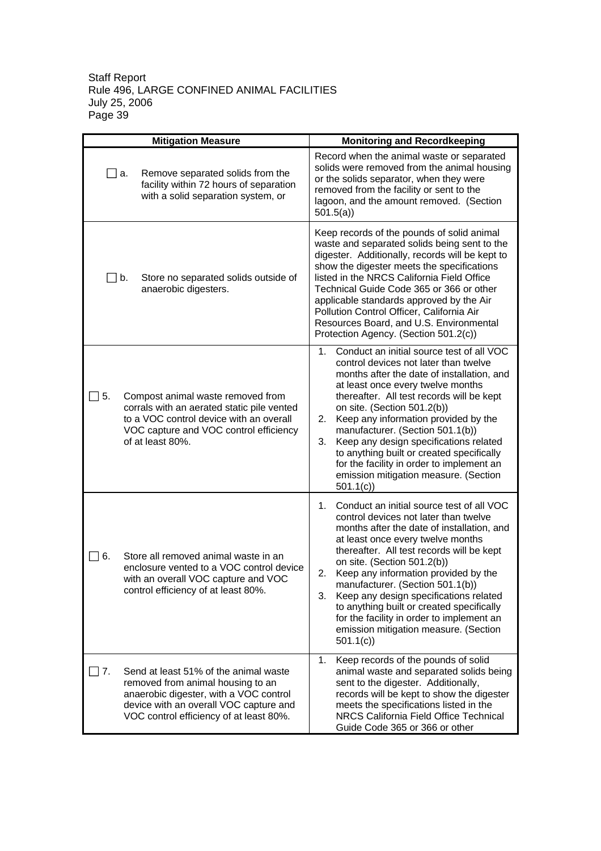| <b>Mitigation Measure</b> |                                                                                                                                                                                                           | <b>Monitoring and Recordkeeping</b>                                                                                                                                                                                                                                                                                                                                                                                                                                                                                                           |
|---------------------------|-----------------------------------------------------------------------------------------------------------------------------------------------------------------------------------------------------------|-----------------------------------------------------------------------------------------------------------------------------------------------------------------------------------------------------------------------------------------------------------------------------------------------------------------------------------------------------------------------------------------------------------------------------------------------------------------------------------------------------------------------------------------------|
|                           | Remove separated solids from the<br>a.<br>facility within 72 hours of separation<br>with a solid separation system, or                                                                                    | Record when the animal waste or separated<br>solids were removed from the animal housing<br>or the solids separator, when they were<br>removed from the facility or sent to the<br>lagoon, and the amount removed. (Section<br>501.5(a)                                                                                                                                                                                                                                                                                                       |
|                           | Store no separated solids outside of<br>∐b.<br>anaerobic digesters.                                                                                                                                       | Keep records of the pounds of solid animal<br>waste and separated solids being sent to the<br>digester. Additionally, records will be kept to<br>show the digester meets the specifications<br>listed in the NRCS California Field Office<br>Technical Guide Code 365 or 366 or other<br>applicable standards approved by the Air<br>Pollution Control Officer, California Air<br>Resources Board, and U.S. Environmental<br>Protection Agency. (Section 501.2(c))                                                                            |
| 5.                        | Compost animal waste removed from<br>corrals with an aerated static pile vented<br>to a VOC control device with an overall<br>VOC capture and VOC control efficiency<br>of at least 80%.                  | Conduct an initial source test of all VOC<br>$1_{-}$<br>control devices not later than twelve<br>months after the date of installation, and<br>at least once every twelve months<br>thereafter. All test records will be kept<br>on site. (Section 501.2(b))<br>Keep any information provided by the<br>2.<br>manufacturer. (Section 501.1(b))<br>Keep any design specifications related<br>3.<br>to anything built or created specifically<br>for the facility in order to implement an<br>emission mitigation measure. (Section<br>501.1(c) |
| 6.                        | Store all removed animal waste in an<br>enclosure vented to a VOC control device<br>with an overall VOC capture and VOC<br>control efficiency of at least 80%.                                            | Conduct an initial source test of all VOC<br>1.<br>control devices not later than twelve<br>months after the date of installation, and<br>at least once every twelve months<br>thereafter. All test records will be kept<br>on site. (Section 501.2(b))<br>Keep any information provided by the<br>2.<br>manufacturer. (Section 501.1(b))<br>3.<br>Keep any design specifications related<br>to anything built or created specifically<br>for the facility in order to implement an<br>emission mitigation measure. (Section<br>501.1(c)      |
| 7.                        | Send at least 51% of the animal waste<br>removed from animal housing to an<br>anaerobic digester, with a VOC control<br>device with an overall VOC capture and<br>VOC control efficiency of at least 80%. | Keep records of the pounds of solid<br>1.<br>animal waste and separated solids being<br>sent to the digester. Additionally,<br>records will be kept to show the digester<br>meets the specifications listed in the<br>NRCS California Field Office Technical<br>Guide Code 365 or 366 or other                                                                                                                                                                                                                                                |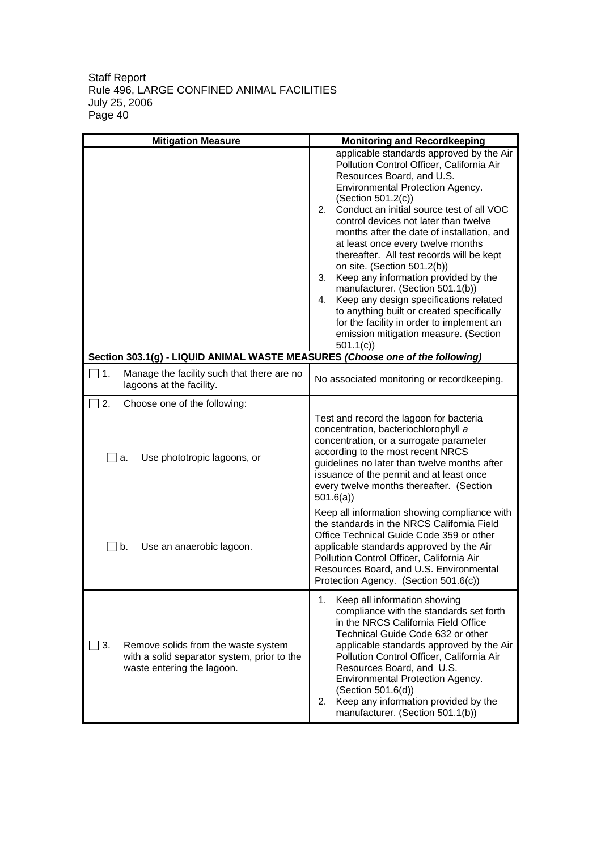| <b>Mitigation Measure</b>                                                                                                     | <b>Monitoring and Recordkeeping</b>                                                                                                                                                                                                                                                                                                                                                                                                                                                                                                                                                                                                                                                                                      |
|-------------------------------------------------------------------------------------------------------------------------------|--------------------------------------------------------------------------------------------------------------------------------------------------------------------------------------------------------------------------------------------------------------------------------------------------------------------------------------------------------------------------------------------------------------------------------------------------------------------------------------------------------------------------------------------------------------------------------------------------------------------------------------------------------------------------------------------------------------------------|
|                                                                                                                               | applicable standards approved by the Air<br>Pollution Control Officer, California Air<br>Resources Board, and U.S.<br>Environmental Protection Agency.<br>(Section 501.2(c))<br>Conduct an initial source test of all VOC<br>2.<br>control devices not later than twelve<br>months after the date of installation, and<br>at least once every twelve months<br>thereafter. All test records will be kept<br>on site. (Section 501.2(b))<br>3.<br>Keep any information provided by the<br>manufacturer. (Section 501.1(b))<br>Keep any design specifications related<br>4.<br>to anything built or created specifically<br>for the facility in order to implement an<br>emission mitigation measure. (Section<br>501.1(c) |
| Section 303.1(g) - LIQUID ANIMAL WASTE MEASURES (Choose one of the following)                                                 |                                                                                                                                                                                                                                                                                                                                                                                                                                                                                                                                                                                                                                                                                                                          |
| ▔ 1.<br>Manage the facility such that there are no<br>lagoons at the facility.                                                | No associated monitoring or recordkeeping.                                                                                                                                                                                                                                                                                                                                                                                                                                                                                                                                                                                                                                                                               |
| 2.<br>Choose one of the following:                                                                                            |                                                                                                                                                                                                                                                                                                                                                                                                                                                                                                                                                                                                                                                                                                                          |
| Use phototropic lagoons, or<br><u>_l</u> a.                                                                                   | Test and record the lagoon for bacteria<br>concentration, bacteriochlorophyll a<br>concentration, or a surrogate parameter<br>according to the most recent NRCS<br>guidelines no later than twelve months after<br>issuance of the permit and at least once<br>every twelve months thereafter. (Section<br>501.6(a)                                                                                                                                                                                                                                                                                                                                                                                                      |
| $\Box$ b.<br>Use an anaerobic lagoon.                                                                                         | Keep all information showing compliance with<br>the standards in the NRCS California Field<br>Office Technical Guide Code 359 or other<br>applicable standards approved by the Air<br>Pollution Control Officer, California Air<br>Resources Board, and U.S. Environmental<br>Protection Agency. (Section 501.6(c))                                                                                                                                                                                                                                                                                                                                                                                                      |
| $\Box$ 3.<br>Remove solids from the waste system<br>with a solid separator system, prior to the<br>waste entering the lagoon. | Keep all information showing<br>1.<br>compliance with the standards set forth<br>in the NRCS California Field Office<br>Technical Guide Code 632 or other<br>applicable standards approved by the Air<br>Pollution Control Officer, California Air<br>Resources Board, and U.S.<br>Environmental Protection Agency.<br>(Section 501.6(d))<br>Keep any information provided by the<br>2.<br>manufacturer. (Section 501.1(b))                                                                                                                                                                                                                                                                                              |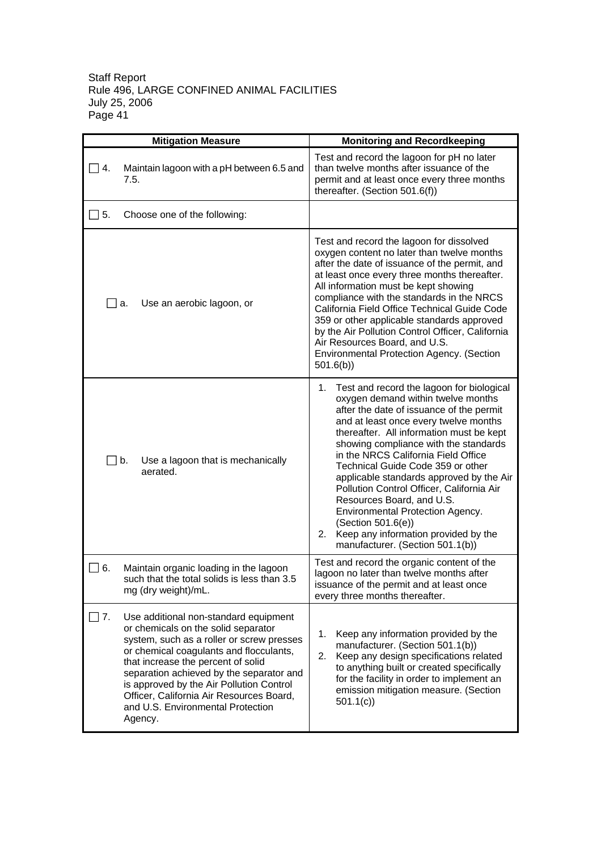| <b>Mitigation Measure</b>                                                                                                                                                                                                                                                                                                                                                                                   | <b>Monitoring and Recordkeeping</b>                                                                                                                                                                                                                                                                                                                                                                                                                                                                                                                                                                           |
|-------------------------------------------------------------------------------------------------------------------------------------------------------------------------------------------------------------------------------------------------------------------------------------------------------------------------------------------------------------------------------------------------------------|---------------------------------------------------------------------------------------------------------------------------------------------------------------------------------------------------------------------------------------------------------------------------------------------------------------------------------------------------------------------------------------------------------------------------------------------------------------------------------------------------------------------------------------------------------------------------------------------------------------|
| $\Box$ 4.<br>Maintain lagoon with a pH between 6.5 and<br>7.5.                                                                                                                                                                                                                                                                                                                                              | Test and record the lagoon for pH no later<br>than twelve months after issuance of the<br>permit and at least once every three months<br>thereafter. (Section 501.6(f))                                                                                                                                                                                                                                                                                                                                                                                                                                       |
| $\Box$ 5.<br>Choose one of the following:                                                                                                                                                                                                                                                                                                                                                                   |                                                                                                                                                                                                                                                                                                                                                                                                                                                                                                                                                                                                               |
| Use an aerobic lagoon, or<br><b>⊥</b> a.                                                                                                                                                                                                                                                                                                                                                                    | Test and record the lagoon for dissolved<br>oxygen content no later than twelve months<br>after the date of issuance of the permit, and<br>at least once every three months thereafter.<br>All information must be kept showing<br>compliance with the standards in the NRCS<br>California Field Office Technical Guide Code<br>359 or other applicable standards approved<br>by the Air Pollution Control Officer, California<br>Air Resources Board, and U.S.<br>Environmental Protection Agency. (Section<br>501.6(b)                                                                                      |
| $\perp$ b.<br>Use a lagoon that is mechanically<br>aerated.                                                                                                                                                                                                                                                                                                                                                 | 1.<br>Test and record the lagoon for biological<br>oxygen demand within twelve months<br>after the date of issuance of the permit<br>and at least once every twelve months<br>thereafter. All information must be kept<br>showing compliance with the standards<br>in the NRCS California Field Office<br>Technical Guide Code 359 or other<br>applicable standards approved by the Air<br>Pollution Control Officer, California Air<br>Resources Board, and U.S.<br>Environmental Protection Agency.<br>(Section 501.6(e))<br>Keep any information provided by the<br>2.<br>manufacturer. (Section 501.1(b)) |
| $\Box$ 6.<br>Maintain organic loading in the lagoon<br>such that the total solids is less than 3.5<br>mg (dry weight)/mL.                                                                                                                                                                                                                                                                                   | Test and record the organic content of the<br>lagoon no later than twelve months after<br>issuance of the permit and at least once<br>every three months thereafter.                                                                                                                                                                                                                                                                                                                                                                                                                                          |
| Use additional non-standard equipment<br>$\Box$ 7.<br>or chemicals on the solid separator<br>system, such as a roller or screw presses<br>or chemical coagulants and flocculants,<br>that increase the percent of solid<br>separation achieved by the separator and<br>is approved by the Air Pollution Control<br>Officer, California Air Resources Board,<br>and U.S. Environmental Protection<br>Agency. | 1.<br>Keep any information provided by the<br>manufacturer. (Section 501.1(b))<br>Keep any design specifications related<br>2.<br>to anything built or created specifically<br>for the facility in order to implement an<br>emission mitigation measure. (Section<br>501.1(c)                                                                                                                                                                                                                                                                                                                                 |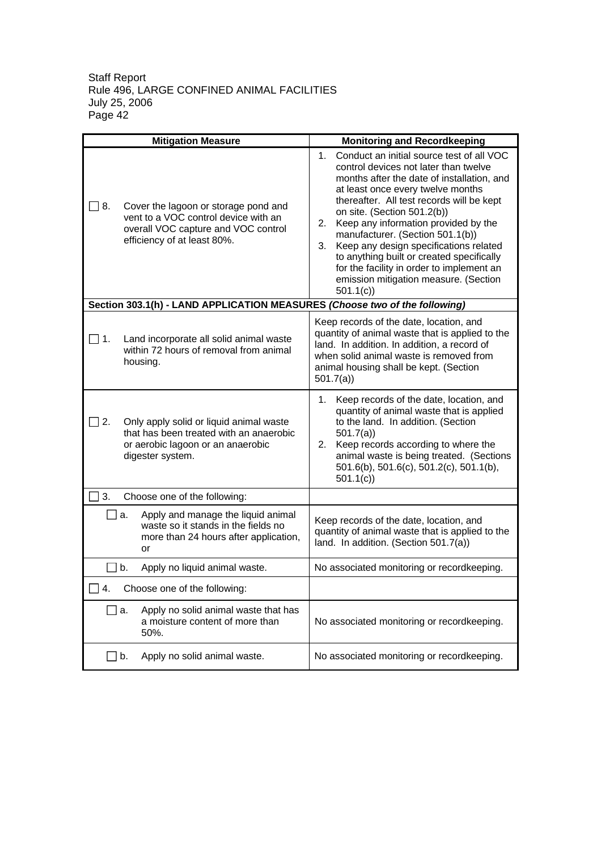|                      | <b>Mitigation Measure</b>                                                                                                                          | <b>Monitoring and Recordkeeping</b>                                                                                                                                                                                                                                                                                                                                                                                                                                                                                                |
|----------------------|----------------------------------------------------------------------------------------------------------------------------------------------------|------------------------------------------------------------------------------------------------------------------------------------------------------------------------------------------------------------------------------------------------------------------------------------------------------------------------------------------------------------------------------------------------------------------------------------------------------------------------------------------------------------------------------------|
| ヿ 8.                 | Cover the lagoon or storage pond and<br>vent to a VOC control device with an<br>overall VOC capture and VOC control<br>efficiency of at least 80%. | 1. Conduct an initial source test of all VOC<br>control devices not later than twelve<br>months after the date of installation, and<br>at least once every twelve months<br>thereafter. All test records will be kept<br>on site. (Section 501.2(b))<br>2. Keep any information provided by the<br>manufacturer. (Section 501.1(b))<br>Keep any design specifications related<br>3.<br>to anything built or created specifically<br>for the facility in order to implement an<br>emission mitigation measure. (Section<br>501.1(c) |
|                      | Section 303.1(h) - LAND APPLICATION MEASURES (Choose two of the following)                                                                         |                                                                                                                                                                                                                                                                                                                                                                                                                                                                                                                                    |
| $\Box$ 1.            | Land incorporate all solid animal waste<br>within 72 hours of removal from animal<br>housing.                                                      | Keep records of the date, location, and<br>quantity of animal waste that is applied to the<br>land. In addition. In addition, a record of<br>when solid animal waste is removed from<br>animal housing shall be kept. (Section<br>501.7(a)                                                                                                                                                                                                                                                                                         |
| 2.                   | Only apply solid or liquid animal waste<br>that has been treated with an anaerobic<br>or aerobic lagoon or an anaerobic<br>digester system.        | Keep records of the date, location, and<br>1.<br>quantity of animal waste that is applied<br>to the land. In addition. (Section<br>501.7(a)<br>Keep records according to where the<br>2.<br>animal waste is being treated. (Sections<br>501.6(b), 501.6(c), 501.2(c), 501.1(b),<br>501.1(c)                                                                                                                                                                                                                                        |
| 3.                   | Choose one of the following:                                                                                                                       |                                                                                                                                                                                                                                                                                                                                                                                                                                                                                                                                    |
| a.                   | Apply and manage the liquid animal<br>waste so it stands in the fields no<br>more than 24 hours after application,<br>or                           | Keep records of the date, location, and<br>quantity of animal waste that is applied to the<br>land. In addition. (Section 501.7(a))                                                                                                                                                                                                                                                                                                                                                                                                |
| $\Box$ b.            | Apply no liquid animal waste.                                                                                                                      | No associated monitoring or recordkeeping.                                                                                                                                                                                                                                                                                                                                                                                                                                                                                         |
| $\Box$<br>4.         | Choose one of the following:                                                                                                                       |                                                                                                                                                                                                                                                                                                                                                                                                                                                                                                                                    |
| $\mathbf{I}$<br>a.   | Apply no solid animal waste that has<br>a moisture content of more than<br>50%.                                                                    | No associated monitoring or recordkeeping.                                                                                                                                                                                                                                                                                                                                                                                                                                                                                         |
| b.<br>$\blacksquare$ | Apply no solid animal waste.                                                                                                                       | No associated monitoring or recordkeeping.                                                                                                                                                                                                                                                                                                                                                                                                                                                                                         |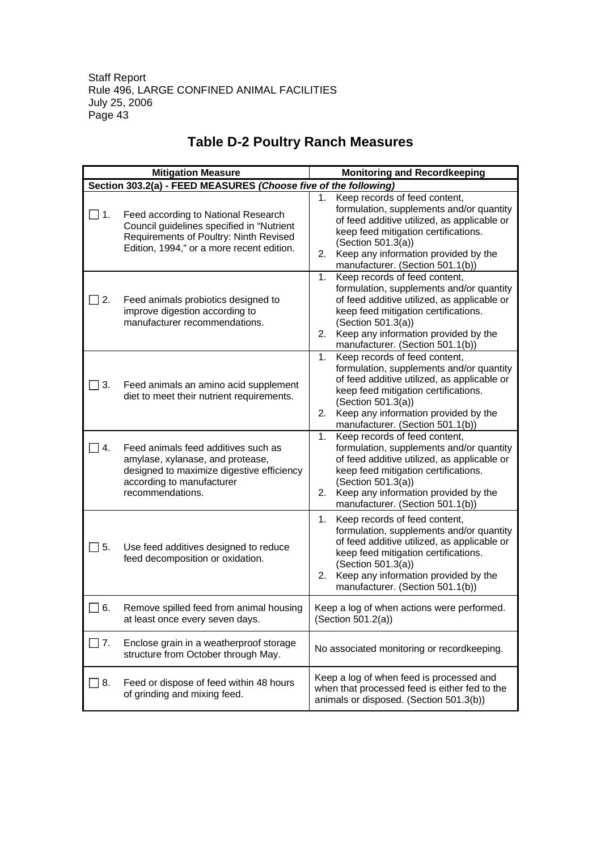|                                                                 | <b>Mitigation Measure</b>                                                                                                                                               | <b>Monitoring and Recordkeeping</b>                                                                                                                                                                                                                                            |
|-----------------------------------------------------------------|-------------------------------------------------------------------------------------------------------------------------------------------------------------------------|--------------------------------------------------------------------------------------------------------------------------------------------------------------------------------------------------------------------------------------------------------------------------------|
| Section 303.2(a) - FEED MEASURES (Choose five of the following) |                                                                                                                                                                         |                                                                                                                                                                                                                                                                                |
| $\Box$ 1.                                                       | Feed according to National Research<br>Council guidelines specified in "Nutrient<br>Requirements of Poultry: Ninth Revised<br>Edition, 1994," or a more recent edition. | Keep records of feed content,<br>1.<br>formulation, supplements and/or quantity<br>of feed additive utilized, as applicable or<br>keep feed mitigation certifications.<br>(Section 501.3(a))<br>Keep any information provided by the<br>2.<br>manufacturer. (Section 501.1(b)) |
| $\perp$ 2.                                                      | Feed animals probiotics designed to<br>improve digestion according to<br>manufacturer recommendations.                                                                  | Keep records of feed content,<br>1.<br>formulation, supplements and/or quantity<br>of feed additive utilized, as applicable or<br>keep feed mitigation certifications.<br>(Section 501.3(a))<br>Keep any information provided by the<br>2.<br>manufacturer. (Section 501.1(b)) |
| $\Box$ 3.                                                       | Feed animals an amino acid supplement<br>diet to meet their nutrient requirements.                                                                                      | Keep records of feed content,<br>1.<br>formulation, supplements and/or quantity<br>of feed additive utilized, as applicable or<br>keep feed mitigation certifications.<br>(Section 501.3(a))<br>Keep any information provided by the<br>2.<br>manufacturer. (Section 501.1(b)) |
| 4.                                                              | Feed animals feed additives such as<br>amylase, xylanase, and protease,<br>designed to maximize digestive efficiency<br>according to manufacturer<br>recommendations.   | Keep records of feed content,<br>1.<br>formulation, supplements and/or quantity<br>of feed additive utilized, as applicable or<br>keep feed mitigation certifications.<br>(Section 501.3(a))<br>Keep any information provided by the<br>2.<br>manufacturer. (Section 501.1(b)) |
| $\Box$ 5.                                                       | Use feed additives designed to reduce<br>feed decomposition or oxidation.                                                                                               | Keep records of feed content,<br>1.<br>formulation, supplements and/or quantity<br>of feed additive utilized, as applicable or<br>keep feed mitigation certifications.<br>(Section 501.3(a))<br>Keep any information provided by the<br>2.<br>manufacturer. (Section 501.1(b)) |
| 6.                                                              | Remove spilled feed from animal housing<br>at least once every seven days.                                                                                              | Keep a log of when actions were performed.<br>(Section 501.2(a))                                                                                                                                                                                                               |
| $\overline{\phantom{a}}$ 7.                                     | Enclose grain in a weatherproof storage<br>structure from October through May.                                                                                          | No associated monitoring or recordkeeping.                                                                                                                                                                                                                                     |
| 8.                                                              | Feed or dispose of feed within 48 hours<br>of grinding and mixing feed.                                                                                                 | Keep a log of when feed is processed and<br>when that processed feed is either fed to the<br>animals or disposed. (Section 501.3(b))                                                                                                                                           |

# **Table D-2 Poultry Ranch Measures**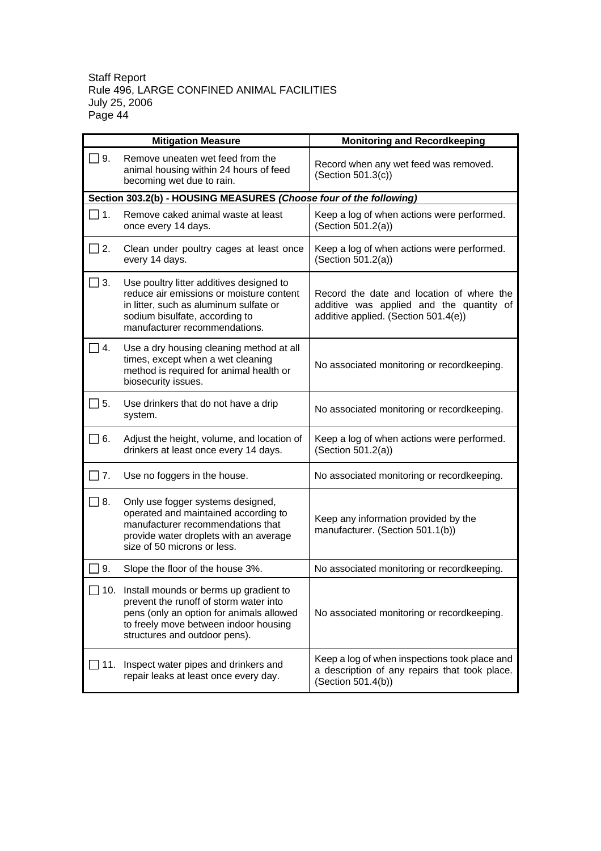|                   | <b>Mitigation Measure</b>                                                                                                                                                                                  | <b>Monitoring and Recordkeeping</b>                                                                                           |
|-------------------|------------------------------------------------------------------------------------------------------------------------------------------------------------------------------------------------------------|-------------------------------------------------------------------------------------------------------------------------------|
| ヿ9.               | Remove uneaten wet feed from the<br>animal housing within 24 hours of feed<br>becoming wet due to rain.                                                                                                    | Record when any wet feed was removed.<br>(Section 501.3(c))                                                                   |
|                   | Section 303.2(b) - HOUSING MEASURES (Choose four of the following)                                                                                                                                         |                                                                                                                               |
| $\blacksquare$ 1. | Remove caked animal waste at least<br>once every 14 days.                                                                                                                                                  | Keep a log of when actions were performed.<br>(Section 501.2(a))                                                              |
| 2.                | Clean under poultry cages at least once<br>every 14 days.                                                                                                                                                  | Keep a log of when actions were performed.<br>(Section 501.2(a))                                                              |
| $\Box$ 3.         | Use poultry litter additives designed to<br>reduce air emissions or moisture content<br>in litter, such as aluminum sulfate or<br>sodium bisulfate, according to<br>manufacturer recommendations.          | Record the date and location of where the<br>additive was applied and the quantity of<br>additive applied. (Section 501.4(e)) |
| $\vert 4.$        | Use a dry housing cleaning method at all<br>times, except when a wet cleaning<br>method is required for animal health or<br>biosecurity issues.                                                            | No associated monitoring or recordkeeping.                                                                                    |
| 5.                | Use drinkers that do not have a drip<br>system.                                                                                                                                                            | No associated monitoring or recordkeeping.                                                                                    |
| $\Box$ 6.         | Adjust the height, volume, and location of<br>drinkers at least once every 14 days.                                                                                                                        | Keep a log of when actions were performed.<br>(Section 501.2(a))                                                              |
| $\vert$ 7.        | Use no foggers in the house.                                                                                                                                                                               | No associated monitoring or recordkeeping.                                                                                    |
| 8.                | Only use fogger systems designed,<br>operated and maintained according to<br>manufacturer recommendations that<br>provide water droplets with an average<br>size of 50 microns or less.                    | Keep any information provided by the<br>manufacturer. (Section 501.1(b))                                                      |
| 9.                | Slope the floor of the house 3%.                                                                                                                                                                           | No associated monitoring or recordkeeping.                                                                                    |
|                   | 10. Install mounds or berms up gradient to<br>prevent the runoff of storm water into<br>pens (only an option for animals allowed<br>to freely move between indoor housing<br>structures and outdoor pens). | No associated monitoring or recordkeeping.                                                                                    |
| 11.               | Inspect water pipes and drinkers and<br>repair leaks at least once every day.                                                                                                                              | Keep a log of when inspections took place and<br>a description of any repairs that took place.<br>(Section 501.4(b))          |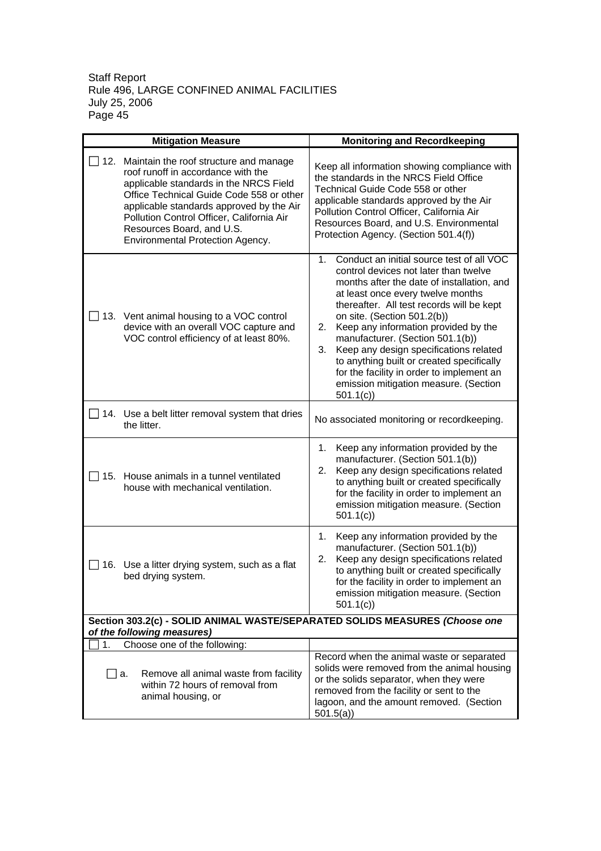|           | <b>Mitigation Measure</b>                                                                                                                                                                                                                                                                                                    | <b>Monitoring and Recordkeeping</b>                                                                                                                                                                                                                                                                                                                                                                                                                                                                                                           |
|-----------|------------------------------------------------------------------------------------------------------------------------------------------------------------------------------------------------------------------------------------------------------------------------------------------------------------------------------|-----------------------------------------------------------------------------------------------------------------------------------------------------------------------------------------------------------------------------------------------------------------------------------------------------------------------------------------------------------------------------------------------------------------------------------------------------------------------------------------------------------------------------------------------|
| 12.       | Maintain the roof structure and manage<br>roof runoff in accordance with the<br>applicable standards in the NRCS Field<br>Office Technical Guide Code 558 or other<br>applicable standards approved by the Air<br>Pollution Control Officer, California Air<br>Resources Board, and U.S.<br>Environmental Protection Agency. | Keep all information showing compliance with<br>the standards in the NRCS Field Office<br>Technical Guide Code 558 or other<br>applicable standards approved by the Air<br>Pollution Control Officer, California Air<br>Resources Board, and U.S. Environmental<br>Protection Agency. (Section 501.4(f))                                                                                                                                                                                                                                      |
|           | 13. Vent animal housing to a VOC control<br>device with an overall VOC capture and<br>VOC control efficiency of at least 80%.                                                                                                                                                                                                | Conduct an initial source test of all VOC<br>$1_{-}$<br>control devices not later than twelve<br>months after the date of installation, and<br>at least once every twelve months<br>thereafter. All test records will be kept<br>on site. (Section 501.2(b))<br>Keep any information provided by the<br>2.<br>manufacturer. (Section 501.1(b))<br>3.<br>Keep any design specifications related<br>to anything built or created specifically<br>for the facility in order to implement an<br>emission mitigation measure. (Section<br>501.1(c) |
|           | 14. Use a belt litter removal system that dries<br>the litter.                                                                                                                                                                                                                                                               | No associated monitoring or recordkeeping.                                                                                                                                                                                                                                                                                                                                                                                                                                                                                                    |
| 15.       | House animals in a tunnel ventilated<br>house with mechanical ventilation.                                                                                                                                                                                                                                                   | Keep any information provided by the<br>1.<br>manufacturer. (Section 501.1(b))<br>Keep any design specifications related<br>2.<br>to anything built or created specifically<br>for the facility in order to implement an<br>emission mitigation measure. (Section<br>501.1(c)                                                                                                                                                                                                                                                                 |
| 16.       | Use a litter drying system, such as a flat<br>bed drying system.                                                                                                                                                                                                                                                             | Keep any information provided by the<br>1.<br>manufacturer. (Section 501.1(b))<br>Keep any design specifications related<br>2.<br>to anything built or created specifically<br>for the facility in order to implement an<br>emission mitigation measure. (Section<br>501.1(c)                                                                                                                                                                                                                                                                 |
|           |                                                                                                                                                                                                                                                                                                                              | Section 303.2(c) - SOLID ANIMAL WASTE/SEPARATED SOLIDS MEASURES (Choose one                                                                                                                                                                                                                                                                                                                                                                                                                                                                   |
| 1.        | of the following measures)<br>Choose one of the following:                                                                                                                                                                                                                                                                   |                                                                                                                                                                                                                                                                                                                                                                                                                                                                                                                                               |
| $\Box$ a. | Remove all animal waste from facility<br>within 72 hours of removal from<br>animal housing, or                                                                                                                                                                                                                               | Record when the animal waste or separated<br>solids were removed from the animal housing<br>or the solids separator, when they were<br>removed from the facility or sent to the<br>lagoon, and the amount removed. (Section<br>501.5(a)                                                                                                                                                                                                                                                                                                       |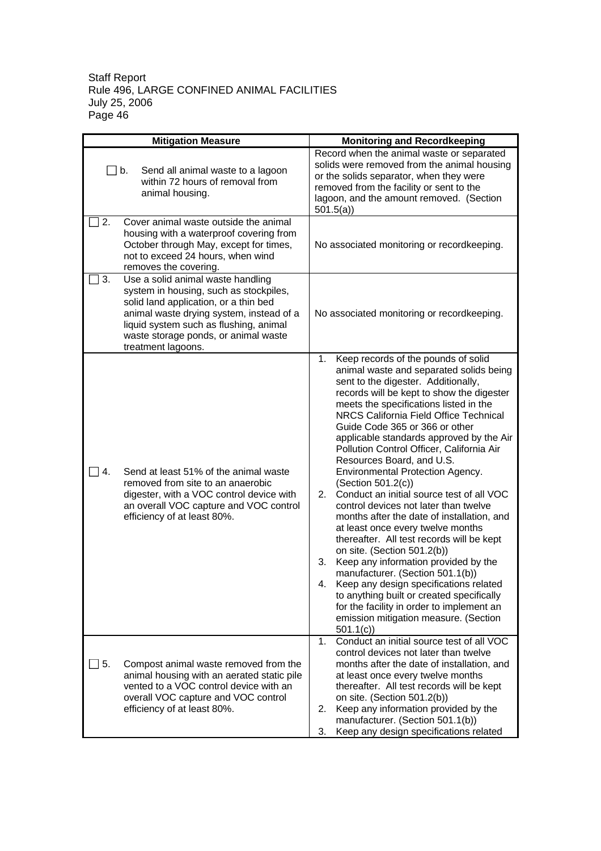| <b>Mitigation Measure</b> |                                                                                                                                                                                                                                                                          | <b>Monitoring and Recordkeeping</b>                                                                                                                                                                                                                                                                                                                                                                                                                                                                                                                                                                                                                                                                                                                                                                                                                                                                                                                                                                                        |
|---------------------------|--------------------------------------------------------------------------------------------------------------------------------------------------------------------------------------------------------------------------------------------------------------------------|----------------------------------------------------------------------------------------------------------------------------------------------------------------------------------------------------------------------------------------------------------------------------------------------------------------------------------------------------------------------------------------------------------------------------------------------------------------------------------------------------------------------------------------------------------------------------------------------------------------------------------------------------------------------------------------------------------------------------------------------------------------------------------------------------------------------------------------------------------------------------------------------------------------------------------------------------------------------------------------------------------------------------|
|                           | $\Box$ b.<br>Send all animal waste to a lagoon<br>within 72 hours of removal from<br>animal housing.                                                                                                                                                                     | Record when the animal waste or separated<br>solids were removed from the animal housing<br>or the solids separator, when they were<br>removed from the facility or sent to the<br>lagoon, and the amount removed. (Section<br>501.5(a)                                                                                                                                                                                                                                                                                                                                                                                                                                                                                                                                                                                                                                                                                                                                                                                    |
| 2.                        | Cover animal waste outside the animal<br>housing with a waterproof covering from<br>October through May, except for times,<br>not to exceed 24 hours, when wind<br>removes the covering.                                                                                 | No associated monitoring or recordkeeping.                                                                                                                                                                                                                                                                                                                                                                                                                                                                                                                                                                                                                                                                                                                                                                                                                                                                                                                                                                                 |
| 3.                        | Use a solid animal waste handling<br>system in housing, such as stockpiles,<br>solid land application, or a thin bed<br>animal waste drying system, instead of a<br>liquid system such as flushing, animal<br>waste storage ponds, or animal waste<br>treatment lagoons. | No associated monitoring or recordkeeping.                                                                                                                                                                                                                                                                                                                                                                                                                                                                                                                                                                                                                                                                                                                                                                                                                                                                                                                                                                                 |
| 4.                        | Send at least 51% of the animal waste<br>removed from site to an anaerobic<br>digester, with a VOC control device with<br>an overall VOC capture and VOC control<br>efficiency of at least 80%.                                                                          | 1.<br>Keep records of the pounds of solid<br>animal waste and separated solids being<br>sent to the digester. Additionally,<br>records will be kept to show the digester<br>meets the specifications listed in the<br>NRCS California Field Office Technical<br>Guide Code 365 or 366 or other<br>applicable standards approved by the Air<br>Pollution Control Officer, California Air<br>Resources Board, and U.S.<br>Environmental Protection Agency.<br>(Section 501.2(c))<br>Conduct an initial source test of all VOC<br>2.<br>control devices not later than twelve<br>months after the date of installation, and<br>at least once every twelve months<br>thereafter. All test records will be kept<br>on site. (Section 501.2(b))<br>Keep any information provided by the<br>3.<br>manufacturer. (Section 501.1(b))<br>Keep any design specifications related<br>4.<br>to anything built or created specifically<br>for the facility in order to implement an<br>emission mitigation measure. (Section<br>501.1(c) |
| 5.                        | Compost animal waste removed from the<br>animal housing with an aerated static pile<br>vented to a VOC control device with an<br>overall VOC capture and VOC control<br>efficiency of at least 80%.                                                                      | Conduct an initial source test of all VOC<br>1.<br>control devices not later than twelve<br>months after the date of installation, and<br>at least once every twelve months<br>thereafter. All test records will be kept<br>on site. (Section 501.2(b))<br>Keep any information provided by the<br>2.<br>manufacturer. (Section 501.1(b))<br>Keep any design specifications related<br>3.                                                                                                                                                                                                                                                                                                                                                                                                                                                                                                                                                                                                                                  |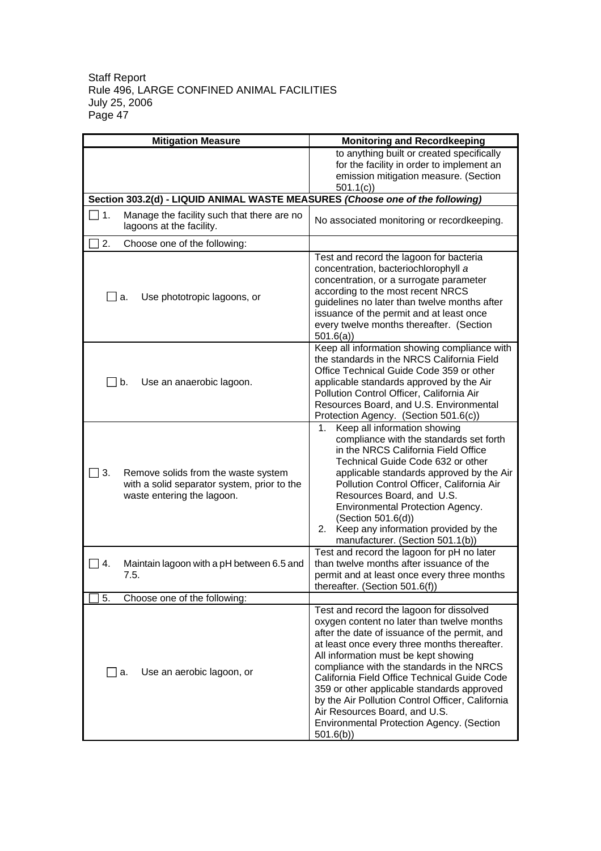| <b>Mitigation Measure</b>                                                                                              | <b>Monitoring and Recordkeeping</b>                                                                                                                                                                                                                                                                                                                                                                                                                                                                                      |
|------------------------------------------------------------------------------------------------------------------------|--------------------------------------------------------------------------------------------------------------------------------------------------------------------------------------------------------------------------------------------------------------------------------------------------------------------------------------------------------------------------------------------------------------------------------------------------------------------------------------------------------------------------|
|                                                                                                                        | to anything built or created specifically<br>for the facility in order to implement an<br>emission mitigation measure. (Section<br>501.1(c)                                                                                                                                                                                                                                                                                                                                                                              |
| Section 303.2(d) - LIQUID ANIMAL WASTE MEASURES (Choose one of the following)                                          |                                                                                                                                                                                                                                                                                                                                                                                                                                                                                                                          |
| Manage the facility such that there are no<br>1.<br>lagoons at the facility.                                           | No associated monitoring or recordkeeping.                                                                                                                                                                                                                                                                                                                                                                                                                                                                               |
| 2.<br>Choose one of the following:                                                                                     |                                                                                                                                                                                                                                                                                                                                                                                                                                                                                                                          |
| Use phototropic lagoons, or<br>a.                                                                                      | Test and record the lagoon for bacteria<br>concentration, bacteriochlorophyll a<br>concentration, or a surrogate parameter<br>according to the most recent NRCS<br>guidelines no later than twelve months after<br>issuance of the permit and at least once<br>every twelve months thereafter. (Section<br>501.6(a)                                                                                                                                                                                                      |
| ヿb.<br>Use an anaerobic lagoon.                                                                                        | Keep all information showing compliance with<br>the standards in the NRCS California Field<br>Office Technical Guide Code 359 or other<br>applicable standards approved by the Air<br>Pollution Control Officer, California Air<br>Resources Board, and U.S. Environmental<br>Protection Agency. (Section 501.6(c))                                                                                                                                                                                                      |
| 3.<br>Remove solids from the waste system<br>with a solid separator system, prior to the<br>waste entering the lagoon. | Keep all information showing<br>1.<br>compliance with the standards set forth<br>in the NRCS California Field Office<br>Technical Guide Code 632 or other<br>applicable standards approved by the Air<br>Pollution Control Officer, California Air<br>Resources Board, and U.S.<br>Environmental Protection Agency.<br>(Section 501.6(d))<br>Keep any information provided by the<br>2.<br>manufacturer. (Section 501.1(b))                                                                                              |
| Maintain lagoon with a pH between 6.5 and<br>4.<br>7.5.                                                                | Test and record the lagoon for pH no later<br>than twelve months after issuance of the<br>permit and at least once every three months<br>thereafter. (Section 501.6(f))                                                                                                                                                                                                                                                                                                                                                  |
| Choose one of the following:<br>5.                                                                                     |                                                                                                                                                                                                                                                                                                                                                                                                                                                                                                                          |
| Use an aerobic lagoon, or<br>$\Box$ a.                                                                                 | Test and record the lagoon for dissolved<br>oxygen content no later than twelve months<br>after the date of issuance of the permit, and<br>at least once every three months thereafter.<br>All information must be kept showing<br>compliance with the standards in the NRCS<br>California Field Office Technical Guide Code<br>359 or other applicable standards approved<br>by the Air Pollution Control Officer, California<br>Air Resources Board, and U.S.<br>Environmental Protection Agency. (Section<br>501.6(b) |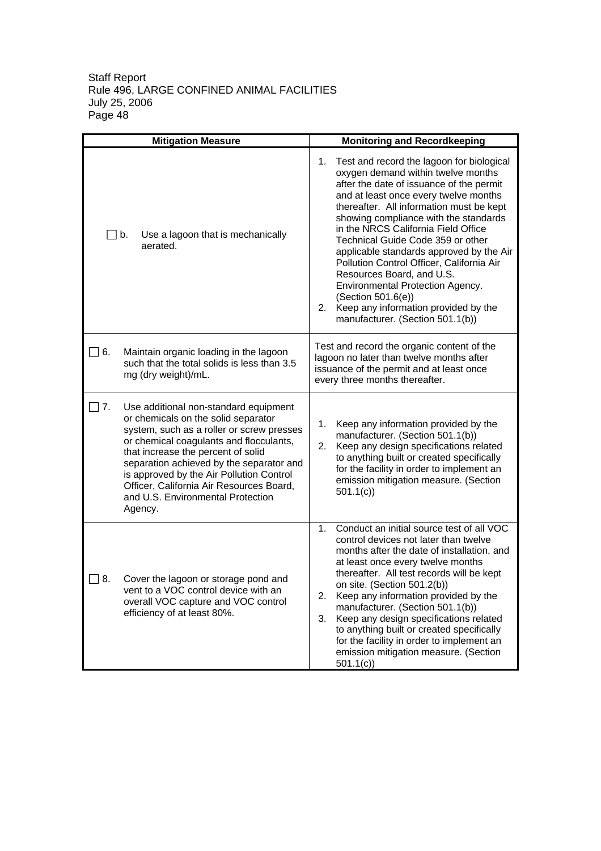| <b>Mitigation Measure</b> |                                                                                                                                                                                                                                                                                                                                                                                                | <b>Monitoring and Recordkeeping</b>                                                                                                                                                                                                                                                                                                                                                                                                                                                                                                                                                                           |  |
|---------------------------|------------------------------------------------------------------------------------------------------------------------------------------------------------------------------------------------------------------------------------------------------------------------------------------------------------------------------------------------------------------------------------------------|---------------------------------------------------------------------------------------------------------------------------------------------------------------------------------------------------------------------------------------------------------------------------------------------------------------------------------------------------------------------------------------------------------------------------------------------------------------------------------------------------------------------------------------------------------------------------------------------------------------|--|
|                           | Use a lagoon that is mechanically<br>$\Box$ b.<br>aerated.                                                                                                                                                                                                                                                                                                                                     | Test and record the lagoon for biological<br>1.<br>oxygen demand within twelve months<br>after the date of issuance of the permit<br>and at least once every twelve months<br>thereafter. All information must be kept<br>showing compliance with the standards<br>in the NRCS California Field Office<br>Technical Guide Code 359 or other<br>applicable standards approved by the Air<br>Pollution Control Officer, California Air<br>Resources Board, and U.S.<br>Environmental Protection Agency.<br>(Section 501.6(e))<br>Keep any information provided by the<br>2.<br>manufacturer. (Section 501.1(b)) |  |
| □ 6.                      | Maintain organic loading in the lagoon<br>such that the total solids is less than 3.5<br>mg (dry weight)/mL.                                                                                                                                                                                                                                                                                   | Test and record the organic content of the<br>lagoon no later than twelve months after<br>issuance of the permit and at least once<br>every three months thereafter.                                                                                                                                                                                                                                                                                                                                                                                                                                          |  |
| 7.                        | Use additional non-standard equipment<br>or chemicals on the solid separator<br>system, such as a roller or screw presses<br>or chemical coagulants and flocculants,<br>that increase the percent of solid<br>separation achieved by the separator and<br>is approved by the Air Pollution Control<br>Officer, California Air Resources Board,<br>and U.S. Environmental Protection<br>Agency. | Keep any information provided by the<br>1.<br>manufacturer. (Section 501.1(b))<br>Keep any design specifications related<br>2.<br>to anything built or created specifically<br>for the facility in order to implement an<br>emission mitigation measure. (Section<br>501.1(c)                                                                                                                                                                                                                                                                                                                                 |  |
| 8.                        | Cover the lagoon or storage pond and<br>vent to a VOC control device with an<br>overall VOC capture and VOC control<br>efficiency of at least 80%.                                                                                                                                                                                                                                             | Conduct an initial source test of all VOC<br>$1_{-}$<br>control devices not later than twelve<br>months after the date of installation, and<br>at least once every twelve months<br>thereafter. All test records will be kept<br>on site. (Section 501.2(b))<br>2.<br>Keep any information provided by the<br>manufacturer. (Section 501.1(b))<br>Keep any design specifications related<br>3.<br>to anything built or created specifically<br>for the facility in order to implement an<br>emission mitigation measure. (Section<br>501.1(c)                                                                 |  |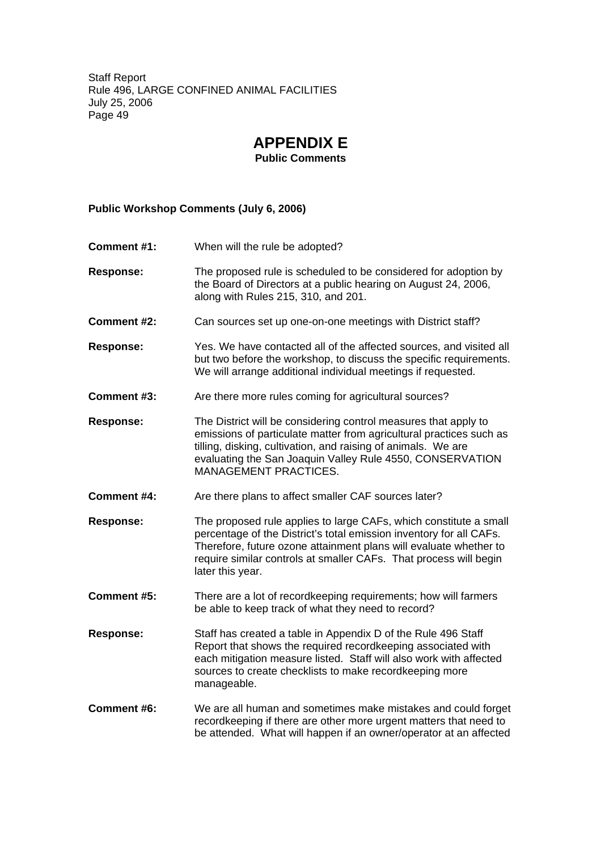# **APPENDIX E**

**Public Comments**

#### **Public Workshop Comments (July 6, 2006)**

- **Comment #1:** When will the rule be adopted?
- **Response:** The proposed rule is scheduled to be considered for adoption by the Board of Directors at a public hearing on August 24, 2006, along with Rules 215, 310, and 201.
- **Comment #2:** Can sources set up one-on-one meetings with District staff?
- **Response:** Yes. We have contacted all of the affected sources, and visited all but two before the workshop, to discuss the specific requirements. We will arrange additional individual meetings if requested.
- **Comment #3:** Are there more rules coming for agricultural sources?
- **Response:** The District will be considering control measures that apply to emissions of particulate matter from agricultural practices such as tilling, disking, cultivation, and raising of animals. We are evaluating the San Joaquin Valley Rule 4550, CONSERVATION MANAGEMENT PRACTICES.
- **Comment #4:** Are there plans to affect smaller CAF sources later?
- **Response:** The proposed rule applies to large CAFs, which constitute a small percentage of the District's total emission inventory for all CAFs. Therefore, future ozone attainment plans will evaluate whether to require similar controls at smaller CAFs. That process will begin later this year.
- **Comment #5:** There are a lot of recordkeeping requirements; how will farmers be able to keep track of what they need to record?
- **Response:** Staff has created a table in Appendix D of the Rule 496 Staff Report that shows the required recordkeeping associated with each mitigation measure listed. Staff will also work with affected sources to create checklists to make recordkeeping more manageable.
- **Comment #6:** We are all human and sometimes make mistakes and could forget recordkeeping if there are other more urgent matters that need to be attended. What will happen if an owner/operator at an affected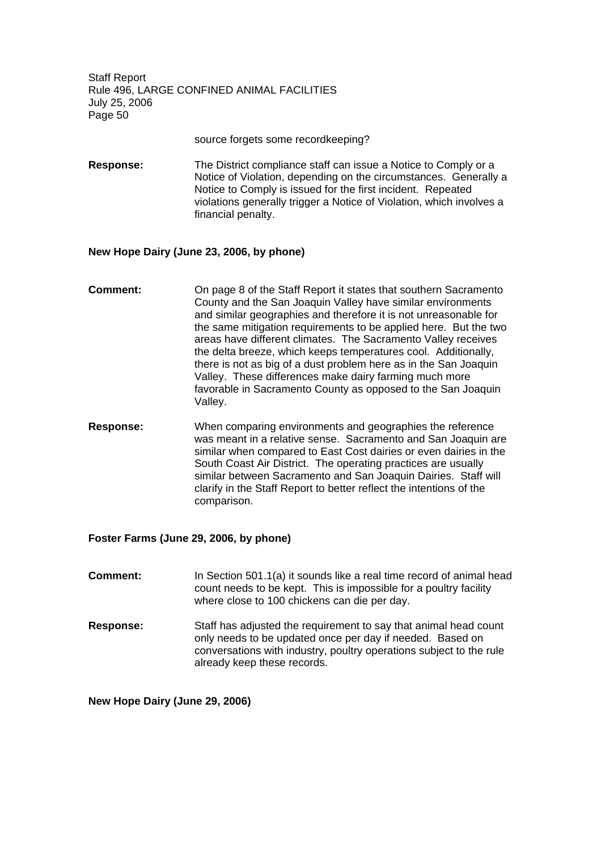source forgets some recordkeeping?

**Response:** The District compliance staff can issue a Notice to Comply or a Notice of Violation, depending on the circumstances. Generally a Notice to Comply is issued for the first incident. Repeated violations generally trigger a Notice of Violation, which involves a financial penalty.

#### **New Hope Dairy (June 23, 2006, by phone)**

- **Comment:** On page 8 of the Staff Report it states that southern Sacramento County and the San Joaquin Valley have similar environments and similar geographies and therefore it is not unreasonable for the same mitigation requirements to be applied here. But the two areas have different climates. The Sacramento Valley receives the delta breeze, which keeps temperatures cool. Additionally, there is not as big of a dust problem here as in the San Joaquin Valley. These differences make dairy farming much more favorable in Sacramento County as opposed to the San Joaquin Valley.
- **Response:** When comparing environments and geographies the reference was meant in a relative sense. Sacramento and San Joaquin are similar when compared to East Cost dairies or even dairies in the South Coast Air District. The operating practices are usually similar between Sacramento and San Joaquin Dairies. Staff will clarify in the Staff Report to better reflect the intentions of the comparison.

#### **Foster Farms (June 29, 2006, by phone)**

- **Comment:** In Section 501.1(a) it sounds like a real time record of animal head count needs to be kept. This is impossible for a poultry facility where close to 100 chickens can die per day.
- **Response:** Staff has adjusted the requirement to say that animal head count only needs to be updated once per day if needed. Based on conversations with industry, poultry operations subject to the rule already keep these records.

**New Hope Dairy (June 29, 2006)**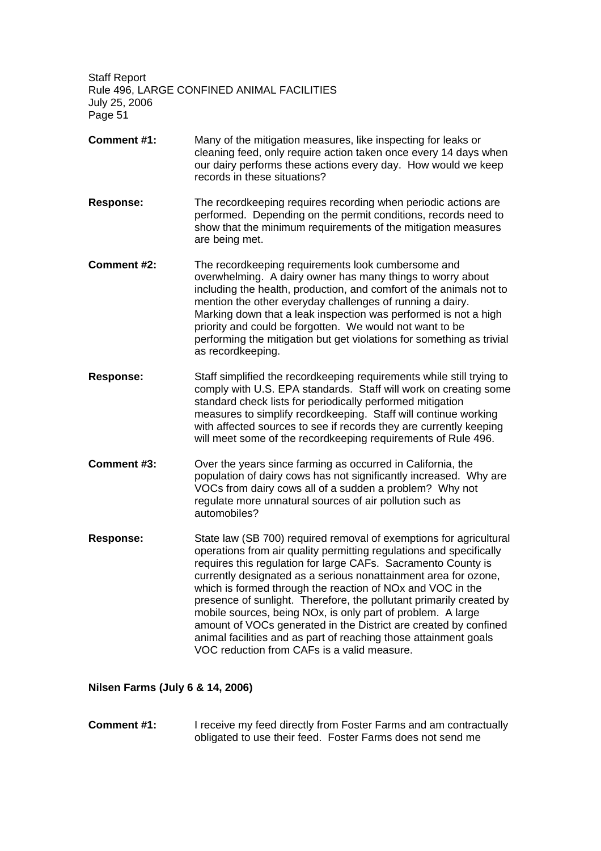- **Comment #1:** Many of the mitigation measures, like inspecting for leaks or cleaning feed, only require action taken once every 14 days when our dairy performs these actions every day. How would we keep records in these situations?
- **Response:** The recordkeeping requires recording when periodic actions are performed. Depending on the permit conditions, records need to show that the minimum requirements of the mitigation measures are being met.
- **Comment #2:** The recordkeeping requirements look cumbersome and overwhelming. A dairy owner has many things to worry about including the health, production, and comfort of the animals not to mention the other everyday challenges of running a dairy. Marking down that a leak inspection was performed is not a high priority and could be forgotten. We would not want to be performing the mitigation but get violations for something as trivial as recordkeeping.
- **Response:** Staff simplified the recordkeeping requirements while still trying to comply with U.S. EPA standards. Staff will work on creating some standard check lists for periodically performed mitigation measures to simplify recordkeeping. Staff will continue working with affected sources to see if records they are currently keeping will meet some of the recordkeeping requirements of Rule 496.
- **Comment #3:** Over the years since farming as occurred in California, the population of dairy cows has not significantly increased. Why are VOCs from dairy cows all of a sudden a problem? Why not regulate more unnatural sources of air pollution such as automobiles?
- **Response:** State law (SB 700) required removal of exemptions for agricultural operations from air quality permitting regulations and specifically requires this regulation for large CAFs. Sacramento County is currently designated as a serious nonattainment area for ozone, which is formed through the reaction of NOx and VOC in the presence of sunlight. Therefore, the pollutant primarily created by mobile sources, being NOx, is only part of problem. A large amount of VOCs generated in the District are created by confined animal facilities and as part of reaching those attainment goals VOC reduction from CAFs is a valid measure.

#### **Nilsen Farms (July 6 & 14, 2006)**

**Comment #1:** I receive my feed directly from Foster Farms and am contractually obligated to use their feed. Foster Farms does not send me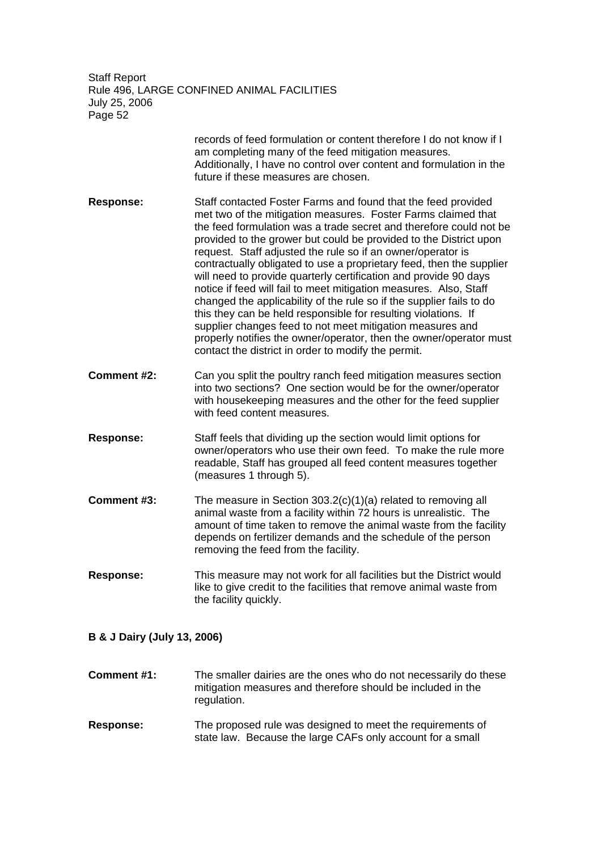|                  | records of feed formulation or content therefore I do not know if I<br>am completing many of the feed mitigation measures.<br>Additionally, I have no control over content and formulation in the<br>future if these measures are chosen.                                                                                                                                                                                                                                                                                                                                                                                                                                                                                                                                                                                                                                                     |
|------------------|-----------------------------------------------------------------------------------------------------------------------------------------------------------------------------------------------------------------------------------------------------------------------------------------------------------------------------------------------------------------------------------------------------------------------------------------------------------------------------------------------------------------------------------------------------------------------------------------------------------------------------------------------------------------------------------------------------------------------------------------------------------------------------------------------------------------------------------------------------------------------------------------------|
| <b>Response:</b> | Staff contacted Foster Farms and found that the feed provided<br>met two of the mitigation measures. Foster Farms claimed that<br>the feed formulation was a trade secret and therefore could not be<br>provided to the grower but could be provided to the District upon<br>request. Staff adjusted the rule so if an owner/operator is<br>contractually obligated to use a proprietary feed, then the supplier<br>will need to provide quarterly certification and provide 90 days<br>notice if feed will fail to meet mitigation measures. Also, Staff<br>changed the applicability of the rule so if the supplier fails to do<br>this they can be held responsible for resulting violations. If<br>supplier changes feed to not meet mitigation measures and<br>properly notifies the owner/operator, then the owner/operator must<br>contact the district in order to modify the permit. |
| Comment #2:      | Can you split the poultry ranch feed mitigation measures section<br>into two sections? One section would be for the owner/operator<br>with housekeeping measures and the other for the feed supplier<br>with feed content measures.                                                                                                                                                                                                                                                                                                                                                                                                                                                                                                                                                                                                                                                           |
| <b>Response:</b> | Staff feels that dividing up the section would limit options for<br>owner/operators who use their own feed. To make the rule more<br>readable, Staff has grouped all feed content measures together<br>(measures 1 through 5).                                                                                                                                                                                                                                                                                                                                                                                                                                                                                                                                                                                                                                                                |
| Comment #3:      | The measure in Section $303.2(c)(1)(a)$ related to removing all<br>animal waste from a facility within 72 hours is unrealistic. The<br>amount of time taken to remove the animal waste from the facility<br>depends on fertilizer demands and the schedule of the person<br>removing the feed from the facility.                                                                                                                                                                                                                                                                                                                                                                                                                                                                                                                                                                              |
| <b>Response:</b> | This measure may not work for all facilities but the District would<br>like to give credit to the facilities that remove animal waste from<br>the facility quickly.                                                                                                                                                                                                                                                                                                                                                                                                                                                                                                                                                                                                                                                                                                                           |

### **B & J Dairy (July 13, 2006)**

**Comment #1:** The smaller dairies are the ones who do not necessarily do these mitigation measures and therefore should be included in the regulation.

**Response:** The proposed rule was designed to meet the requirements of state law. Because the large CAFs only account for a small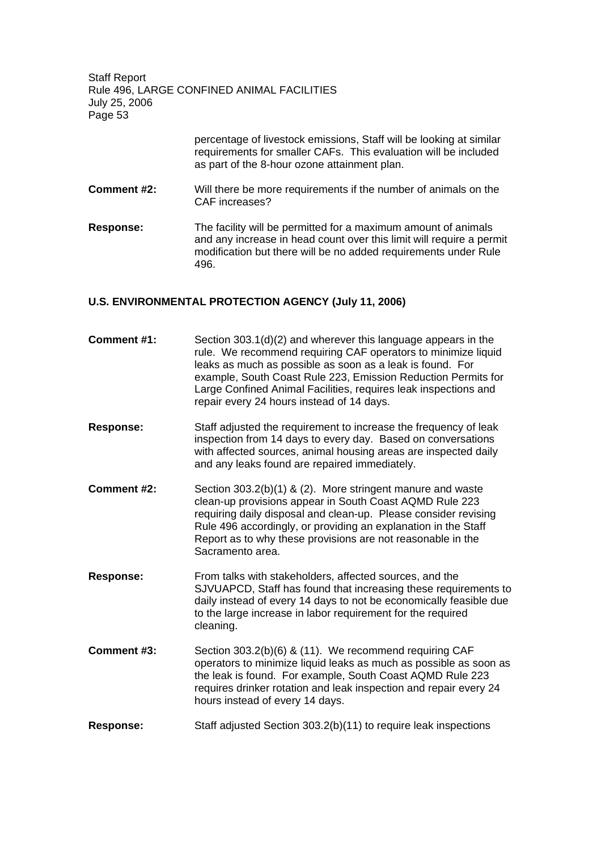> percentage of livestock emissions, Staff will be looking at similar requirements for smaller CAFs. This evaluation will be included as part of the 8-hour ozone attainment plan.

- **Comment #2:** Will there be more requirements if the number of animals on the CAF increases?
- **Response:** The facility will be permitted for a maximum amount of animals and any increase in head count over this limit will require a permit modification but there will be no added requirements under Rule 496.

#### **U.S. ENVIRONMENTAL PROTECTION AGENCY (July 11, 2006)**

| Comment #1:      | Section 303.1(d)(2) and wherever this language appears in the<br>rule. We recommend requiring CAF operators to minimize liquid<br>leaks as much as possible as soon as a leak is found. For<br>example, South Coast Rule 223, Emission Reduction Permits for<br>Large Confined Animal Facilities, requires leak inspections and<br>repair every 24 hours instead of 14 days. |
|------------------|------------------------------------------------------------------------------------------------------------------------------------------------------------------------------------------------------------------------------------------------------------------------------------------------------------------------------------------------------------------------------|
| <b>Response:</b> | Staff adjusted the requirement to increase the frequency of leak<br>inspection from 14 days to every day. Based on conversations<br>with affected sources, animal housing areas are inspected daily<br>and any leaks found are repaired immediately.                                                                                                                         |
| Comment #2:      | Section 303.2(b)(1) & (2). More stringent manure and waste<br>clean-up provisions appear in South Coast AQMD Rule 223<br>requiring daily disposal and clean-up. Please consider revising<br>Rule 496 accordingly, or providing an explanation in the Staff<br>Report as to why these provisions are not reasonable in the<br>Sacramento area.                                |
| <b>Response:</b> | From talks with stakeholders, affected sources, and the<br>SJVUAPCD, Staff has found that increasing these requirements to<br>daily instead of every 14 days to not be economically feasible due<br>to the large increase in labor requirement for the required<br>cleaning.                                                                                                 |
| Comment #3:      | Section 303.2(b)(6) & (11). We recommend requiring CAF<br>operators to minimize liquid leaks as much as possible as soon as<br>the leak is found. For example, South Coast AQMD Rule 223<br>requires drinker rotation and leak inspection and repair every 24<br>hours instead of every 14 days.                                                                             |
| <b>Response:</b> | Staff adjusted Section 303.2(b)(11) to require leak inspections                                                                                                                                                                                                                                                                                                              |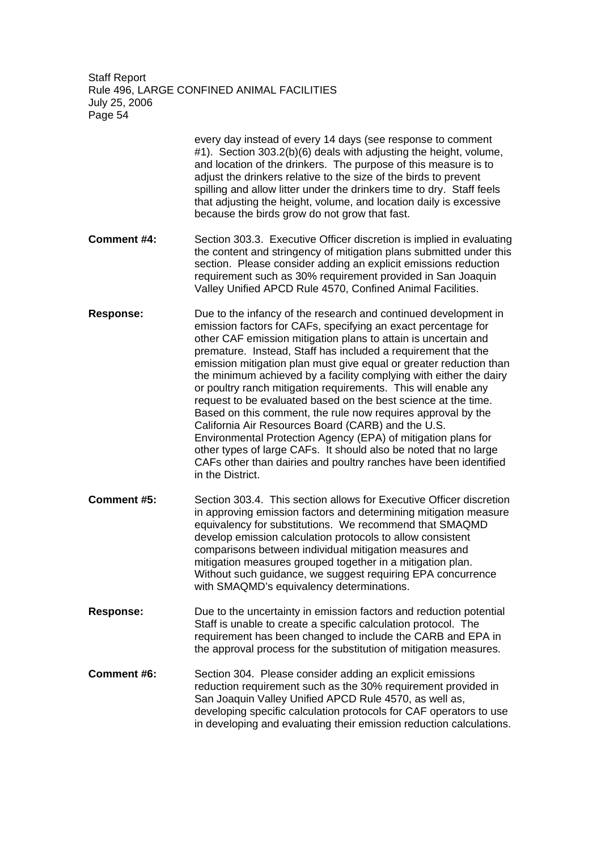> every day instead of every 14 days (see response to comment #1). Section 303.2(b)(6) deals with adjusting the height, volume, and location of the drinkers. The purpose of this measure is to adjust the drinkers relative to the size of the birds to prevent spilling and allow litter under the drinkers time to dry. Staff feels that adjusting the height, volume, and location daily is excessive because the birds grow do not grow that fast.

- **Comment #4:** Section 303.3. Executive Officer discretion is implied in evaluating the content and stringency of mitigation plans submitted under this section. Please consider adding an explicit emissions reduction requirement such as 30% requirement provided in San Joaquin Valley Unified APCD Rule 4570, Confined Animal Facilities.
- **Response:** Due to the infancy of the research and continued development in emission factors for CAFs, specifying an exact percentage for other CAF emission mitigation plans to attain is uncertain and premature. Instead, Staff has included a requirement that the emission mitigation plan must give equal or greater reduction than the minimum achieved by a facility complying with either the dairy or poultry ranch mitigation requirements. This will enable any request to be evaluated based on the best science at the time. Based on this comment, the rule now requires approval by the California Air Resources Board (CARB) and the U.S. Environmental Protection Agency (EPA) of mitigation plans for other types of large CAFs. It should also be noted that no large CAFs other than dairies and poultry ranches have been identified in the District.
- **Comment #5:** Section 303.4. This section allows for Executive Officer discretion in approving emission factors and determining mitigation measure equivalency for substitutions. We recommend that SMAQMD develop emission calculation protocols to allow consistent comparisons between individual mitigation measures and mitigation measures grouped together in a mitigation plan. Without such guidance, we suggest requiring EPA concurrence with SMAQMD's equivalency determinations.
- **Response:** Due to the uncertainty in emission factors and reduction potential Staff is unable to create a specific calculation protocol. The requirement has been changed to include the CARB and EPA in the approval process for the substitution of mitigation measures.
- **Comment #6:** Section 304. Please consider adding an explicit emissions reduction requirement such as the 30% requirement provided in San Joaquin Valley Unified APCD Rule 4570, as well as, developing specific calculation protocols for CAF operators to use in developing and evaluating their emission reduction calculations.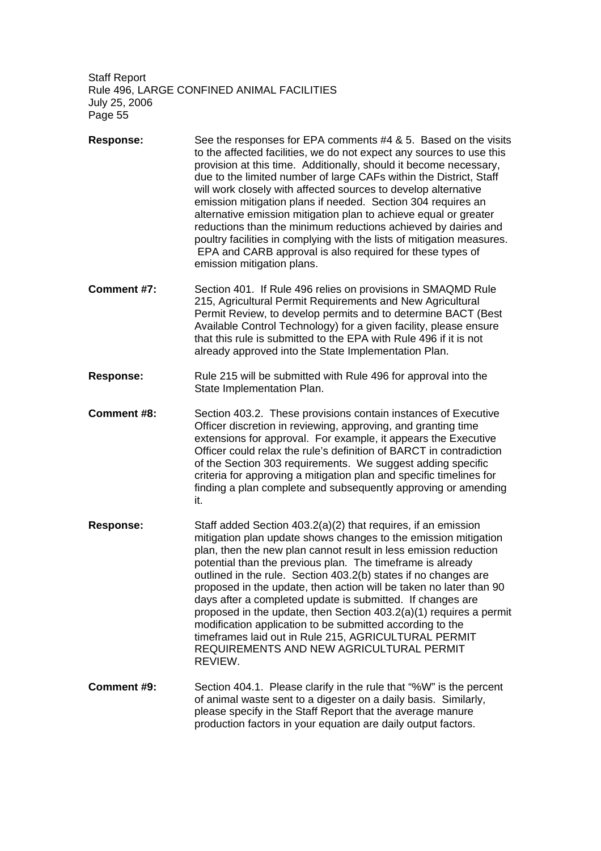- **Response:** See the responses for EPA comments #4 & 5. Based on the visits to the affected facilities, we do not expect any sources to use this provision at this time. Additionally, should it become necessary, due to the limited number of large CAFs within the District, Staff will work closely with affected sources to develop alternative emission mitigation plans if needed. Section 304 requires an alternative emission mitigation plan to achieve equal or greater reductions than the minimum reductions achieved by dairies and poultry facilities in complying with the lists of mitigation measures. EPA and CARB approval is also required for these types of emission mitigation plans.
- **Comment #7:** Section 401. If Rule 496 relies on provisions in SMAQMD Rule 215, Agricultural Permit Requirements and New Agricultural Permit Review, to develop permits and to determine BACT (Best Available Control Technology) for a given facility, please ensure that this rule is submitted to the EPA with Rule 496 if it is not already approved into the State Implementation Plan.
- **Response:** Rule 215 will be submitted with Rule 496 for approval into the State Implementation Plan.
- **Comment #8:** Section 403.2. These provisions contain instances of Executive Officer discretion in reviewing, approving, and granting time extensions for approval. For example, it appears the Executive Officer could relax the rule's definition of BARCT in contradiction of the Section 303 requirements. We suggest adding specific criteria for approving a mitigation plan and specific timelines for finding a plan complete and subsequently approving or amending it.
- **Response:** Staff added Section 403.2(a)(2) that requires, if an emission mitigation plan update shows changes to the emission mitigation plan, then the new plan cannot result in less emission reduction potential than the previous plan. The timeframe is already outlined in the rule. Section 403.2(b) states if no changes are proposed in the update, then action will be taken no later than 90 days after a completed update is submitted. If changes are proposed in the update, then Section 403.2(a)(1) requires a permit modification application to be submitted according to the timeframes laid out in Rule 215, AGRICULTURAL PERMIT REQUIREMENTS AND NEW AGRICULTURAL PERMIT REVIEW.
- **Comment #9:** Section 404.1. Please clarify in the rule that "%W" is the percent of animal waste sent to a digester on a daily basis. Similarly, please specify in the Staff Report that the average manure production factors in your equation are daily output factors.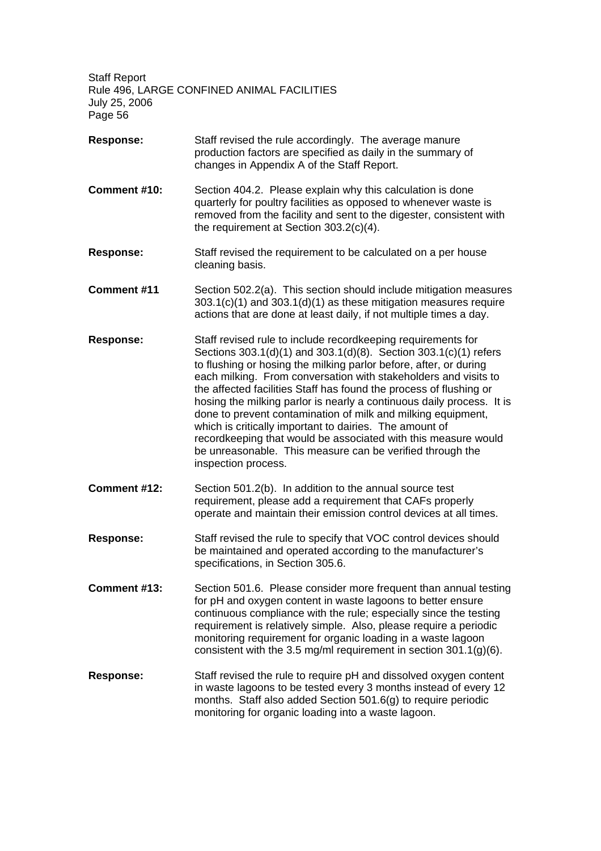- **Response:** Staff revised the rule accordingly. The average manure production factors are specified as daily in the summary of changes in Appendix A of the Staff Report.
- **Comment #10:** Section 404.2. Please explain why this calculation is done quarterly for poultry facilities as opposed to whenever waste is removed from the facility and sent to the digester, consistent with the requirement at Section 303.2(c)(4).
- **Response:** Staff revised the requirement to be calculated on a per house cleaning basis.
- **Comment #11** Section 502.2(a). This section should include mitigation measures 303.1(c)(1) and 303.1(d)(1) as these mitigation measures require actions that are done at least daily, if not multiple times a day.
- **Response:** Staff revised rule to include recordkeeping requirements for Sections 303.1(d)(1) and 303.1(d)(8). Section 303.1(c)(1) refers to flushing or hosing the milking parlor before, after, or during each milking. From conversation with stakeholders and visits to the affected facilities Staff has found the process of flushing or hosing the milking parlor is nearly a continuous daily process. It is done to prevent contamination of milk and milking equipment, which is critically important to dairies. The amount of recordkeeping that would be associated with this measure would be unreasonable. This measure can be verified through the inspection process.
- **Comment #12:** Section 501.2(b). In addition to the annual source test requirement, please add a requirement that CAFs properly operate and maintain their emission control devices at all times.
- **Response:** Staff revised the rule to specify that VOC control devices should be maintained and operated according to the manufacturer's specifications, in Section 305.6.
- **Comment #13:** Section 501.6. Please consider more frequent than annual testing for pH and oxygen content in waste lagoons to better ensure continuous compliance with the rule; especially since the testing requirement is relatively simple. Also, please require a periodic monitoring requirement for organic loading in a waste lagoon consistent with the 3.5 mg/ml requirement in section 301.1(g)(6).
- **Response:** Staff revised the rule to require pH and dissolved oxygen content in waste lagoons to be tested every 3 months instead of every 12 months. Staff also added Section 501.6(g) to require periodic monitoring for organic loading into a waste lagoon.